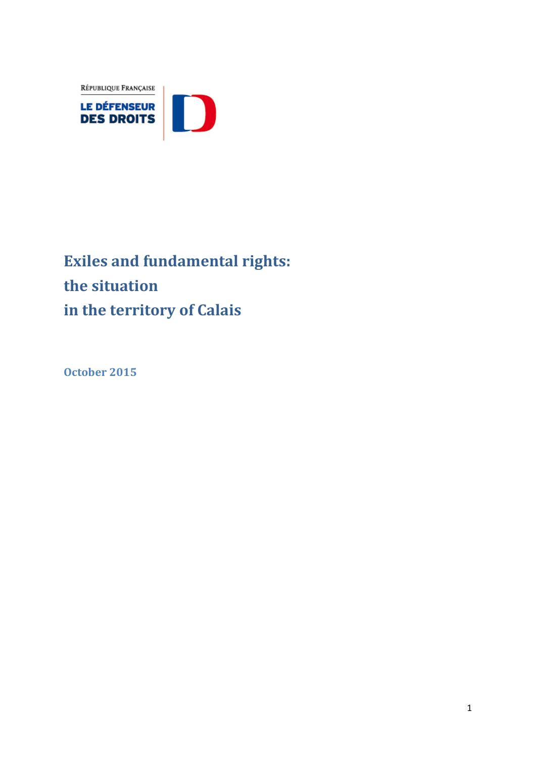RÉPUBLIQUE FRANÇAISE



# **Exiles and fundamental rights: the situation in the territory of Calais**

**October 2015**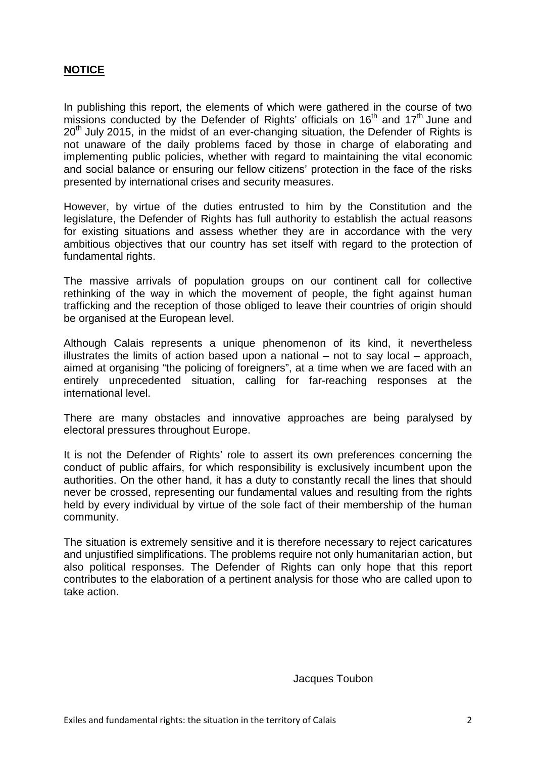#### **NOTICE**

In publishing this report, the elements of which were gathered in the course of two missions conducted by the Defender of Rights' officials on  $16<sup>th</sup>$  and  $17<sup>th</sup>$  June and  $20<sup>th</sup>$  July 2015, in the midst of an ever-changing situation, the Defender of Rights is not unaware of the daily problems faced by those in charge of elaborating and implementing public policies, whether with regard to maintaining the vital economic and social balance or ensuring our fellow citizens' protection in the face of the risks presented by international crises and security measures.

However, by virtue of the duties entrusted to him by the Constitution and the legislature, the Defender of Rights has full authority to establish the actual reasons for existing situations and assess whether they are in accordance with the very ambitious objectives that our country has set itself with regard to the protection of fundamental rights.

The massive arrivals of population groups on our continent call for collective rethinking of the way in which the movement of people, the fight against human trafficking and the reception of those obliged to leave their countries of origin should be organised at the European level.

Although Calais represents a unique phenomenon of its kind, it nevertheless illustrates the limits of action based upon a national – not to say local – approach, aimed at organising "the policing of foreigners", at a time when we are faced with an entirely unprecedented situation, calling for far-reaching responses at the international level.

There are many obstacles and innovative approaches are being paralysed by electoral pressures throughout Europe.

It is not the Defender of Rights' role to assert its own preferences concerning the conduct of public affairs, for which responsibility is exclusively incumbent upon the authorities. On the other hand, it has a duty to constantly recall the lines that should never be crossed, representing our fundamental values and resulting from the rights held by every individual by virtue of the sole fact of their membership of the human community.

The situation is extremely sensitive and it is therefore necessary to reject caricatures and unjustified simplifications. The problems require not only humanitarian action, but also political responses. The Defender of Rights can only hope that this report contributes to the elaboration of a pertinent analysis for those who are called upon to take action.

Jacques Toubon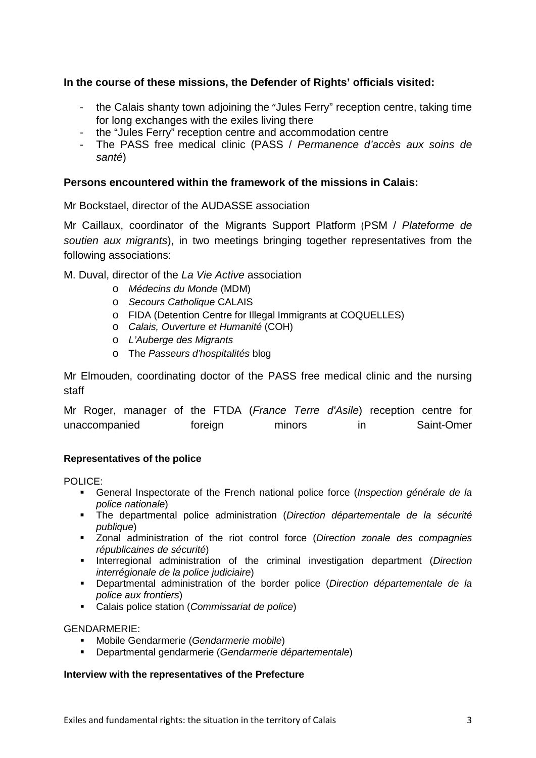#### **In the course of these missions, the Defender of Rights' officials visited:**

- the Calais shanty town adjoining the "Jules Ferry" reception centre, taking time for long exchanges with the exiles living there
- the "Jules Ferry" reception centre and accommodation centre
- The PASS free medical clinic (PASS / *Permanence d'accès aux soins de santé*)

#### **Persons encountered within the framework of the missions in Calais:**

#### Mr Bockstael, director of the AUDASSE association

Mr Caillaux, coordinator of the Migrants Support Platform (PSM / *Plateforme de soutien aux migrants*), in two meetings bringing together representatives from the following associations:

M. Duval, director of the *La Vie Active* association

- o *Médecins du Monde* (MDM)
- o *Secours Catholique* CALAIS
- o FIDA (Detention Centre for Illegal Immigrants at COQUELLES)
- o *Calais, Ouverture et Humanité* (COH)
- o *L'Auberge des Migrants*
- o The *Passeurs d'hospitalités* blog

Mr Elmouden, coordinating doctor of the PASS free medical clinic and the nursing staff

Mr Roger, manager of the FTDA (*France Terre d'Asile*) reception centre for unaccompanied foreign minors in Saint-Omer

#### **Representatives of the police**

POLICE:

- General Inspectorate of the French national police force (*Inspection générale de la police nationale*)
- The departmental police administration (*Direction départementale de la sécurité publique*)
- Zonal administration of the riot control force (*Direction zonale des compagnies républicaines de sécurité*)
- **Interregional administration of the criminal investigation department (Direction** *interrégionale de la police judiciaire*)
- Departmental administration of the border police (*Direction départementale de la police aux frontiers*)
- Calais police station (*Commissariat de police*)

#### GENDARMERIE:

- Mobile Gendarmerie (*Gendarmerie mobile*)
- Departmental gendarmerie (*Gendarmerie départementale*)

#### **Interview with the representatives of the Prefecture**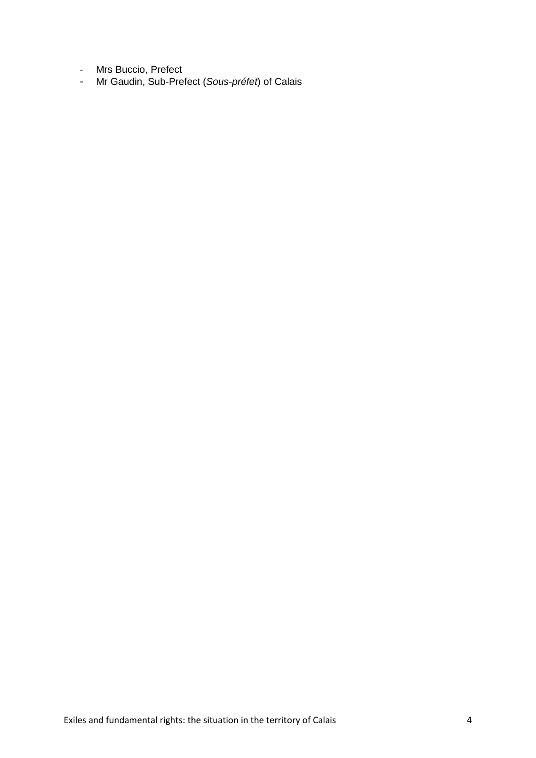- Mrs Buccio, Prefect
- Mr Gaudin, Sub-Prefect (*Sous-préfet*) of Calais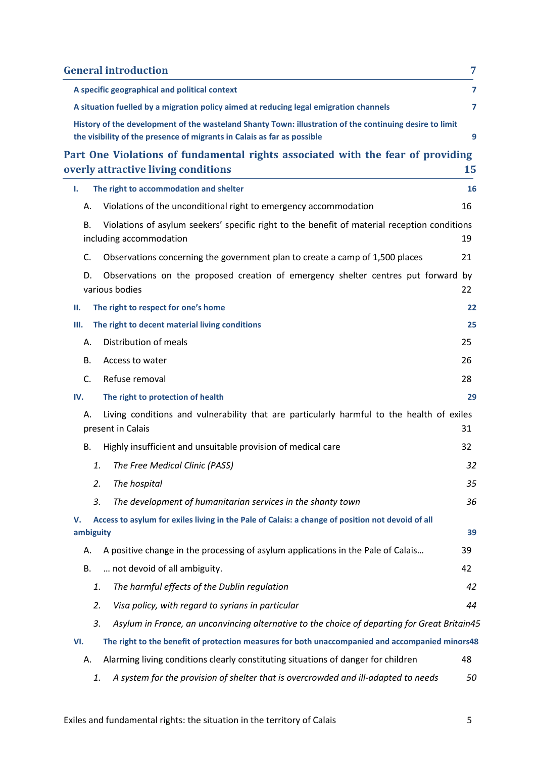| <b>General introduction</b>                                                                                                                                                        | 7  |
|------------------------------------------------------------------------------------------------------------------------------------------------------------------------------------|----|
| A specific geographical and political context                                                                                                                                      | 7  |
| A situation fuelled by a migration policy aimed at reducing legal emigration channels                                                                                              | 7  |
| History of the development of the wasteland Shanty Town: illustration of the continuing desire to limit<br>the visibility of the presence of migrants in Calais as far as possible | 9  |
| Part One Violations of fundamental rights associated with the fear of providing                                                                                                    |    |
| overly attractive living conditions                                                                                                                                                | 15 |
| The right to accommodation and shelter<br>۱.                                                                                                                                       | 16 |
| Violations of the unconditional right to emergency accommodation<br>А.                                                                                                             | 16 |
| Violations of asylum seekers' specific right to the benefit of material reception conditions<br>В.<br>including accommodation                                                      | 19 |
| C.<br>Observations concerning the government plan to create a camp of 1,500 places                                                                                                 | 21 |
| Observations on the proposed creation of emergency shelter centres put forward by<br>D.<br>various bodies                                                                          | 22 |
| The right to respect for one's home<br>П.                                                                                                                                          | 22 |
| The right to decent material living conditions<br>Ш.                                                                                                                               | 25 |
| Distribution of meals<br>А.                                                                                                                                                        | 25 |
| В.<br>Access to water                                                                                                                                                              | 26 |
| C.<br>Refuse removal                                                                                                                                                               | 28 |
| The right to protection of health<br>IV.                                                                                                                                           | 29 |
| Living conditions and vulnerability that are particularly harmful to the health of exiles<br>А.<br>present in Calais                                                               | 31 |
| Highly insufficient and unsuitable provision of medical care<br>В.                                                                                                                 | 32 |
| The Free Medical Clinic (PASS)<br>1.                                                                                                                                               | 32 |
| 2.<br>The hospital                                                                                                                                                                 | 35 |
| 3.<br>The development of humanitarian services in the shanty town                                                                                                                  | 36 |
| Access to asylum for exiles living in the Pale of Calais: a change of position not devoid of all<br>v.                                                                             |    |
| ambiguity                                                                                                                                                                          | 39 |
| A positive change in the processing of asylum applications in the Pale of Calais<br>А.                                                                                             | 39 |
| not devoid of all ambiguity.<br>В.                                                                                                                                                 | 42 |
| The harmful effects of the Dublin regulation<br>1.                                                                                                                                 | 42 |
| Visa policy, with regard to syrians in particular<br>2.                                                                                                                            | 44 |
| 3.<br>Asylum in France, an unconvincing alternative to the choice of departing for Great Britain45                                                                                 |    |
| The right to the benefit of protection measures for both unaccompanied and accompanied minors48<br>VI.                                                                             |    |
| Alarming living conditions clearly constituting situations of danger for children<br>А.                                                                                            | 48 |
| A system for the provision of shelter that is overcrowded and ill-adapted to needs<br>1.                                                                                           | 50 |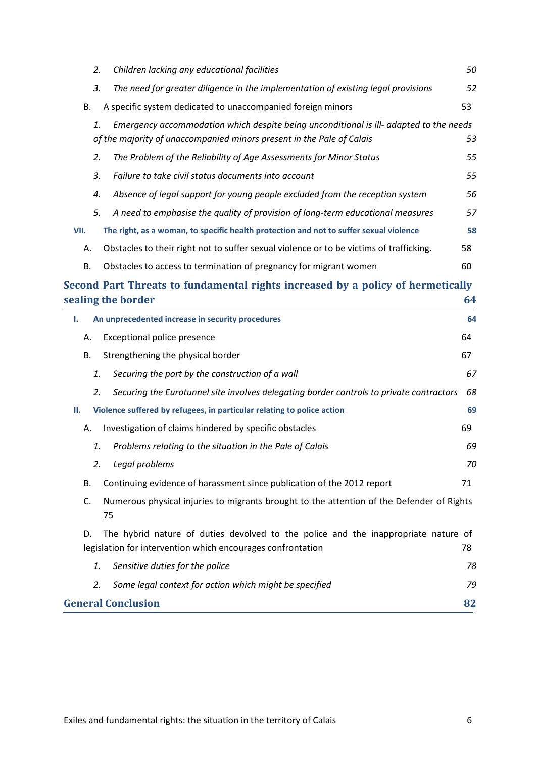| 2.   | Children lacking any educational facilities                                                                                                                     | 50 |
|------|-----------------------------------------------------------------------------------------------------------------------------------------------------------------|----|
| 3.   | The need for greater diligence in the implementation of existing legal provisions                                                                               | 52 |
| В.   | A specific system dedicated to unaccompanied foreign minors                                                                                                     | 53 |
| 1.   | Emergency accommodation which despite being unconditional is ill- adapted to the needs<br>of the majority of unaccompanied minors present in the Pale of Calais | 53 |
| 2.   | The Problem of the Reliability of Age Assessments for Minor Status                                                                                              | 55 |
| 3.   | Failure to take civil status documents into account                                                                                                             | 55 |
| 4.   | Absence of legal support for young people excluded from the reception system                                                                                    | 56 |
| 5.   | A need to emphasise the quality of provision of long-term educational measures                                                                                  | 57 |
| VII. | The right, as a woman, to specific health protection and not to suffer sexual violence                                                                          | 58 |
| А.   | Obstacles to their right not to suffer sexual violence or to be victims of trafficking.                                                                         | 58 |
| В.   | Obstacles to access to termination of pregnancy for migrant women                                                                                               | 60 |

## **[Second Part Threats to fundamental rights increased by a policy of hermetically](#page-63-0)  [sealing the border](#page-63-0) 64**

| An unprecedented increase in security procedures<br>Ι.                                                                                                  | 64 |  |
|---------------------------------------------------------------------------------------------------------------------------------------------------------|----|--|
| Exceptional police presence<br>А.                                                                                                                       | 64 |  |
| Strengthening the physical border<br>В.                                                                                                                 | 67 |  |
| 1.<br>Securing the port by the construction of a wall                                                                                                   | 67 |  |
| Securing the Eurotunnel site involves delegating border controls to private contractors<br>2.                                                           | 68 |  |
| Violence suffered by refugees, in particular relating to police action<br>н.                                                                            | 69 |  |
| Investigation of claims hindered by specific obstacles<br>Α.                                                                                            | 69 |  |
| Problems relating to the situation in the Pale of Calais<br>1.                                                                                          | 69 |  |
| 2.<br>Legal problems                                                                                                                                    | 70 |  |
| Continuing evidence of harassment since publication of the 2012 report<br>В.                                                                            | 71 |  |
| C.<br>Numerous physical injuries to migrants brought to the attention of the Defender of Rights<br>75                                                   |    |  |
| The hybrid nature of duties devolved to the police and the inappropriate nature of<br>D.<br>legislation for intervention which encourages confrontation | 78 |  |
| 1.<br>Sensitive duties for the police                                                                                                                   | 78 |  |
| 2.<br>Some legal context for action which might be specified                                                                                            | 79 |  |
| <b>General Conclusion</b><br>82                                                                                                                         |    |  |
|                                                                                                                                                         |    |  |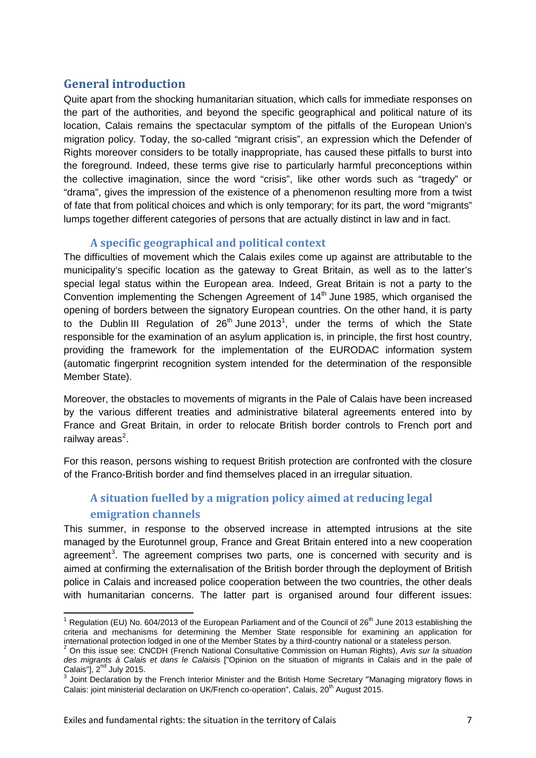## <span id="page-6-0"></span>**General introduction**

Quite apart from the shocking humanitarian situation, which calls for immediate responses on the part of the authorities, and beyond the specific geographical and political nature of its location, Calais remains the spectacular symptom of the pitfalls of the European Union's migration policy. Today, the so-called "migrant crisis", an expression which the Defender of Rights moreover considers to be totally inappropriate, has caused these pitfalls to burst into the foreground. Indeed, these terms give rise to particularly harmful preconceptions within the collective imagination, since the word "crisis", like other words such as "tragedy" or "drama", gives the impression of the existence of a phenomenon resulting more from a twist of fate that from political choices and which is only temporary; for its part, the word "migrants" lumps together different categories of persons that are actually distinct in law and in fact.

#### **A specific geographical and political context**

<span id="page-6-1"></span>The difficulties of movement which the Calais exiles come up against are attributable to the municipality's specific location as the gateway to Great Britain, as well as to the latter's special legal status within the European area. Indeed, Great Britain is not a party to the Convention implementing the Schengen Agreement of  $14<sup>th</sup>$  June 1985, which organised the opening of borders between the signatory European countries. On the other hand, it is party to the Dublin III Regulation of  $26<sup>th</sup>$  June 20[1](#page-6-3)3<sup>1</sup>, under the terms of which the State responsible for the examination of an asylum application is, in principle, the first host country, providing the framework for the implementation of the EURODAC information system (automatic fingerprint recognition system intended for the determination of the responsible Member State).

Moreover, the obstacles to movements of migrants in the Pale of Calais have been increased by the various different treaties and administrative bilateral agreements entered into by France and Great Britain, in order to relocate British border controls to French port and railway areas<sup>[2](#page-6-4)</sup>.

For this reason, persons wishing to request British protection are confronted with the closure of the Franco-British border and find themselves placed in an irregular situation.

## <span id="page-6-2"></span>**A situation fuelled by a migration policy aimed at reducing legal emigration channels**

This summer, in response to the observed increase in attempted intrusions at the site managed by the Eurotunnel group, France and Great Britain entered into a new cooperation agreement<sup>[3](#page-6-5)</sup>. The agreement comprises two parts, one is concerned with security and is aimed at confirming the externalisation of the British border through the deployment of British police in Calais and increased police cooperation between the two countries, the other deals with humanitarian concerns. The latter part is organised around four different issues:

<span id="page-6-3"></span><sup>&</sup>lt;sup>1</sup> Regulation (EU) No. 604/2013 of the European Parliament and of the Council of 26<sup>th</sup> June 2013 establishing the criteria and mechanisms for determining the Member State responsible for examining an application for international protection lodged in one of the Member States by a third-country national or a stateless person.

<span id="page-6-4"></span><sup>&</sup>lt;sup>2</sup> On this issue see: CNCDH (French National Consultative Commission on Human Rights), Avis sur la situation *des migrants à Calais et dans le Calaisis* ["Opinion on the situation of migrants in Calais and in the pale of Calais"] $\frac{1}{2}$ <sup>nd</sup> July 2015.

<span id="page-6-5"></span><sup>&</sup>lt;sup>3</sup> Joint Declaration by the French Interior Minister and the British Home Secretary "Managing migratory flows in Calais: joint ministerial declaration on UK/French co-operation", Calais, 20<sup>th</sup> August 2015.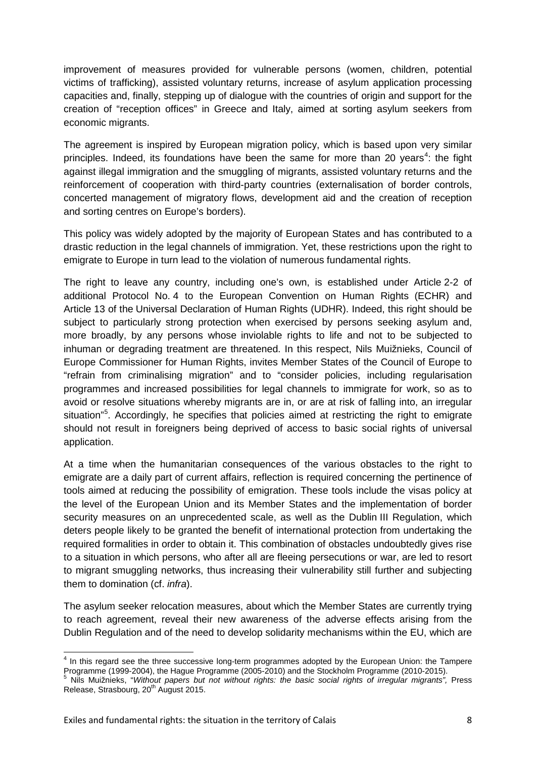improvement of measures provided for vulnerable persons (women, children, potential victims of trafficking), assisted voluntary returns, increase of asylum application processing capacities and, finally, stepping up of dialogue with the countries of origin and support for the creation of "reception offices" in Greece and Italy, aimed at sorting asylum seekers from economic migrants.

The agreement is inspired by European migration policy, which is based upon very similar principles. Indeed, its foundations have been the same for more than 20 years<sup>[4](#page-7-0)</sup>: the fight against illegal immigration and the smuggling of migrants, assisted voluntary returns and the reinforcement of cooperation with third-party countries (externalisation of border controls, concerted management of migratory flows, development aid and the creation of reception and sorting centres on Europe's borders).

This policy was widely adopted by the majority of European States and has contributed to a drastic reduction in the legal channels of immigration. Yet, these restrictions upon the right to emigrate to Europe in turn lead to the violation of numerous fundamental rights.

The right to leave any country, including one's own, is established under Article 2-2 of additional Protocol No. 4 to the European Convention on Human Rights (ECHR) and Article 13 of the Universal Declaration of Human Rights (UDHR). Indeed, this right should be subject to particularly strong protection when exercised by persons seeking asylum and, more broadly, by any persons whose inviolable rights to life and not to be subjected to inhuman or degrading treatment are threatened. In this respect, Nils Muižnieks, Council of Europe Commissioner for Human Rights, invites Member States of the Council of Europe to "refrain from criminalising migration" and to "consider policies, including regularisation programmes and increased possibilities for legal channels to immigrate for work, so as to avoid or resolve situations whereby migrants are in, or are at risk of falling into, an irregular situation"<sup>[5](#page-7-1)</sup>. Accordingly, he specifies that policies aimed at restricting the right to emigrate should not result in foreigners being deprived of access to basic social rights of universal application.

At a time when the humanitarian consequences of the various obstacles to the right to emigrate are a daily part of current affairs, reflection is required concerning the pertinence of tools aimed at reducing the possibility of emigration. These tools include the visas policy at the level of the European Union and its Member States and the implementation of border security measures on an unprecedented scale, as well as the Dublin III Regulation, which deters people likely to be granted the benefit of international protection from undertaking the required formalities in order to obtain it. This combination of obstacles undoubtedly gives rise to a situation in which persons, who after all are fleeing persecutions or war, are led to resort to migrant smuggling networks, thus increasing their vulnerability still further and subjecting them to domination (cf. *infra*).

The asylum seeker relocation measures, about which the Member States are currently trying to reach agreement, reveal their new awareness of the adverse effects arising from the Dublin Regulation and of the need to develop solidarity mechanisms within the EU, which are

<span id="page-7-0"></span> $4$  In this regard see the three successive long-term programmes adopted by the European Union: the Tampere Programme (1999-2004), the Hague Programme (2010-2015).

<span id="page-7-1"></span>Programme (1999-2004), the Hague Programme (2005-2010) and the Stockholm Programme (2010-2015). <sup>5</sup> Nils Muižnieks, "*Without papers but not without rights: the basic social rights of irregular migrants",* Press Release, Strasbourg, 20<sup>th</sup> August 2015.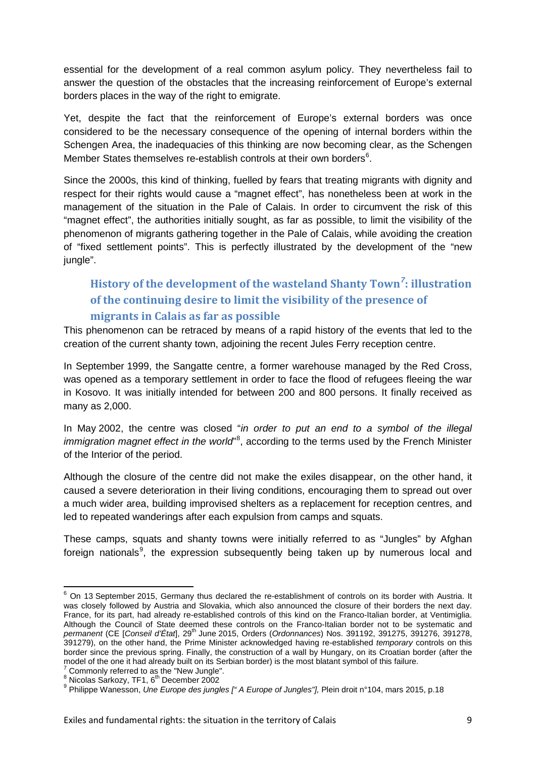essential for the development of a real common asylum policy. They nevertheless fail to answer the question of the obstacles that the increasing reinforcement of Europe's external borders places in the way of the right to emigrate.

Yet, despite the fact that the reinforcement of Europe's external borders was once considered to be the necessary consequence of the opening of internal borders within the Schengen Area, the inadequacies of this thinking are now becoming clear, as the Schengen Member States themselves re-establish controls at their own borders<sup>[6](#page-8-1)</sup>.

Since the 2000s, this kind of thinking, fuelled by fears that treating migrants with dignity and respect for their rights would cause a "magnet effect", has nonetheless been at work in the management of the situation in the Pale of Calais. In order to circumvent the risk of this "magnet effect", the authorities initially sought, as far as possible, to limit the visibility of the phenomenon of migrants gathering together in the Pale of Calais, while avoiding the creation of "fixed settlement points". This is perfectly illustrated by the development of the "new jungle".

## <span id="page-8-0"></span>**History of the development of the wasteland Shanty Town***[7](#page-8-2)* **: illustration of the continuing desire to limit the visibility of the presence of migrants in Calais as far as possible**

This phenomenon can be retraced by means of a rapid history of the events that led to the creation of the current shanty town, adjoining the recent Jules Ferry reception centre.

In September 1999, the Sangatte centre, a former warehouse managed by the Red Cross, was opened as a temporary settlement in order to face the flood of refugees fleeing the war in Kosovo. It was initially intended for between 200 and 800 persons. It finally received as many as 2,000.

In May 2002, the centre was closed "*in order to put an end to a symbol of the illegal*  immigration magnet effect in the world"<sup>[8](#page-8-3)</sup>, according to the terms used by the French Minister of the Interior of the period.

Although the closure of the centre did not make the exiles disappear, on the other hand, it caused a severe deterioration in their living conditions, encouraging them to spread out over a much wider area, building improvised shelters as a replacement for reception centres, and led to repeated wanderings after each expulsion from camps and squats.

These camps, squats and shanty towns were initially referred to as "Jungles" by Afghan foreign nationals<sup>[9](#page-8-4)</sup>, the expression subsequently being taken up by numerous local and

<span id="page-8-1"></span><sup>&</sup>lt;sup>6</sup> On 13 September 2015, Germany thus declared the re-establishment of controls on its border with Austria. It was closely followed by Austria and Slovakia, which also announced the closure of their borders the next day. France, for its part, had already re-established controls of this kind on the Franco-Italian border, at Ventimiglia. Although the Council of State deemed these controls on the Franco-Italian border not to be systematic and *permanent* (CE [*Conseil d'État*], 29th June 2015, Orders (*Ordonnances*) Nos. 391192, 391275, 391276, 391278, 391279), on the other hand, the Prime Minister acknowledged having re-established *temporary* controls on this border since the previous spring. Finally, the construction of a wall by Hungary, on its Croatian border (after the model of the one it had already built on its Serbian border) is the most blatant symbol of this failure.<br><sup>7</sup> Commonly referred to as the "New Jungle".

<span id="page-8-2"></span>

<span id="page-8-4"></span><span id="page-8-3"></span><sup>8</sup> Summenn, referred to as the "New Jungle".<br><sup>9</sup> Nicolas Sarkozy, TF1, 6<sup>th</sup> December 2002<br><sup>9</sup> Philippe Wanesson, *Une Europe des jungles [" A Europe of Jungles"],* Plein droit n°104, mars 2015, p.18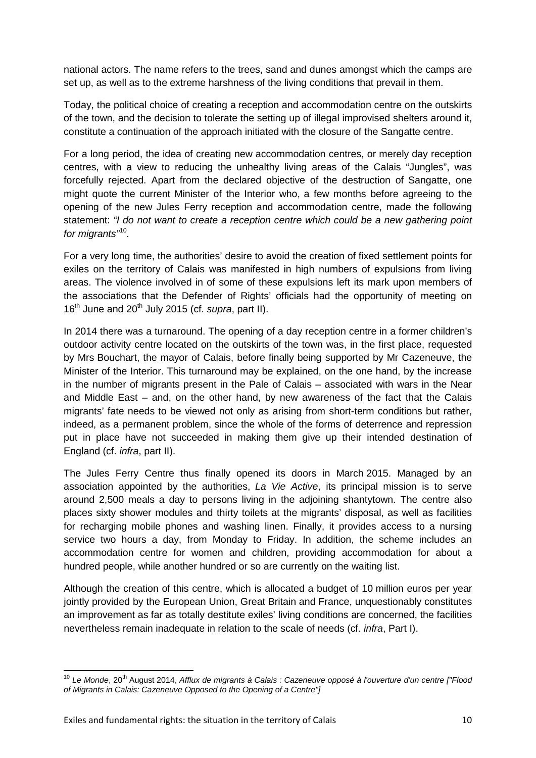national actors. The name refers to the trees, sand and dunes amongst which the camps are set up, as well as to the extreme harshness of the living conditions that prevail in them.

Today, the political choice of creating a reception and accommodation centre on the outskirts of the town, and the decision to tolerate the setting up of illegal improvised shelters around it, constitute a continuation of the approach initiated with the closure of the Sangatte centre.

For a long period, the idea of creating new accommodation centres, or merely day reception centres, with a view to reducing the unhealthy living areas of the Calais "Jungles", was forcefully rejected. Apart from the declared objective of the destruction of Sangatte, one might quote the current Minister of the Interior who, a few months before agreeing to the opening of the new Jules Ferry reception and accommodation centre, made the following statement: *"I do not want to create a reception centre which could be a new gathering point for migrants"*[10](#page-9-0)*.*

For a very long time, the authorities' desire to avoid the creation of fixed settlement points for exiles on the territory of Calais was manifested in high numbers of expulsions from living areas. The violence involved in of some of these expulsions left its mark upon members of the associations that the Defender of Rights' officials had the opportunity of meeting on 16<sup>th</sup> June and 20<sup>th</sup> July 2015 (cf. *supra*, part II).

In 2014 there was a turnaround. The opening of a day reception centre in a former children's outdoor activity centre located on the outskirts of the town was, in the first place, requested by Mrs Bouchart, the mayor of Calais, before finally being supported by Mr Cazeneuve, the Minister of the Interior. This turnaround may be explained, on the one hand, by the increase in the number of migrants present in the Pale of Calais – associated with wars in the Near and Middle East – and, on the other hand, by new awareness of the fact that the Calais migrants' fate needs to be viewed not only as arising from short-term conditions but rather, indeed, as a permanent problem, since the whole of the forms of deterrence and repression put in place have not succeeded in making them give up their intended destination of England (cf. *infra*, part II).

The Jules Ferry Centre thus finally opened its doors in March 2015. Managed by an association appointed by the authorities, *La Vie Active*, its principal mission is to serve around 2,500 meals a day to persons living in the adjoining shantytown. The centre also places sixty shower modules and thirty toilets at the migrants' disposal, as well as facilities for recharging mobile phones and washing linen. Finally, it provides access to a nursing service two hours a day, from Monday to Friday. In addition, the scheme includes an accommodation centre for women and children, providing accommodation for about a hundred people, while another hundred or so are currently on the waiting list.

Although the creation of this centre, which is allocated a budget of 10 million euros per year jointly provided by the European Union, Great Britain and France, unquestionably constitutes an improvement as far as totally destitute exiles' living conditions are concerned, the facilities nevertheless remain inadequate in relation to the scale of needs (cf. *infra*, Part I).

<span id="page-9-0"></span><sup>10</sup> *Le Monde*, 20th August 2014, *Afflux de migrants à Calais : Cazeneuve opposé à l'ouverture d'un centre ["Flood of Migrants in Calais: Cazeneuve Opposed to the Opening of a Centre"]*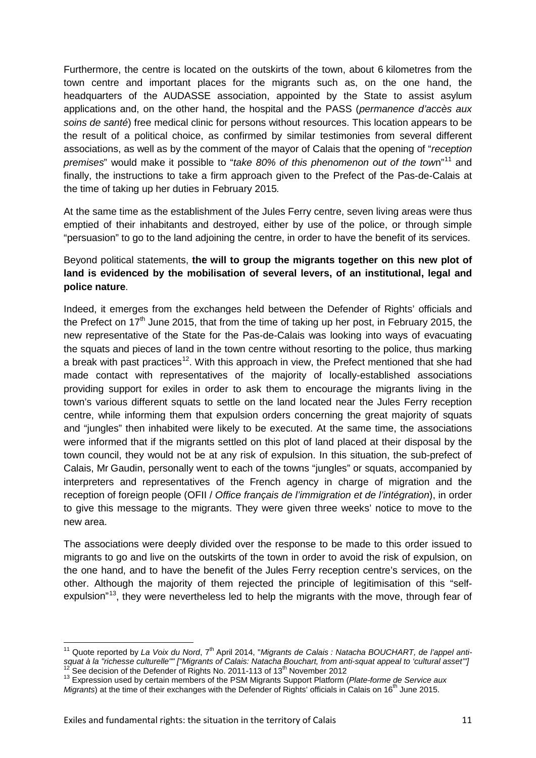Furthermore, the centre is located on the outskirts of the town, about 6 kilometres from the town centre and important places for the migrants such as, on the one hand, the headquarters of the AUDASSE association, appointed by the State to assist asylum applications and, on the other hand, the hospital and the PASS (*permanence d'accès aux soins de santé*) free medical clinic for persons without resources. This location appears to be the result of a political choice, as confirmed by similar testimonies from several different associations, as well as by the comment of the mayor of Calais that the opening of "*reception premises*" would make it possible to "*take 80% of this phenomenon out of the tow*n"[11](#page-10-0) and finally, the instructions to take a firm approach given to the Prefect of the Pas-de-Calais at the time of taking up her duties in February 2015*.*

At the same time as the establishment of the Jules Ferry centre, seven living areas were thus emptied of their inhabitants and destroyed, either by use of the police, or through simple "persuasion" to go to the land adjoining the centre, in order to have the benefit of its services.

#### Beyond political statements, **the will to group the migrants together on this new plot of land is evidenced by the mobilisation of several levers, of an institutional, legal and police nature**.

Indeed, it emerges from the exchanges held between the Defender of Rights' officials and the Prefect on  $17<sup>th</sup>$  June 2015, that from the time of taking up her post, in February 2015, the new representative of the State for the Pas-de-Calais was looking into ways of evacuating the squats and pieces of land in the town centre without resorting to the police, thus marking a break with past practices<sup>[12](#page-10-1)</sup>. With this approach in view, the Prefect mentioned that she had made contact with representatives of the majority of locally-established associations providing support for exiles in order to ask them to encourage the migrants living in the town's various different squats to settle on the land located near the Jules Ferry reception centre, while informing them that expulsion orders concerning the great majority of squats and "jungles" then inhabited were likely to be executed. At the same time, the associations were informed that if the migrants settled on this plot of land placed at their disposal by the town council, they would not be at any risk of expulsion. In this situation, the sub-prefect of Calais, Mr Gaudin, personally went to each of the towns "jungles" or squats, accompanied by interpreters and representatives of the French agency in charge of migration and the reception of foreign people (OFII / *Office français de l'immigration et de l'intégration*), in order to give this message to the migrants. They were given three weeks' notice to move to the new area.

The associations were deeply divided over the response to be made to this order issued to migrants to go and live on the outskirts of the town in order to avoid the risk of expulsion, on the one hand, and to have the benefit of the Jules Ferry reception centre's services, on the other. Although the majority of them rejected the principle of legitimisation of this "self-expulsion"<sup>[13](#page-10-2)</sup>, they were nevertheless led to help the migrants with the move, through fear of

<span id="page-10-0"></span><sup>11</sup> Quote reported by *La Voix du Nord*, 7th April 2014, "*Migrants de Calais : Natacha BOUCHART, de l'appel anti*squat à la "richesse culturelle"" ["Migrants of Calais: Natacha Bouchart, from anti-squat appeal to 'cultural asset'"]<br><sup>12</sup> See decision of the Defender of Rights No. 2011-113 of 13<sup>th</sup> November 2012<br><sup>13</sup> Expression used b

<span id="page-10-2"></span><span id="page-10-1"></span>*M* Expression used by certain members of the PSM Migrants Support Platform (*Plate-forme de Service aux Migrants*) at the time of their exchanges with the Defender of Rights' officials in Calais on 16<sup>th</sup> June 2015.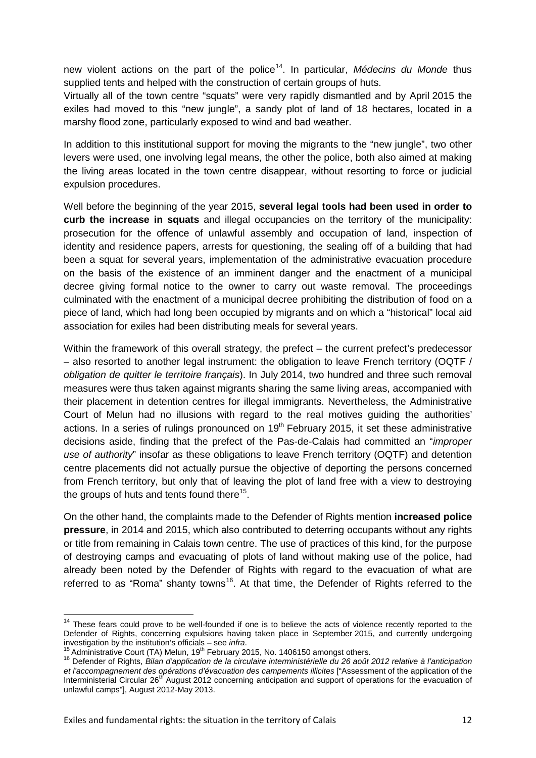new violent actions on the part of the police<sup>14</sup>. In particular, *Médecins du Monde* thus supplied tents and helped with the construction of certain groups of huts.

Virtually all of the town centre "squats" were very rapidly dismantled and by April 2015 the exiles had moved to this "new jungle", a sandy plot of land of 18 hectares, located in a marshy flood zone, particularly exposed to wind and bad weather.

In addition to this institutional support for moving the migrants to the "new jungle", two other levers were used, one involving legal means, the other the police, both also aimed at making the living areas located in the town centre disappear, without resorting to force or judicial expulsion procedures.

Well before the beginning of the year 2015, **several legal tools had been used in order to curb the increase in squats** and illegal occupancies on the territory of the municipality: prosecution for the offence of unlawful assembly and occupation of land, inspection of identity and residence papers, arrests for questioning, the sealing off of a building that had been a squat for several years, implementation of the administrative evacuation procedure on the basis of the existence of an imminent danger and the enactment of a municipal decree giving formal notice to the owner to carry out waste removal. The proceedings culminated with the enactment of a municipal decree prohibiting the distribution of food on a piece of land, which had long been occupied by migrants and on which a "historical" local aid association for exiles had been distributing meals for several years.

Within the framework of this overall strategy, the prefect – the current prefect's predecessor – also resorted to another legal instrument: the obligation to leave French territory (OQTF / *obligation de quitter le territoire français*). In July 2014, two hundred and three such removal measures were thus taken against migrants sharing the same living areas, accompanied with their placement in detention centres for illegal immigrants. Nevertheless, the Administrative Court of Melun had no illusions with regard to the real motives guiding the authorities' actions. In a series of rulings pronounced on  $19<sup>th</sup>$  February 2015, it set these administrative decisions aside, finding that the prefect of the Pas-de-Calais had committed an "*improper use of authority*" insofar as these obligations to leave French territory (OQTF) and detention centre placements did not actually pursue the objective of deporting the persons concerned from French territory, but only that of leaving the plot of land free with a view to destroying the groups of huts and tents found there<sup>[15](#page-11-1)</sup>.

On the other hand, the complaints made to the Defender of Rights mention **increased police pressure**, in 2014 and 2015, which also contributed to deterring occupants without any rights or title from remaining in Calais town centre. The use of practices of this kind, for the purpose of destroying camps and evacuating of plots of land without making use of the police, had already been noted by the Defender of Rights with regard to the evacuation of what are referred to as "Roma" shanty towns<sup>16</sup>. At that time, the Defender of Rights referred to the

<span id="page-11-0"></span><sup>&</sup>lt;sup>14</sup> These fears could prove to be well-founded if one is to believe the acts of violence recently reported to the Defender of Rights, concerning expulsions having taken place in September 2015, and currently undergoing investigation by the institution's officials – see infra.<br>
<sup>15</sup> Administrative Court (TA) Melun, 19<sup>th</sup> February 2015, No. 1406150 amongst others.<br>
<sup>16</sup> Defender of Rights, *Bilan d'application de la circulaire interminist* 

<span id="page-11-2"></span><span id="page-11-1"></span>*et l'accompagnement des opérations d'évacuation des campements illicites* ["Assessment of the application of the Interministerial Circular 26<sup>th</sup> August 2012 concerning anticipation and support of operations for the evacuation of unlawful camps"], August 2012-May 2013.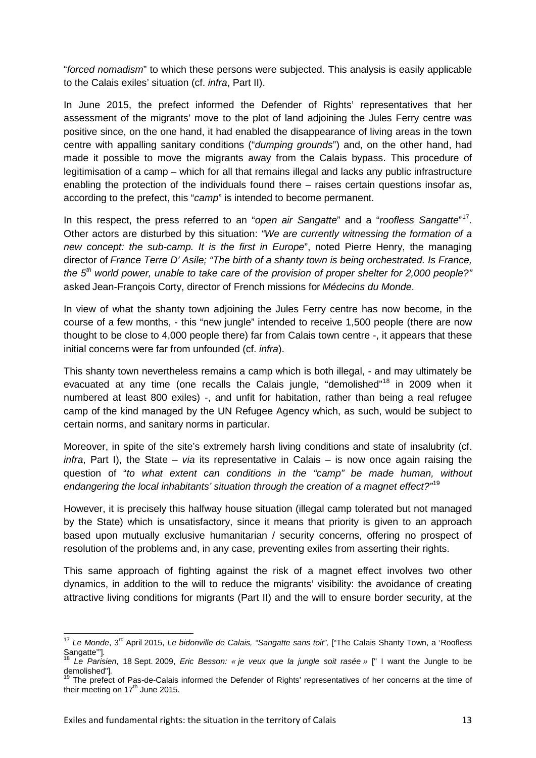"*forced nomadism*" to which these persons were subjected. This analysis is easily applicable to the Calais exiles' situation (cf. *infra*, Part II).

In June 2015, the prefect informed the Defender of Rights' representatives that her assessment of the migrants' move to the plot of land adjoining the Jules Ferry centre was positive since, on the one hand, it had enabled the disappearance of living areas in the town centre with appalling sanitary conditions ("*dumping grounds*") and, on the other hand, had made it possible to move the migrants away from the Calais bypass. This procedure of legitimisation of a camp – which for all that remains illegal and lacks any public infrastructure enabling the protection of the individuals found there – raises certain questions insofar as, according to the prefect, this "*camp*" is intended to become permanent.

In this respect, the press referred to an "*open air Sangatte*" and a "*roofless Sangatte*" [17](#page-12-0). Other actors are disturbed by this situation: *"We are currently witnessing the formation of a new concept: the sub-camp. It is the first in Europe*", noted Pierre Henry, the managing director of *France Terre D' Asile; "The birth of a shanty town is being orchestrated. Is France, the 5th world power, unable to take care of the provision of proper shelter for 2,000 people?"* asked Jean-François Corty, director of French missions for *Médecins du Monde*.

In view of what the shanty town adjoining the Jules Ferry centre has now become, in the course of a few months, - this "new jungle" intended to receive 1,500 people (there are now thought to be close to 4,000 people there) far from Calais town centre -, it appears that these initial concerns were far from unfounded (cf. *infra*).

This shanty town nevertheless remains a camp which is both illegal, - and may ultimately be evacuated at any time (one recalls the Calais jungle, "demolished"<sup>[18](#page-12-1)</sup> in 2009 when it numbered at least 800 exiles) -, and unfit for habitation, rather than being a real refugee camp of the kind managed by the UN Refugee Agency which, as such, would be subject to certain norms, and sanitary norms in particular.

Moreover, in spite of the site's extremely harsh living conditions and state of insalubrity (cf. *infra*, Part I), the State – *via* its representative in Calais – is now once again raising the question of "*to what extent can conditions in the "camp" be made human, without endangering the local inhabitants' situation through the creation of a magnet effect?"*[19](#page-12-2)

However, it is precisely this halfway house situation (illegal camp tolerated but not managed by the State) which is unsatisfactory, since it means that priority is given to an approach based upon mutually exclusive humanitarian / security concerns, offering no prospect of resolution of the problems and, in any case, preventing exiles from asserting their rights.

This same approach of fighting against the risk of a magnet effect involves two other dynamics, in addition to the will to reduce the migrants' visibility: the avoidance of creating attractive living conditions for migrants (Part II) and the will to ensure border security, at the

<span id="page-12-0"></span><sup>&</sup>lt;sup>17</sup> Le Monde, 3<sup>rd</sup> April 2015, Le bidonville de Calais, "Sangatte sans toit", ["The Calais Shanty Town, a 'Roofless Sangatte'"]*.* <sup>18</sup> *Le Parisien*, 18 Sept. 2009, *Eric Besson: « je veux que la jungle soit rasée »* [" I want the Jungle to be

<span id="page-12-1"></span>demolished"].<br>
<sup>19</sup> The prefect of Pas-de-Calais informed the Defender of Rights' representatives of her concerns at the time of<br>
<sup>19</sup> The prefect of Pas-de-Calais informed the Defender of Rights' representatives of her co

<span id="page-12-2"></span>their meeting on  $17<sup>th</sup>$  June 2015.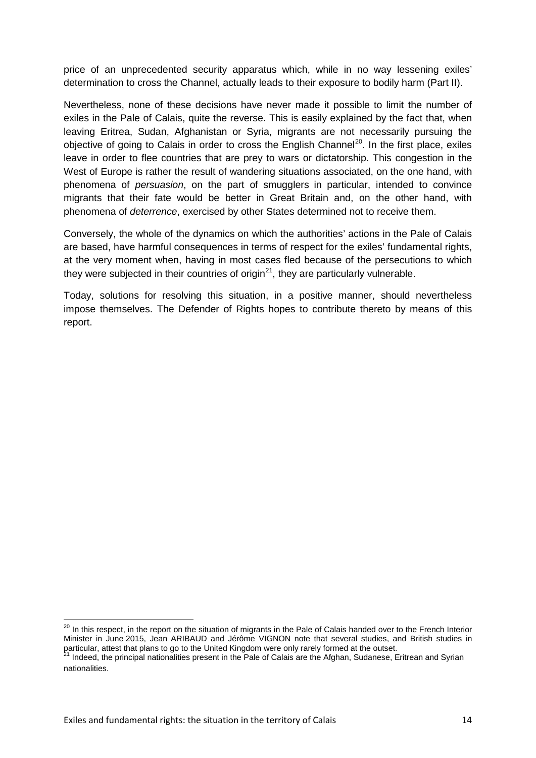price of an unprecedented security apparatus which, while in no way lessening exiles' determination to cross the Channel, actually leads to their exposure to bodily harm (Part II).

Nevertheless, none of these decisions have never made it possible to limit the number of exiles in the Pale of Calais, quite the reverse. This is easily explained by the fact that, when leaving Eritrea, Sudan, Afghanistan or Syria, migrants are not necessarily pursuing the objective of going to Calais in order to cross the English Channel<sup>[20](#page-13-0)</sup>. In the first place, exiles leave in order to flee countries that are prey to wars or dictatorship. This congestion in the West of Europe is rather the result of wandering situations associated, on the one hand, with phenomena of *persuasion*, on the part of smugglers in particular, intended to convince migrants that their fate would be better in Great Britain and, on the other hand, with phenomena of *deterrence*, exercised by other States determined not to receive them.

Conversely, the whole of the dynamics on which the authorities' actions in the Pale of Calais are based, have harmful consequences in terms of respect for the exiles' fundamental rights, at the very moment when, having in most cases fled because of the persecutions to which they were subjected in their countries of origin $^{21}$ , they are particularly vulnerable.

Today, solutions for resolving this situation, in a positive manner, should nevertheless impose themselves. The Defender of Rights hopes to contribute thereto by means of this report.

<span id="page-13-0"></span><sup>&</sup>lt;sup>20</sup> In this respect, in the report on the situation of migrants in the Pale of Calais handed over to the French Interior Minister in June 2015, Jean ARIBAUD and Jérôme VIGNON note that several studies, and British studies in particular, attest that plans to go to the United Kingdom were only rarely formed at the outset.<br><sup>21</sup> Indeed, the principal nationalities present in the Pale of Calais are the Afghan, Sudanese, Eritrean and Syrian

<span id="page-13-1"></span>nationalities.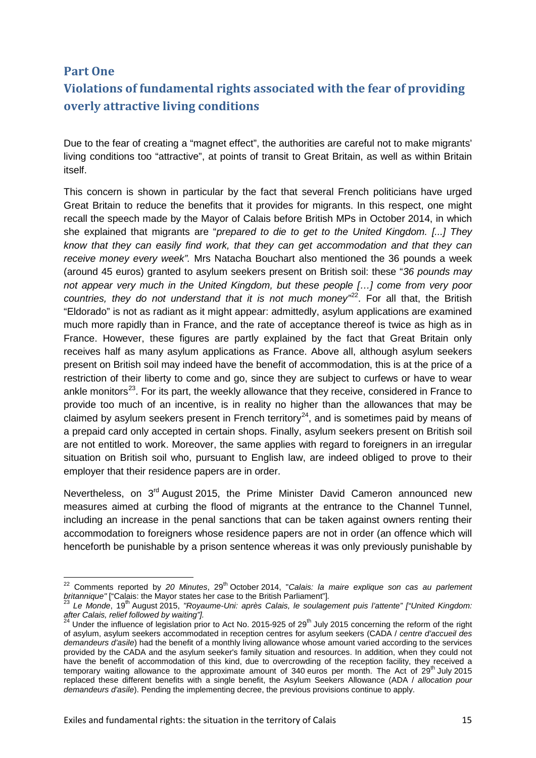## <span id="page-14-0"></span>**Part One**

## **Violations of fundamental rights associated with the fear of providing overly attractive living conditions**

Due to the fear of creating a "magnet effect", the authorities are careful not to make migrants' living conditions too "attractive", at points of transit to Great Britain, as well as within Britain itself.

This concern is shown in particular by the fact that several French politicians have urged Great Britain to reduce the benefits that it provides for migrants. In this respect, one might recall the speech made by the Mayor of Calais before British MPs in October 2014, in which she explained that migrants are "*prepared to die to get to the United Kingdom. [...] They know that they can easily find work, that they can get accommodation and that they can receive money every week".* Mrs Natacha Bouchart also mentioned the 36 pounds a week (around 45 euros) granted to asylum seekers present on British soil: these "*36 pounds may not appear very much in the United Kingdom, but these people […] come from very poor*  countries, they do not understand that it is not much money<sup>-22</sup>. For all that, the British "Eldorado" is not as radiant as it might appear: admittedly, asylum applications are examined much more rapidly than in France, and the rate of acceptance thereof is twice as high as in France. However, these figures are partly explained by the fact that Great Britain only receives half as many asylum applications as France. Above all, although asylum seekers present on British soil may indeed have the benefit of accommodation, this is at the price of a restriction of their liberty to come and go, since they are subject to curfews or have to wear ankle monitors<sup>23</sup>. For its part, the weekly allowance that they receive, considered in France to provide too much of an incentive, is in reality no higher than the allowances that may be claimed by asylum seekers present in French territory<sup>24</sup>, and is sometimes paid by means of a prepaid card only accepted in certain shops. Finally, asylum seekers present on British soil are not entitled to work. Moreover, the same applies with regard to foreigners in an irregular situation on British soil who, pursuant to English law, are indeed obliged to prove to their employer that their residence papers are in order.

Nevertheless, on  $3<sup>rd</sup>$  August 2015, the Prime Minister David Cameron announced new measures aimed at curbing the flood of migrants at the entrance to the Channel Tunnel, including an increase in the penal sanctions that can be taken against owners renting their accommodation to foreigners whose residence papers are not in order (an offence which will henceforth be punishable by a prison sentence whereas it was only previously punishable by

<span id="page-14-1"></span><sup>&</sup>lt;sup>22</sup> Comments reported by 20 Minutes, 29<sup>th</sup> October 2014, "Calais: la maire explique son cas au parlement *britannique"* ["Calais: the Mayor states her case to the British Parliament"]*.* <sup>23</sup> *Le Monde*, 19th August 2015, *"Royaume-Uni: après Calais, le soulagement puis l'attente" ["United Kingdom:* 

<span id="page-14-2"></span>*after Calais, relief followed by waiting"].*

<span id="page-14-3"></span><sup>&</sup>lt;sup>24</sup> Under the influence of legislation prior to Act No. 2015-925 of 29<sup>th</sup> July 2015 concerning the reform of the right of asylum, asylum seekers accommodated in reception centres for asylum seekers (CADA / *centre d'accueil des demandeurs d'asile*) had the benefit of a monthly living allowance whose amount varied according to the services provided by the CADA and the asylum seeker's family situation and resources. In addition, when they could not have the benefit of accommodation of this kind, due to overcrowding of the reception facility, they received a temporary waiting allowance to the approximate amount of 340 euros per month. The Act of 29<sup>th</sup> July 2015 replaced these different benefits with a single benefit, the Asylum Seekers Allowance (ADA / *allocation pour demandeurs d'asile*). Pending the implementing decree, the previous provisions continue to apply.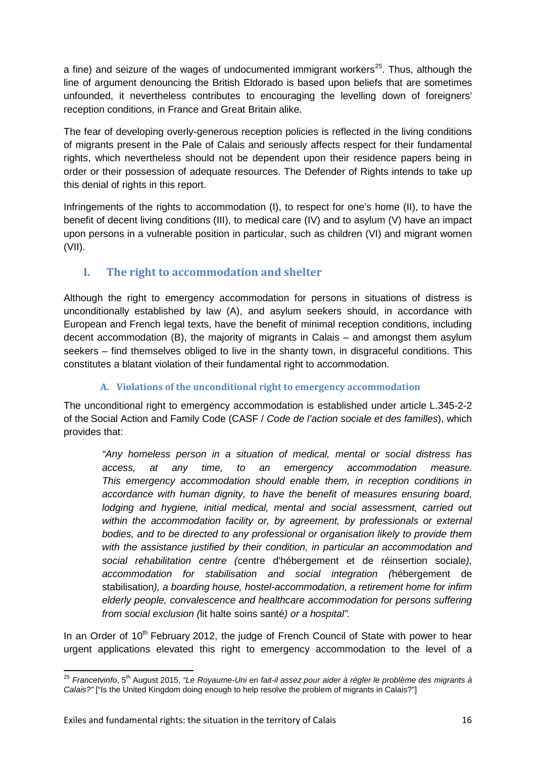a fine) and seizure of the wages of undocumented immigrant workers<sup>25</sup>. Thus, although the line of argument denouncing the British Eldorado is based upon beliefs that are sometimes unfounded, it nevertheless contributes to encouraging the levelling down of foreigners' reception conditions, in France and Great Britain alike.

The fear of developing overly-generous reception policies is reflected in the living conditions of migrants present in the Pale of Calais and seriously affects respect for their fundamental rights, which nevertheless should not be dependent upon their residence papers being in order or their possession of adequate resources. The Defender of Rights intends to take up this denial of rights in this report.

Infringements of the rights to accommodation (I), to respect for one's home (II), to have the benefit of decent living conditions (III), to medical care (IV) and to asylum (V) have an impact upon persons in a vulnerable position in particular, such as children (VI) and migrant women (VII).

## <span id="page-15-0"></span>**I. The right to accommodation and shelter**

Although the right to emergency accommodation for persons in situations of distress is unconditionally established by law (A), and asylum seekers should, in accordance with European and French legal texts, have the benefit of minimal reception conditions, including decent accommodation (B), the majority of migrants in Calais – and amongst them asylum seekers – find themselves obliged to live in the shanty town, in disgraceful conditions. This constitutes a blatant violation of their fundamental right to accommodation.

#### **A. Violations of the unconditional right to emergency accommodation**

<span id="page-15-1"></span>The unconditional right to emergency accommodation is established under article L.345-2-2 of the Social Action and Family Code (CASF / *Code de l'action sociale et des familles*), which provides that:

*"Any homeless person in a situation of medical, mental or social distress has access, at any time, to an emergency accommodation measure. This emergency accommodation should enable them, in reception conditions in accordance with human dignity, to have the benefit of measures ensuring board, lodging and hygiene, initial medical, mental and social assessment, carried out*  within the accommodation facility or, by agreement, by professionals or external *bodies, and to be directed to any professional or organisation likely to provide them with the assistance justified by their condition, in particular an accommodation and social rehabilitation centre (*centre d'hébergement et de réinsertion sociale*), accommodation for stabilisation and social integration (*hébergement de stabilisation*), a boarding house, hostel-accommodation, a retirement home for infirm elderly people, convalescence and healthcare accommodation for persons suffering from social exclusion (*lit halte soins santé*) or a hospital".*

In an Order of  $10<sup>th</sup>$  February 2012, the judge of French Council of State with power to hear urgent applications elevated this right to emergency accommodation to the level of a

<span id="page-15-2"></span><sup>&</sup>lt;sup>25</sup> Francetvinfo, 5<sup>th</sup> August 2015, "Le Royaume-Uni en fait-il assez pour aider à régler le problème des migrants à *Calais?"* ["Is the United Kingdom doing enough to help resolve the problem of migrants in Calais?"]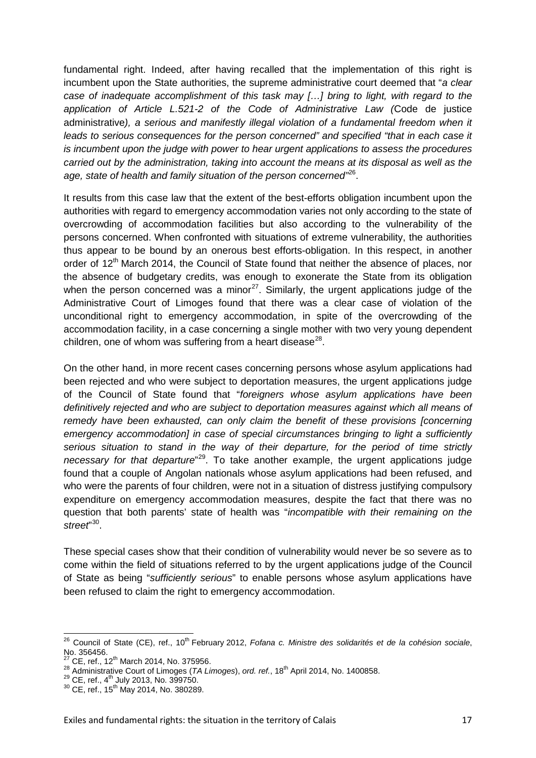fundamental right. Indeed, after having recalled that the implementation of this right is incumbent upon the State authorities, the supreme administrative court deemed that "*a clear case of inadequate accomplishment of this task may […] bring to light, with regard to the application of Article L.521-2 of the Code of Administrative Law (*Code de justice administrative*), a serious and manifestly illegal violation of a fundamental freedom when it leads to serious consequences for the person concerned" and specified "that in each case it is incumbent upon the judge with power to hear urgent applications to assess the procedures carried out by the administration, taking into account the means at its disposal as well as the age, state of health and family situation of the person concerned"*[26](#page-16-0).

It results from this case law that the extent of the best-efforts obligation incumbent upon the authorities with regard to emergency accommodation varies not only according to the state of overcrowding of accommodation facilities but also according to the vulnerability of the persons concerned. When confronted with situations of extreme vulnerability, the authorities thus appear to be bound by an onerous best efforts-obligation. In this respect, in another order of 12<sup>th</sup> March 2014, the Council of State found that neither the absence of places, nor the absence of budgetary credits, was enough to exonerate the State from its obligation when the person concerned was a minor<sup>[27](#page-16-1)</sup>. Similarly, the urgent applications judge of the Administrative Court of Limoges found that there was a clear case of violation of the unconditional right to emergency accommodation, in spite of the overcrowding of the accommodation facility, in a case concerning a single mother with two very young dependent children, one of whom was suffering from a heart disease $^{28}$ .

On the other hand, in more recent cases concerning persons whose asylum applications had been rejected and who were subject to deportation measures, the urgent applications judge of the Council of State found that "*foreigners whose asylum applications have been definitively rejected and who are subject to deportation measures against which all means of remedy have been exhausted, can only claim the benefit of these provisions [concerning emergency accommodation] in case of special circumstances bringing to light a sufficiently serious situation to stand in the way of their departure, for the period of time strictly necessary for that departure*" [29](#page-16-3). To take another example, the urgent applications judge found that a couple of Angolan nationals whose asylum applications had been refused, and who were the parents of four children, were not in a situation of distress justifying compulsory expenditure on emergency accommodation measures, despite the fact that there was no question that both parents' state of health was "*incompatible with their remaining on the*  street<sup>"[30](#page-16-4)</sup>.

These special cases show that their condition of vulnerability would never be so severe as to come within the field of situations referred to by the urgent applications judge of the Council of State as being "*sufficiently serious*" to enable persons whose asylum applications have been refused to claim the right to emergency accommodation.

<span id="page-16-0"></span><sup>26</sup> Council of State (CE), ref., 10th February 2012, *Fofana c. Ministre des solidarités et de la cohésion sociale*,

<span id="page-16-2"></span><span id="page-16-1"></span>

<sup>&</sup>lt;sup>27</sup> CE, ref., 12<sup>th</sup> March 2014, No. 375956.<br><sup>28</sup> Administrative Court of Limoges (*TA Limoges*), ord. ref., 18<sup>th</sup> April 2014, No. 1400858.<br><sup>29</sup> CE, ref., 4<sup>th</sup> July 2013, No. 399750.<br><sup>30</sup> CE, ref., 15<sup>th</sup> May 2014, No.

<span id="page-16-3"></span>

<span id="page-16-4"></span>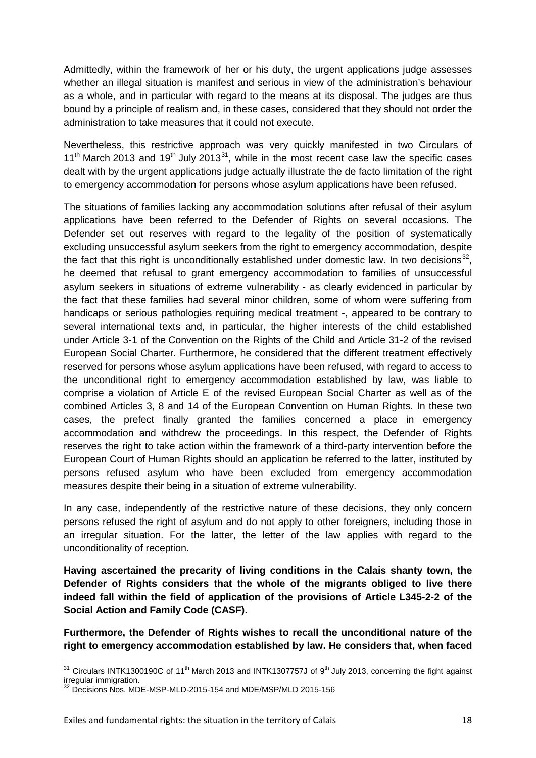Admittedly, within the framework of her or his duty, the urgent applications judge assesses whether an illegal situation is manifest and serious in view of the administration's behaviour as a whole, and in particular with regard to the means at its disposal. The judges are thus bound by a principle of realism and, in these cases, considered that they should not order the administration to take measures that it could not execute.

Nevertheless, this restrictive approach was very quickly manifested in two Circulars of  $11<sup>th</sup>$  March 2013 and 19<sup>th</sup> July 2013<sup>31</sup>, while in the most recent case law the specific cases dealt with by the urgent applications judge actually illustrate the de facto limitation of the right to emergency accommodation for persons whose asylum applications have been refused.

The situations of families lacking any accommodation solutions after refusal of their asylum applications have been referred to the Defender of Rights on several occasions. The Defender set out reserves with regard to the legality of the position of systematically excluding unsuccessful asylum seekers from the right to emergency accommodation, despite the fact that this right is unconditionally established under domestic law. In two decisions $32$ . he deemed that refusal to grant emergency accommodation to families of unsuccessful asylum seekers in situations of extreme vulnerability - as clearly evidenced in particular by the fact that these families had several minor children, some of whom were suffering from handicaps or serious pathologies requiring medical treatment -, appeared to be contrary to several international texts and, in particular, the higher interests of the child established under Article 3-1 of the Convention on the Rights of the Child and Article 31-2 of the revised European Social Charter. Furthermore, he considered that the different treatment effectively reserved for persons whose asylum applications have been refused, with regard to access to the unconditional right to emergency accommodation established by law, was liable to comprise a violation of Article E of the revised European Social Charter as well as of the combined Articles 3, 8 and 14 of the European Convention on Human Rights. In these two cases, the prefect finally granted the families concerned a place in emergency accommodation and withdrew the proceedings. In this respect, the Defender of Rights reserves the right to take action within the framework of a third-party intervention before the European Court of Human Rights should an application be referred to the latter, instituted by persons refused asylum who have been excluded from emergency accommodation measures despite their being in a situation of extreme vulnerability.

In any case, independently of the restrictive nature of these decisions, they only concern persons refused the right of asylum and do not apply to other foreigners, including those in an irregular situation. For the latter, the letter of the law applies with regard to the unconditionality of reception.

**Having ascertained the precarity of living conditions in the Calais shanty town, the Defender of Rights considers that the whole of the migrants obliged to live there indeed fall within the field of application of the provisions of Article L345-2-2 of the Social Action and Family Code (CASF).**

**Furthermore, the Defender of Rights wishes to recall the unconditional nature of the right to emergency accommodation established by law. He considers that, when faced**

<span id="page-17-0"></span> $31$  Circulars INTK1300190C of 11<sup>th</sup> March 2013 and INTK1307757J of 9<sup>th</sup> July 2013, concerning the fight against irregular immigration.

<span id="page-17-1"></span><sup>1999.</sup> Internal management of the MSP-MLD-2015-154 and MDE/MSP/MLD 2015-156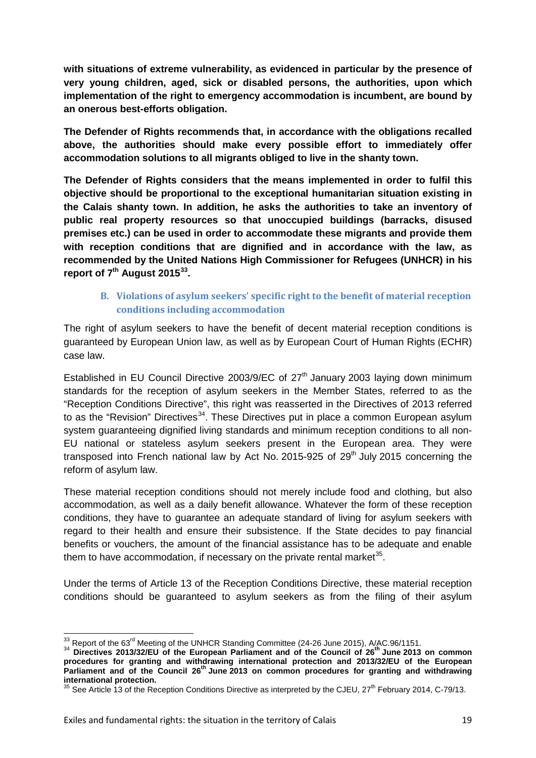**with situations of extreme vulnerability, as evidenced in particular by the presence of very young children, aged, sick or disabled persons, the authorities, upon which implementation of the right to emergency accommodation is incumbent, are bound by an onerous best-efforts obligation.** 

**The Defender of Rights recommends that, in accordance with the obligations recalled above, the authorities should make every possible effort to immediately offer accommodation solutions to all migrants obliged to live in the shanty town.** 

**The Defender of Rights considers that the means implemented in order to fulfil this objective should be proportional to the exceptional humanitarian situation existing in the Calais shanty town. In addition, he asks the authorities to take an inventory of public real property resources so that unoccupied buildings (barracks, disused premises etc.) can be used in order to accommodate these migrants and provide them with reception conditions that are dignified and in accordance with the law, as recommended by the United Nations High Commissioner for Refugees (UNHCR) in his report of 7th August 2015[33](#page-18-1).**

#### **B. Violations of asylum seekers' specific right to the benefit of material reception conditions including accommodation**

<span id="page-18-0"></span>The right of asylum seekers to have the benefit of decent material reception conditions is guaranteed by European Union law, as well as by European Court of Human Rights (ECHR) case law.

Established in EU Council Directive 2003/9/EC of  $27<sup>th</sup>$  January 2003 laying down minimum standards for the reception of asylum seekers in the Member States, referred to as the "Reception Conditions Directive", this right was reasserted in the Directives of 2013 referred to as the "Revision" Directives<sup>34</sup>. These Directives put in place a common European asylum system guaranteeing dignified living standards and minimum reception conditions to all non-EU national or stateless asylum seekers present in the European area. They were transposed into French national law by Act No. 2015-925 of  $29<sup>th</sup>$  July 2015 concerning the reform of asylum law.

These material reception conditions should not merely include food and clothing, but also accommodation, as well as a daily benefit allowance. Whatever the form of these reception conditions, they have to guarantee an adequate standard of living for asylum seekers with regard to their health and ensure their subsistence. If the State decides to pay financial benefits or vouchers, the amount of the financial assistance has to be adequate and enable them to have accommodation, if necessary on the private rental market<sup>[35](#page-18-3)</sup>.

Under the terms of Article 13 of the Reception Conditions Directive, these material reception conditions should be guaranteed to asylum seekers as from the filing of their asylum

<span id="page-18-2"></span><span id="page-18-1"></span><sup>33</sup> Report of the 63rd Meeting of the UNHCR Standing Committee (24-26 June 2015), A/AC.96/1151. <sup>34</sup> **Directives 2013/32/EU of the European Parliament and of the Council of 26th June 2013 on common procedures for granting and withdrawing international protection and 2013/32/EU of the European Parliament and of the Council 26th June 2013 on common procedures for granting and withdrawing international protection.**

<span id="page-18-3"></span><sup>&</sup>lt;sup>35</sup> See Article 13 of the Reception Conditions Directive as interpreted by the CJEU, 27<sup>th</sup> February 2014, C-79/13.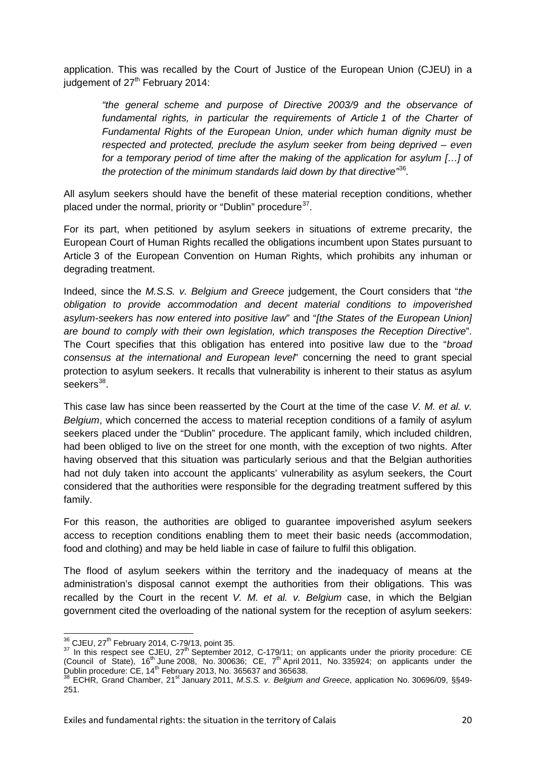application. This was recalled by the Court of Justice of the European Union (CJEU) in a judgement of 27<sup>th</sup> February 2014:

*"the general scheme and purpose of Directive 2003/9 and the observance of fundamental rights, in particular the requirements of Article 1 of the Charter of Fundamental Rights of the European Union, under which human dignity must be respected and protected, preclude the asylum seeker from being deprived – even for a temporary period of time after the making of the application for asylum […] of the protection of the minimum standards laid down by that directive"*[36](#page-19-0)*.*

All asylum seekers should have the benefit of these material reception conditions, whether placed under the normal, priority or "Dublin" procedure<sup>37</sup>.

For its part, when petitioned by asylum seekers in situations of extreme precarity, the European Court of Human Rights recalled the obligations incumbent upon States pursuant to Article 3 of the European Convention on Human Rights, which prohibits any inhuman or degrading treatment.

Indeed, since the *M.S.S. v. Belgium and Greece* judgement, the Court considers that "*the obligation to provide accommodation and decent material conditions to impoverished asylum-seekers has now entered into positive law*" and "*[the States of the European Union] are bound to comply with their own legislation, which transposes the Reception Directive*". The Court specifies that this obligation has entered into positive law due to the "*broad consensus at the international and European level*" concerning the need to grant special protection to asylum seekers. It recalls that vulnerability is inherent to their status as asylum seekers $38$ .

This case law has since been reasserted by the Court at the time of the case *V. M. et al. v. Belgium*, which concerned the access to material reception conditions of a family of asylum seekers placed under the "Dublin" procedure. The applicant family, which included children, had been obliged to live on the street for one month, with the exception of two nights. After having observed that this situation was particularly serious and that the Belgian authorities had not duly taken into account the applicants' vulnerability as asylum seekers, the Court considered that the authorities were responsible for the degrading treatment suffered by this family.

For this reason, the authorities are obliged to guarantee impoverished asylum seekers access to reception conditions enabling them to meet their basic needs (accommodation, food and clothing) and may be held liable in case of failure to fulfil this obligation.

The flood of asylum seekers within the territory and the inadequacy of means at the administration's disposal cannot exempt the authorities from their obligations. This was recalled by the Court in the recent *V. M. et al. v. Belgium* case, in which the Belgian government cited the overloading of the national system for the reception of asylum seekers:

<span id="page-19-1"></span><span id="page-19-0"></span>

 $\frac{36}{3}$ CJEU, 27<sup>th</sup> February 2014, C-79/13, point 35.<br><sup>37</sup> In this respect see CJEU, 27<sup>th</sup> September 2012, C-179/11; on applicants under the priority procedure: CE (Council of State),  $16^{th}$  June 2008, No. 300636; CE,  $7^{th}$  April 2011, No. 335924; on applicants under the Dublin procedure: CE, 14<sup>th</sup> February 2013, No. 365637 and 365638.<br><sup>38</sup> ECHR, Grand Chamber, 21<sup>st</sup> January 2011, *M.S.S. v. Belgium and Greece*, application No. 30696/09, §§49-

<span id="page-19-2"></span><sup>38</sup> ECHR, Grand Chamber, 21<sup>st</sup> January 2011, M.S.S. v. Belgium and Greece, application No. 30696/09, §§49-<br>251.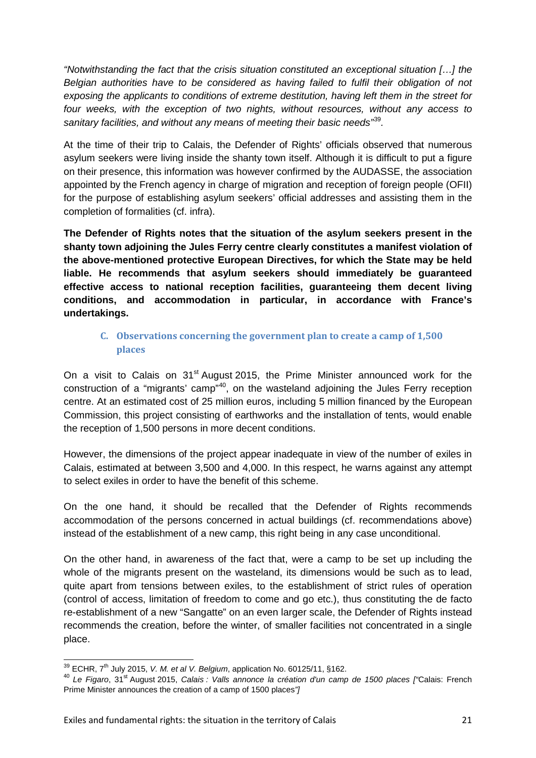*"Notwithstanding the fact that the crisis situation constituted an exceptional situation […] the Belgian authorities have to be considered as having failed to fulfil their obligation of not exposing the applicants to conditions of extreme destitution, having left them in the street for four weeks, with the exception of two nights, without resources, without any access to sanitary facilities, and without any means of meeting their basic needs"*[39](#page-20-1)*.*

At the time of their trip to Calais, the Defender of Rights' officials observed that numerous asylum seekers were living inside the shanty town itself. Although it is difficult to put a figure on their presence, this information was however confirmed by the AUDASSE, the association appointed by the French agency in charge of migration and reception of foreign people (OFII) for the purpose of establishing asylum seekers' official addresses and assisting them in the completion of formalities (cf. infra).

**The Defender of Rights notes that the situation of the asylum seekers present in the shanty town adjoining the Jules Ferry centre clearly constitutes a manifest violation of the above-mentioned protective European Directives, for which the State may be held liable. He recommends that asylum seekers should immediately be guaranteed effective access to national reception facilities, guaranteeing them decent living conditions, and accommodation in particular, in accordance with France's undertakings.**

#### <span id="page-20-0"></span>**C. Observations concerning the government plan to create a camp of 1,500 places**

On a visit to Calais on 31<sup>st</sup> August 2015, the Prime Minister announced work for the construction of a "migrants' camp"<sup>[40](#page-20-2)</sup>, on the wasteland adjoining the Jules Ferry reception centre. At an estimated cost of 25 million euros, including 5 million financed by the European Commission, this project consisting of earthworks and the installation of tents, would enable the reception of 1,500 persons in more decent conditions.

However, the dimensions of the project appear inadequate in view of the number of exiles in Calais, estimated at between 3,500 and 4,000. In this respect, he warns against any attempt to select exiles in order to have the benefit of this scheme.

On the one hand, it should be recalled that the Defender of Rights recommends accommodation of the persons concerned in actual buildings (cf. recommendations above) instead of the establishment of a new camp, this right being in any case unconditional.

On the other hand, in awareness of the fact that, were a camp to be set up including the whole of the migrants present on the wasteland, its dimensions would be such as to lead, quite apart from tensions between exiles, to the establishment of strict rules of operation (control of access, limitation of freedom to come and go etc.), thus constituting the de facto re-establishment of a new "Sangatte" on an even larger scale, the Defender of Rights instead recommends the creation, before the winter, of smaller facilities not concentrated in a single place.

<span id="page-20-2"></span><span id="page-20-1"></span><sup>&</sup>lt;sup>39</sup> ECHR, 7<sup>th</sup> July 2015, *V. M. et al V. Belgium*, application No. 60125/11, §162.<br><sup>40</sup> *Le Figaro*, 31<sup>st</sup> August 2015, *Calais : Valls annonce la création d'un camp de 1500 places ["Calais: French* Prime Minister announces the creation of a camp of 1500 places*"]*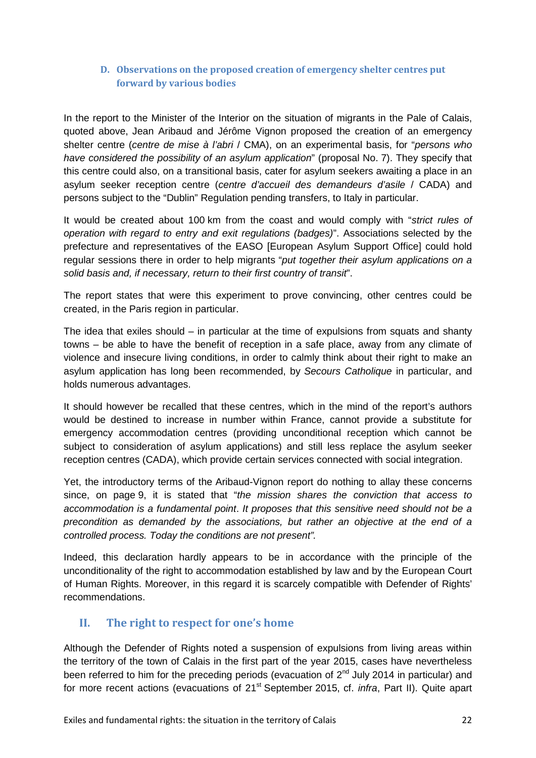#### <span id="page-21-0"></span>**D. Observations on the proposed creation of emergency shelter centres put forward by various bodies**

In the report to the Minister of the Interior on the situation of migrants in the Pale of Calais, quoted above, Jean Aribaud and Jérôme Vignon proposed the creation of an emergency shelter centre (*centre de mise à l'abri* / CMA), on an experimental basis, for "*persons who have considered the possibility of an asylum application*" (proposal No. 7). They specify that this centre could also, on a transitional basis, cater for asylum seekers awaiting a place in an asylum seeker reception centre (*centre d'accueil des demandeurs d'asile* / CADA) and persons subject to the "Dublin" Regulation pending transfers, to Italy in particular.

It would be created about 100 km from the coast and would comply with "*strict rules of operation with regard to entry and exit regulations (badges)*". Associations selected by the prefecture and representatives of the EASO [European Asylum Support Office] could hold regular sessions there in order to help migrants "*put together their asylum applications on a solid basis and, if necessary, return to their first country of transit*".

The report states that were this experiment to prove convincing, other centres could be created, in the Paris region in particular.

The idea that exiles should – in particular at the time of expulsions from squats and shanty towns – be able to have the benefit of reception in a safe place, away from any climate of violence and insecure living conditions, in order to calmly think about their right to make an asylum application has long been recommended, by *Secours Catholique* in particular, and holds numerous advantages.

It should however be recalled that these centres, which in the mind of the report's authors would be destined to increase in number within France, cannot provide a substitute for emergency accommodation centres (providing unconditional reception which cannot be subject to consideration of asylum applications) and still less replace the asylum seeker reception centres (CADA), which provide certain services connected with social integration.

Yet, the introductory terms of the Aribaud-Vignon report do nothing to allay these concerns since, on page 9, it is stated that "*the mission shares the conviction that access to accommodation is a fundamental point*. *It proposes that this sensitive need should not be a precondition as demanded by the associations, but rather an objective at the end of a controlled process. Today the conditions are not present".*

Indeed, this declaration hardly appears to be in accordance with the principle of the unconditionality of the right to accommodation established by law and by the European Court of Human Rights. Moreover, in this regard it is scarcely compatible with Defender of Rights' recommendations.

#### <span id="page-21-1"></span>**II. The right to respect for one's home**

Although the Defender of Rights noted a suspension of expulsions from living areas within the territory of the town of Calais in the first part of the year 2015, cases have nevertheless been referred to him for the preceding periods (evacuation of  $2^{nd}$  July 2014 in particular) and for more recent actions (evacuations of 21<sup>st</sup> September 2015, cf. *infra*, Part II). Quite apart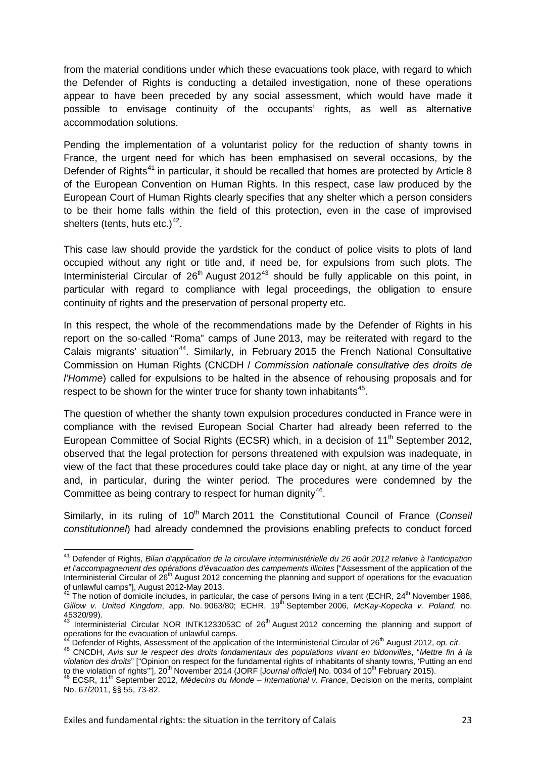from the material conditions under which these evacuations took place, with regard to which the Defender of Rights is conducting a detailed investigation, none of these operations appear to have been preceded by any social assessment, which would have made it possible to envisage continuity of the occupants' rights, as well as alternative accommodation solutions.

Pending the implementation of a voluntarist policy for the reduction of shanty towns in France, the urgent need for which has been emphasised on several occasions, by the Defender of Rights<sup>[41](#page-22-0)</sup> in particular, it should be recalled that homes are protected by Article 8 of the European Convention on Human Rights. In this respect, case law produced by the European Court of Human Rights clearly specifies that any shelter which a person considers to be their home falls within the field of this protection, even in the case of improvised shelters (tents, huts etc.) $42$ .

This case law should provide the yardstick for the conduct of police visits to plots of land occupied without any right or title and, if need be, for expulsions from such plots. The Interministerial Circular of  $26<sup>th</sup>$  August 2012<sup>[43](#page-22-2)</sup> should be fully applicable on this point, in particular with regard to compliance with legal proceedings, the obligation to ensure continuity of rights and the preservation of personal property etc.

In this respect, the whole of the recommendations made by the Defender of Rights in his report on the so-called "Roma" camps of June 2013, may be reiterated with regard to the Calais migrants' situation<sup>44</sup>. Similarly, in February 2015 the French National Consultative Commission on Human Rights (CNCDH / *Commission nationale consultative des droits de l'Homme*) called for expulsions to be halted in the absence of rehousing proposals and for respect to be shown for the winter truce for shanty town inhabitants<sup>[45](#page-22-4)</sup>.

The question of whether the shanty town expulsion procedures conducted in France were in compliance with the revised European Social Charter had already been referred to the European Committee of Social Rights (ECSR) which, in a decision of  $11<sup>th</sup>$  September 2012, observed that the legal protection for persons threatened with expulsion was inadequate, in view of the fact that these procedures could take place day or night, at any time of the year and, in particular, during the winter period. The procedures were condemned by the Committee as being contrary to respect for human dignity<sup>[46](#page-22-5)</sup>.

Similarly, in its ruling of 10<sup>th</sup> March 2011 the Constitutional Council of France (Conseil *constitutionnel*) had already condemned the provisions enabling prefects to conduct forced

<span id="page-22-0"></span><sup>41</sup> Defender of Rights, *Bilan d'application de la circulaire interministérielle du 26 août 2012 relative à l'anticipation et l'accompagnement des opérations d'évacuation des campements illicites* ["Assessment of the application of the Interministerial Circular of 26<sup>th</sup> August 2012 concerning the planning and support of operations for the evacuation

<span id="page-22-1"></span>of unlawful camps"], August 2012-May 2013.<br><sup>42</sup> The notion of domicile includes, in particular, the case of persons living in a tent (ECHR, 24<sup>th</sup> November 1986, *Gillow v. United Kingdom*, app. No. 9063/80; ECHR, 19<sup>th</sup> September 2006, *McKay-Kopecka v. Poland*, no. 45320/99).

<span id="page-22-2"></span><sup>43</sup> Interministerial Circular NOR INTK1233053C of 26<sup>th</sup> August 2012 concerning the planning and support of operations for the evacuation of unlawful camps.

<span id="page-22-4"></span><span id="page-22-3"></span><sup>&</sup>lt;sup>44</sup> Defender of Rights, Assessment of the application of the Interministerial Circular of 26<sup>th</sup> August 2012, op. cit.<br><sup>45</sup> CNCDH, Avis sur le respect des droits fondamentaux des populations vivant en bidonvilles, "Mettre *violation des droits*" ["Opinion on respect for the fundamental rights of inhabitants of shanty towns, 'Putting an end to the violation of rights"],  $20^{\text{th}}$  November 2014 (JORF [Journal officiel] No. 0034 of  $10^{\text{th}}$  February 2015).<br><sup>46</sup> ECSR,  $11^{\text{th}}$  September 2012, *Médecins du Monde – International v. France*, Decision on the m

<span id="page-22-5"></span>No. 67/2011, §§ 55, 73-82.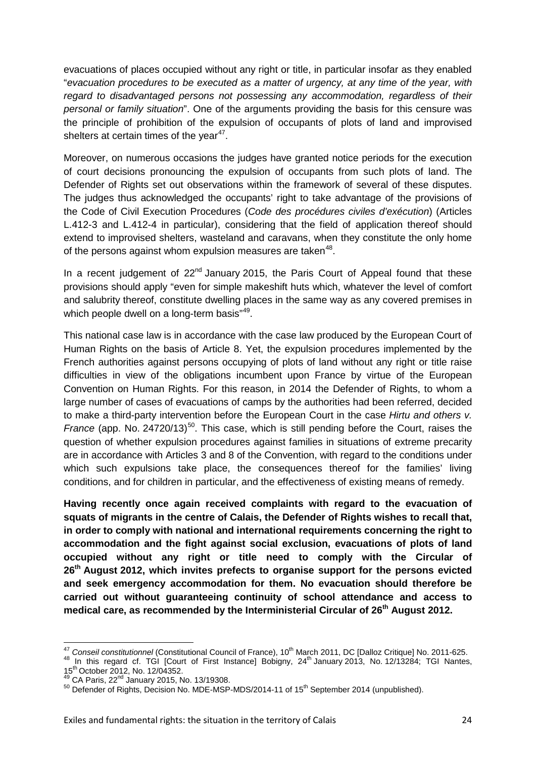evacuations of places occupied without any right or title, in particular insofar as they enabled "*evacuation procedures to be executed as a matter of urgency, at any time of the year, with regard to disadvantaged persons not possessing any accommodation, regardless of their personal or family situation*". One of the arguments providing the basis for this censure was the principle of prohibition of the expulsion of occupants of plots of land and improvised shelters at certain times of the vear $47$ .

Moreover, on numerous occasions the judges have granted notice periods for the execution of court decisions pronouncing the expulsion of occupants from such plots of land. The Defender of Rights set out observations within the framework of several of these disputes. The judges thus acknowledged the occupants' right to take advantage of the provisions of the Code of Civil Execution Procedures (*Code des procédures civiles d'exécution*) (Articles L.412-3 and L.412-4 in particular), considering that the field of application thereof should extend to improvised shelters, wasteland and caravans, when they constitute the only home of the persons against whom expulsion measures are taken $48$ .

In a recent judgement of  $22<sup>nd</sup>$  January 2015, the Paris Court of Appeal found that these provisions should apply "even for simple makeshift huts which, whatever the level of comfort and salubrity thereof, constitute dwelling places in the same way as any covered premises in which people dwell on a long-term basis"<sup>49</sup>.

This national case law is in accordance with the case law produced by the European Court of Human Rights on the basis of Article 8. Yet, the expulsion procedures implemented by the French authorities against persons occupying of plots of land without any right or title raise difficulties in view of the obligations incumbent upon France by virtue of the European Convention on Human Rights. For this reason, in 2014 the Defender of Rights, to whom a large number of cases of evacuations of camps by the authorities had been referred, decided to make a third-party intervention before the European Court in the case *Hirtu and others v. France* (app. No. 24720/13)<sup>[50](#page-23-3)</sup>. This case, which is still pending before the Court, raises the question of whether expulsion procedures against families in situations of extreme precarity are in accordance with Articles 3 and 8 of the Convention, with regard to the conditions under which such expulsions take place, the consequences thereof for the families' living conditions, and for children in particular, and the effectiveness of existing means of remedy.

**Having recently once again received complaints with regard to the evacuation of squats of migrants in the centre of Calais, the Defender of Rights wishes to recall that, in order to comply with national and international requirements concerning the right to accommodation and the fight against social exclusion, evacuations of plots of land occupied without any right or title need to comply with the Circular of 26th August 2012, which invites prefects to organise support for the persons evicted and seek emergency accommodation for them. No evacuation should therefore be carried out without guaranteeing continuity of school attendance and access to medical care, as recommended by the Interministerial Circular of 26th August 2012.**

<span id="page-23-1"></span><span id="page-23-0"></span><sup>&</sup>lt;sup>47</sup> Conseil constitutionnel (Constitutional Council of France), 10<sup>th</sup> March 2011, DC [Dalloz Critique] No. 2011-625.<br><sup>48</sup> In this regard cf. TGI [Court of First Instance] Bobigny, 24<sup>th</sup> January 2013, No. 12/13284; TGI

<span id="page-23-2"></span>

<span id="page-23-3"></span> $150$  Defender of Rights, Decision No. MDE-MSP-MDS/2014-11 of 15<sup>th</sup> September 2014 (unpublished).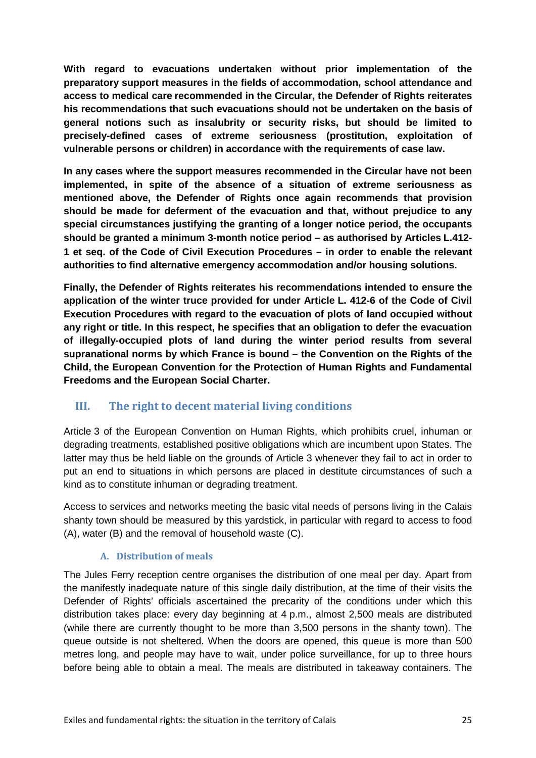**With regard to evacuations undertaken without prior implementation of the preparatory support measures in the fields of accommodation, school attendance and access to medical care recommended in the Circular, the Defender of Rights reiterates his recommendations that such evacuations should not be undertaken on the basis of general notions such as insalubrity or security risks, but should be limited to precisely-defined cases of extreme seriousness (prostitution, exploitation of vulnerable persons or children) in accordance with the requirements of case law.**

**In any cases where the support measures recommended in the Circular have not been implemented, in spite of the absence of a situation of extreme seriousness as mentioned above, the Defender of Rights once again recommends that provision should be made for deferment of the evacuation and that, without prejudice to any special circumstances justifying the granting of a longer notice period, the occupants should be granted a minimum 3-month notice period – as authorised by Articles L.412- 1 et seq. of the Code of Civil Execution Procedures – in order to enable the relevant authorities to find alternative emergency accommodation and/or housing solutions.**

**Finally, the Defender of Rights reiterates his recommendations intended to ensure the application of the winter truce provided for under Article L. 412-6 of the Code of Civil Execution Procedures with regard to the evacuation of plots of land occupied without any right or title. In this respect, he specifies that an obligation to defer the evacuation of illegally-occupied plots of land during the winter period results from several supranational norms by which France is bound – the Convention on the Rights of the Child, the European Convention for the Protection of Human Rights and Fundamental Freedoms and the European Social Charter.**

#### <span id="page-24-0"></span>**III. The right to decent material living conditions**

Article 3 of the European Convention on Human Rights, which prohibits cruel, inhuman or degrading treatments, established positive obligations which are incumbent upon States. The latter may thus be held liable on the grounds of Article 3 whenever they fail to act in order to put an end to situations in which persons are placed in destitute circumstances of such a kind as to constitute inhuman or degrading treatment.

Access to services and networks meeting the basic vital needs of persons living in the Calais shanty town should be measured by this yardstick, in particular with regard to access to food (A), water (B) and the removal of household waste (C).

#### **A. Distribution of meals**

<span id="page-24-1"></span>The Jules Ferry reception centre organises the distribution of one meal per day. Apart from the manifestly inadequate nature of this single daily distribution, at the time of their visits the Defender of Rights' officials ascertained the precarity of the conditions under which this distribution takes place: every day beginning at 4 p.m., almost 2,500 meals are distributed (while there are currently thought to be more than 3,500 persons in the shanty town). The queue outside is not sheltered. When the doors are opened, this queue is more than 500 metres long, and people may have to wait, under police surveillance, for up to three hours before being able to obtain a meal. The meals are distributed in takeaway containers. The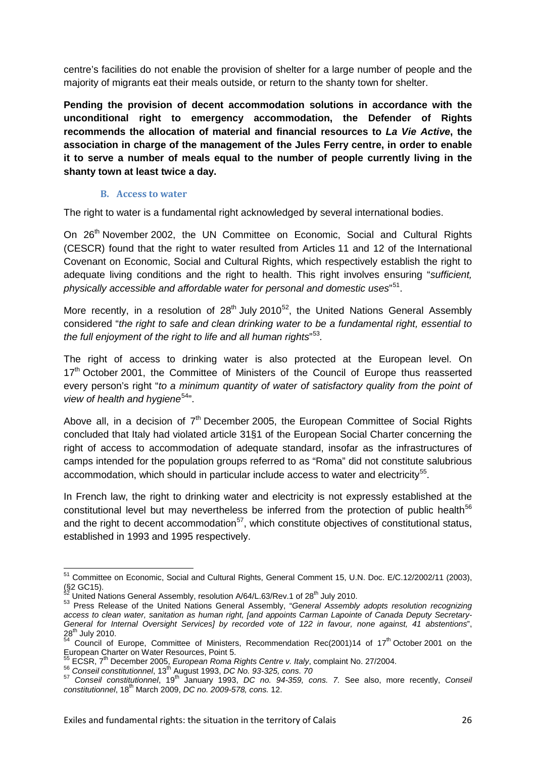centre's facilities do not enable the provision of shelter for a large number of people and the majority of migrants eat their meals outside, or return to the shanty town for shelter.

**Pending the provision of decent accommodation solutions in accordance with the unconditional right to emergency accommodation, the Defender of Rights recommends the allocation of material and financial resources to** *La Vie Active***, the association in charge of the management of the Jules Ferry centre, in order to enable it to serve a number of meals equal to the number of people currently living in the shanty town at least twice a day.**

#### **B. Access to water**

<span id="page-25-0"></span>The right to water is a fundamental right acknowledged by several international bodies.

On 26<sup>th</sup> November 2002, the UN Committee on Economic, Social and Cultural Rights (CESCR) found that the right to water resulted from Articles 11 and 12 of the International Covenant on Economic, Social and Cultural Rights, which respectively establish the right to adequate living conditions and the right to health. This right involves ensuring "*sufficient, physically accessible and affordable water for personal and domestic uses*" [51](#page-25-1).

More recently, in a resolution of  $28<sup>th</sup>$  July 2010<sup>[52](#page-25-2)</sup>, the United Nations General Assembly considered "*the right to safe and clean drinking water to be a fundamental right, essential to the full enjoyment of the right to life and all human rights*" [53](#page-25-3)*.*

The right of access to drinking water is also protected at the European level. On 17<sup>th</sup> October 2001, the Committee of Ministers of the Council of Europe thus reasserted every person's right "*to a minimum quantity of water of satisfactory quality from the point of view of health and hygiene*[54](#page-25-4)".

Above all, in a decision of  $7<sup>th</sup>$  December 2005, the European Committee of Social Rights concluded that Italy had violated article 31§1 of the European Social Charter concerning the right of access to accommodation of adequate standard, insofar as the infrastructures of camps intended for the population groups referred to as "Roma" did not constitute salubrious accommodation, which should in particular include access to water and electricity<sup>[55](#page-25-5)</sup>.

In French law, the right to drinking water and electricity is not expressly established at the constitutional level but may nevertheless be inferred from the protection of public health<sup>[56](#page-25-6)</sup> and the right to decent accommodation<sup>57</sup>, which constitute objectives of constitutional status, established in 1993 and 1995 respectively.

<span id="page-25-1"></span><sup>51</sup> Committee on Economic, Social and Cultural Rights, General Comment 15, U.N. Doc. E/C.12/2002/11 (2003), (§2 GC15).<br> $^{52}$  United Nations General Assembly, resolution A/64/L.63/Rev.1 of 28<sup>th</sup> July 2010.

<span id="page-25-3"></span><span id="page-25-2"></span><sup>52</sup> United Nations General Assembly, resolution A/64/L.63/Rev.1 of 28th July 2010. <sup>53</sup> Press Release of the United Nations General Assembly, "*General Assembly adopts resolution recognizing access to clean water, sanitation as human right, [and appoints Carman Lapointe of Canada Deputy Secretary-General for Internal Oversight Services] by recorded vote of 122 in favour, none against, 41 abstentions*",

<span id="page-25-4"></span> $28<sup>th</sup>$  July 2010.<br>  $5<sup>4</sup>$  Council of Europe, Committee of Ministers, Recommendation Rec(2001)14 of 17<sup>th</sup> October 2001 on the Europes, Sommittee of Millisters<br>European Charter on Water Resources, Point 5.

<span id="page-25-7"></span><span id="page-25-6"></span>

<span id="page-25-5"></span><sup>&</sup>lt;sup>55</sup> ECSR, 7<sup>th</sup> December 2005, *European Roma Rights Centre v. Italy*, complaint No. 27/2004.<br><sup>56</sup> Conseil constitutionnel, 13<sup>th</sup> August 1993, DC No. 93-325, cons. 70<br><sup>57</sup> Conseil constitutionnel, 19<sup>th</sup> January 1993, DC *constitutionnel*, 18th March 2009, *DC no. 2009-578, cons.* 12.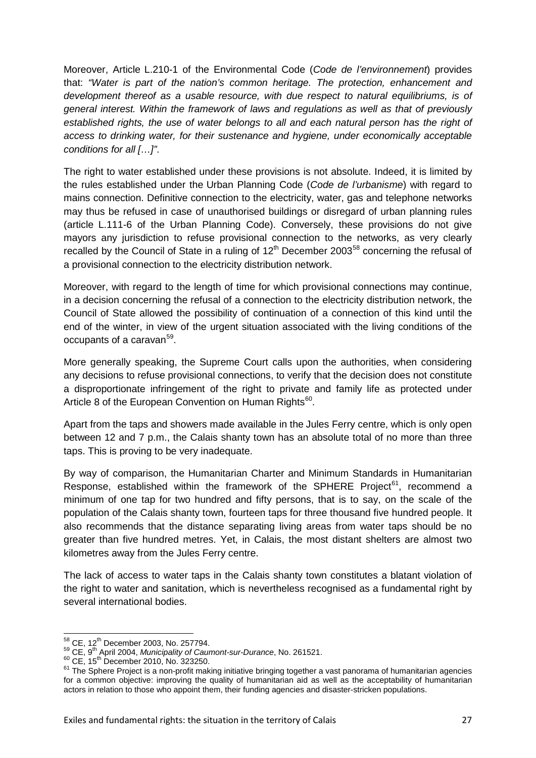Moreover, Article L.210-1 of the Environmental Code (*Code de l'environnement*) provides that: *"Water is part of the nation's common heritage. The protection, enhancement and development thereof as a usable resource, with due respect to natural equilibriums, is of general interest. Within the framework of laws and regulations as well as that of previously established rights, the use of water belongs to all and each natural person has the right of access to drinking water, for their sustenance and hygiene, under economically acceptable conditions for all […]"*.

The right to water established under these provisions is not absolute. Indeed, it is limited by the rules established under the Urban Planning Code (*Code de l'urbanisme*) with regard to mains connection. Definitive connection to the electricity, water, gas and telephone networks may thus be refused in case of unauthorised buildings or disregard of urban planning rules (article L.111-6 of the Urban Planning Code). Conversely, these provisions do not give mayors any jurisdiction to refuse provisional connection to the networks, as very clearly recalled by the Council of State in a ruling of  $12<sup>th</sup>$  December 2003<sup>[58](#page-26-0)</sup> concerning the refusal of a provisional connection to the electricity distribution network.

Moreover, with regard to the length of time for which provisional connections may continue, in a decision concerning the refusal of a connection to the electricity distribution network, the Council of State allowed the possibility of continuation of a connection of this kind until the end of the winter, in view of the urgent situation associated with the living conditions of the occupants of a caravan<sup>59</sup>.

More generally speaking, the Supreme Court calls upon the authorities, when considering any decisions to refuse provisional connections, to verify that the decision does not constitute a disproportionate infringement of the right to private and family life as protected under Article 8 of the European Convention on Human Rights<sup>60</sup>.

Apart from the taps and showers made available in the Jules Ferry centre, which is only open between 12 and 7 p.m., the Calais shanty town has an absolute total of no more than three taps. This is proving to be very inadequate.

By way of comparison, the Humanitarian Charter and Minimum Standards in Humanitarian Response, established within the framework of the SPHERE Project<sup>61</sup>, recommend a minimum of one tap for two hundred and fifty persons, that is to say, on the scale of the population of the Calais shanty town, fourteen taps for three thousand five hundred people. It also recommends that the distance separating living areas from water taps should be no greater than five hundred metres. Yet, in Calais, the most distant shelters are almost two kilometres away from the Jules Ferry centre.

The lack of access to water taps in the Calais shanty town constitutes a blatant violation of the right to water and sanitation, which is nevertheless recognised as a fundamental right by several international bodies.

<span id="page-26-3"></span><span id="page-26-2"></span>

<span id="page-26-1"></span><span id="page-26-0"></span> $^{58}_{59}$  CE, 12<sup>th</sup> December 2003, No. 257794.<br><sup>59</sup> CE, 9<sup>th</sup> April 2004, *Municipality of Caumont-sur-Durance*, No. 261521.<br><sup>60</sup> CE, 15<sup>th</sup> December 2010, No. 323250.<br><sup>61</sup> The Sphere Project is a non-profit making initi for a common objective: improving the quality of humanitarian aid as well as the acceptability of humanitarian actors in relation to those who appoint them, their funding agencies and disaster-stricken populations.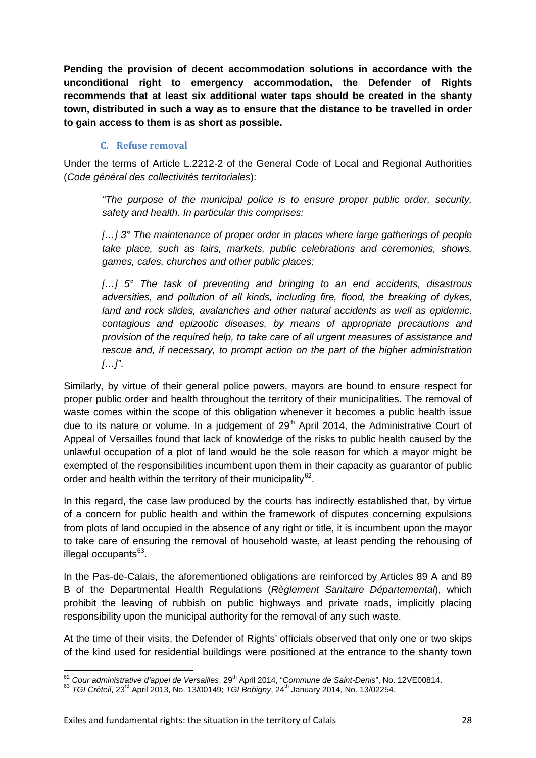**Pending the provision of decent accommodation solutions in accordance with the unconditional right to emergency accommodation, the Defender of Rights recommends that at least six additional water taps should be created in the shanty town, distributed in such a way as to ensure that the distance to be travelled in order to gain access to them is as short as possible.**

#### **C. Refuse removal**

<span id="page-27-0"></span>Under the terms of Article L.2212-2 of the General Code of Local and Regional Authorities (*Code général des collectivités territoriales*):

*"The purpose of the municipal police is to ensure proper public order, security, safety and health. In particular this comprises:*

*[…] 3° The maintenance of proper order in places where large gatherings of people take place, such as fairs, markets, public celebrations and ceremonies, shows, games, cafes, churches and other public places;* 

*[…] 5° The task of preventing and bringing to an end accidents, disastrous adversities, and pollution of all kinds, including fire, flood, the breaking of dykes, land and rock slides, avalanches and other natural accidents as well as epidemic, contagious and epizootic diseases, by means of appropriate precautions and provision of the required help, to take care of all urgent measures of assistance and rescue and, if necessary, to prompt action on the part of the higher administration […]"*.

Similarly, by virtue of their general police powers, mayors are bound to ensure respect for proper public order and health throughout the territory of their municipalities. The removal of waste comes within the scope of this obligation whenever it becomes a public health issue due to its nature or volume. In a judgement of  $29<sup>th</sup>$  April 2014, the Administrative Court of Appeal of Versailles found that lack of knowledge of the risks to public health caused by the unlawful occupation of a plot of land would be the sole reason for which a mayor might be exempted of the responsibilities incumbent upon them in their capacity as guarantor of public order and health within the territory of their municipality<sup>[62](#page-27-1)</sup>.

In this regard, the case law produced by the courts has indirectly established that, by virtue of a concern for public health and within the framework of disputes concerning expulsions from plots of land occupied in the absence of any right or title, it is incumbent upon the mayor to take care of ensuring the removal of household waste, at least pending the rehousing of illegal occupants<sup>[63](#page-27-2)</sup>.

In the Pas-de-Calais, the aforementioned obligations are reinforced by Articles 89 A and 89 B of the Departmental Health Regulations (*Règlement Sanitaire Départemental*), which prohibit the leaving of rubbish on public highways and private roads, implicitly placing responsibility upon the municipal authority for the removal of any such waste.

At the time of their visits, the Defender of Rights' officials observed that only one or two skips of the kind used for residential buildings were positioned at the entrance to the shanty town

<span id="page-27-1"></span><sup>&</sup>lt;sup>62</sup> *Cour administrative d'appel de Versailles*, 29<sup>th</sup> April 2014, "*Commune de Saint-Denis*", No. 12VE00814. <sup>63</sup> *TGI Créteil*, 23<sup>rd</sup> April 2013, No. 13/00149; *TGI Bobigny*, 24<sup>th</sup> January 2014, No. 13/02254.

<span id="page-27-2"></span>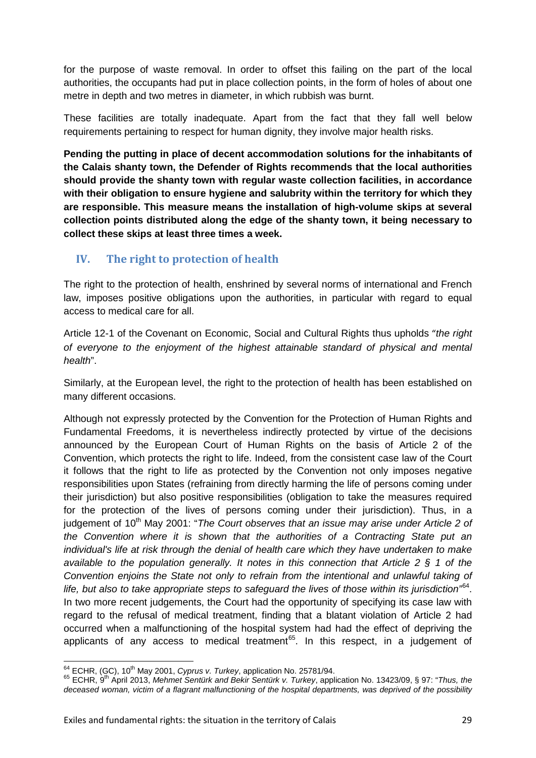for the purpose of waste removal. In order to offset this failing on the part of the local authorities, the occupants had put in place collection points, in the form of holes of about one metre in depth and two metres in diameter, in which rubbish was burnt.

These facilities are totally inadequate. Apart from the fact that they fall well below requirements pertaining to respect for human dignity, they involve major health risks.

**Pending the putting in place of decent accommodation solutions for the inhabitants of the Calais shanty town, the Defender of Rights recommends that the local authorities should provide the shanty town with regular waste collection facilities, in accordance with their obligation to ensure hygiene and salubrity within the territory for which they are responsible. This measure means the installation of high-volume skips at several collection points distributed along the edge of the shanty town, it being necessary to collect these skips at least three times a week.**

## <span id="page-28-0"></span>**IV. The right to protection of health**

The right to the protection of health, enshrined by several norms of international and French law, imposes positive obligations upon the authorities, in particular with regard to equal access to medical care for all.

Article 12-1 of the Covenant on Economic, Social and Cultural Rights thus upholds "*the right of everyone to the enjoyment of the highest attainable standard of physical and mental health*".

Similarly, at the European level, the right to the protection of health has been established on many different occasions.

Although not expressly protected by the Convention for the Protection of Human Rights and Fundamental Freedoms, it is nevertheless indirectly protected by virtue of the decisions announced by the European Court of Human Rights on the basis of Article 2 of the Convention, which protects the right to life. Indeed, from the consistent case law of the Court it follows that the right to life as protected by the Convention not only imposes negative responsibilities upon States (refraining from directly harming the life of persons coming under their jurisdiction) but also positive responsibilities (obligation to take the measures required for the protection of the lives of persons coming under their jurisdiction). Thus, in a judgement of 10<sup>th</sup> May 2001: "*The Court observes that an issue may arise under Article 2 of the Convention where it is shown that the authorities of a Contracting State put an individual's life at risk through the denial of health care which they have undertaken to make available to the population generally. It notes in this connection that Article 2 § 1 of the Convention enjoins the State not only to refrain from the intentional and unlawful taking of life, but also to take appropriate steps to safeguard the lives of those within its jurisdiction"*[64](#page-28-1). In two more recent judgements, the Court had the opportunity of specifying its case law with regard to the refusal of medical treatment, finding that a blatant violation of Article 2 had occurred when a malfunctioning of the hospital system had had the effect of depriving the applicants of any access to medical treatment<sup>[65](#page-28-2)</sup>. In this respect, in a judgement of

<span id="page-28-2"></span><span id="page-28-1"></span>

<sup>&</sup>lt;sup>64</sup> ECHR, (GC), 10<sup>th</sup> May 2001, *Cyprus v. Turkey*, application No. 25781/94.<br><sup>65</sup> ECHR, 9<sup>th</sup> April 2013, *Mehmet Sentürk and Bekir Sentürk v. Turkey*, application No. 13423/09, § 97: "*Thus, the deceased woman, victim of a flagrant malfunctioning of the hospital departments, was deprived of the possibility*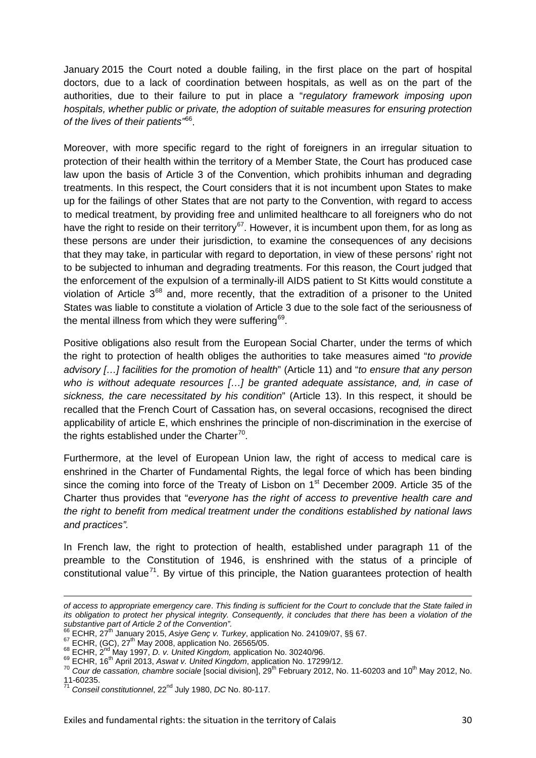January 2015 the Court noted a double failing, in the first place on the part of hospital doctors, due to a lack of coordination between hospitals, as well as on the part of the authorities, due to their failure to put in place a "*regulatory framework imposing upon hospitals, whether public or private, the adoption of suitable measures for ensuring protection of the lives of their patients"* [66](#page-29-0).

Moreover, with more specific regard to the right of foreigners in an irregular situation to protection of their health within the territory of a Member State, the Court has produced case law upon the basis of Article 3 of the Convention, which prohibits inhuman and degrading treatments. In this respect, the Court considers that it is not incumbent upon States to make up for the failings of other States that are not party to the Convention, with regard to access to medical treatment, by providing free and unlimited healthcare to all foreigners who do not have the right to reside on their territory<sup>[67](#page-29-1)</sup>. However, it is incumbent upon them, for as long as these persons are under their jurisdiction, to examine the consequences of any decisions that they may take, in particular with regard to deportation, in view of these persons' right not to be subjected to inhuman and degrading treatments. For this reason, the Court judged that the enforcement of the expulsion of a terminally-ill AIDS patient to St Kitts would constitute a violation of Article  $3^{68}$  $3^{68}$  $3^{68}$  and, more recently, that the extradition of a prisoner to the United States was liable to constitute a violation of Article 3 due to the sole fact of the seriousness of the mental illness from which they were suffering<sup>[69](#page-29-3)</sup>.

Positive obligations also result from the European Social Charter, under the terms of which the right to protection of health obliges the authorities to take measures aimed "*to provide advisory […] facilities for the promotion of health*" (Article 11) and "*to ensure that any person who is without adequate resources […] be granted adequate assistance, and, in case of sickness, the care necessitated by his condition*" (Article 13). In this respect, it should be recalled that the French Court of Cassation has, on several occasions, recognised the direct applicability of article E, which enshrines the principle of non-discrimination in the exercise of the rights established under the Charter<sup>[70](#page-29-4)</sup>.

Furthermore, at the level of European Union law, the right of access to medical care is enshrined in the Charter of Fundamental Rights, the legal force of which has been binding since the coming into force of the Treaty of Lisbon on  $1<sup>st</sup>$  December 2009. Article 35 of the Charter thus provides that "*everyone has the right of access to preventive health care and the right to benefit from medical treatment under the conditions established by national laws and practices".*

In French law, the right to protection of health, established under paragraph 11 of the preamble to the Constitution of 1946, is enshrined with the status of a principle of constitutional value<sup>71</sup>. By virtue of this principle, the Nation quarantees protection of health

**.** 

*of access to appropriate emergency care*. *This finding is sufficient for the Court to conclude that the State failed in its obligation to protect her physical integrity. Consequently, it concludes that there has been a violation of the* 

*substantive part of Article 2 of the Convention".*

<span id="page-29-2"></span>

<span id="page-29-4"></span><span id="page-29-3"></span>

<span id="page-29-1"></span><span id="page-29-0"></span><sup>&</sup>lt;sup>67</sup> ECHR, (GC),  $27^{\text{th}}$  May 2008, application No. 26565/05.<br>
<sup>67</sup> ECHR, (GC),  $27^{\text{th}}$  May 2008, application No. 26565/05.<br>
<sup>68</sup> ECHR,  $16^{\text{th}}$  April 2013, Aswat v. United Kingdom, application No. 30240/96.<br>
<sup>69</sup>

<span id="page-29-5"></span><sup>11-60235.</sup> <sup>71</sup> *Conseil constitutionnel*, 22nd July 1980, *DC* No. 80-117.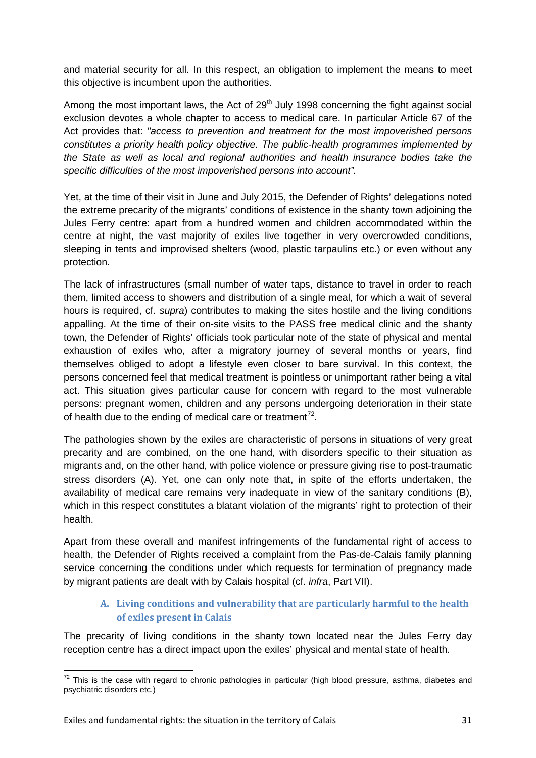and material security for all. In this respect, an obligation to implement the means to meet this objective is incumbent upon the authorities.

Among the most important laws, the Act of  $29<sup>th</sup>$  July 1998 concerning the fight against social exclusion devotes a whole chapter to access to medical care. In particular Article 67 of the Act provides that: *"access to prevention and treatment for the most impoverished persons constitutes a priority health policy objective. The public-health programmes implemented by the State as well as local and regional authorities and health insurance bodies take the specific difficulties of the most impoverished persons into account".*

Yet, at the time of their visit in June and July 2015, the Defender of Rights' delegations noted the extreme precarity of the migrants' conditions of existence in the shanty town adjoining the Jules Ferry centre: apart from a hundred women and children accommodated within the centre at night, the vast majority of exiles live together in very overcrowded conditions, sleeping in tents and improvised shelters (wood, plastic tarpaulins etc.) or even without any protection.

The lack of infrastructures (small number of water taps, distance to travel in order to reach them, limited access to showers and distribution of a single meal, for which a wait of several hours is required, cf. *supra*) contributes to making the sites hostile and the living conditions appalling. At the time of their on-site visits to the PASS free medical clinic and the shanty town, the Defender of Rights' officials took particular note of the state of physical and mental exhaustion of exiles who, after a migratory journey of several months or years, find themselves obliged to adopt a lifestyle even closer to bare survival. In this context, the persons concerned feel that medical treatment is pointless or unimportant rather being a vital act. This situation gives particular cause for concern with regard to the most vulnerable persons: pregnant women, children and any persons undergoing deterioration in their state of health due to the ending of medical care or treatment<sup>[72](#page-30-1)</sup>.

The pathologies shown by the exiles are characteristic of persons in situations of very great precarity and are combined, on the one hand, with disorders specific to their situation as migrants and, on the other hand, with police violence or pressure giving rise to post-traumatic stress disorders (A). Yet, one can only note that, in spite of the efforts undertaken, the availability of medical care remains very inadequate in view of the sanitary conditions (B), which in this respect constitutes a blatant violation of the migrants' right to protection of their health.

Apart from these overall and manifest infringements of the fundamental right of access to health, the Defender of Rights received a complaint from the Pas-de-Calais family planning service concerning the conditions under which requests for termination of pregnancy made by migrant patients are dealt with by Calais hospital (cf. *infra*, Part VII).

#### **A. Living conditions and vulnerability that are particularly harmful to the health of exiles present in Calais**

<span id="page-30-0"></span>The precarity of living conditions in the shanty town located near the Jules Ferry day reception centre has a direct impact upon the exiles' physical and mental state of health.

<span id="page-30-1"></span> $72$  This is the case with regard to chronic pathologies in particular (high blood pressure, asthma, diabetes and psychiatric disorders etc.)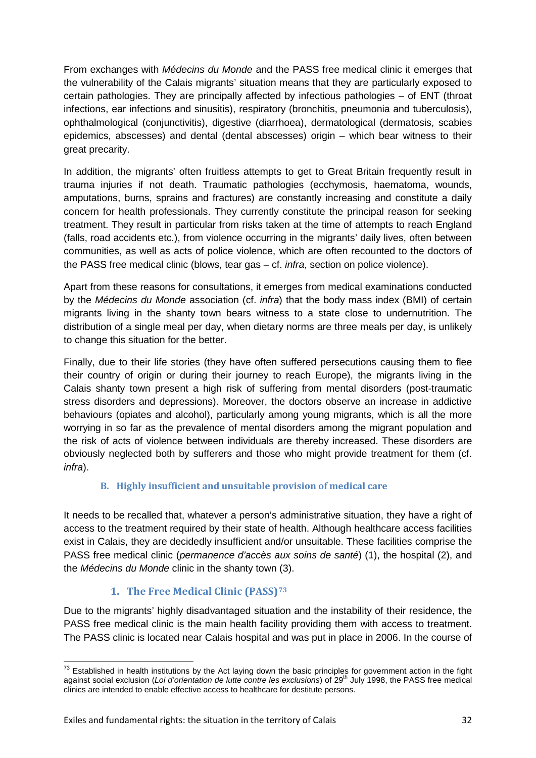From exchanges with *Médecins du Monde* and the PASS free medical clinic it emerges that the vulnerability of the Calais migrants' situation means that they are particularly exposed to certain pathologies. They are principally affected by infectious pathologies – of ENT (throat infections, ear infections and sinusitis), respiratory (bronchitis, pneumonia and tuberculosis), ophthalmological (conjunctivitis), digestive (diarrhoea), dermatological (dermatosis, scabies epidemics, abscesses) and dental (dental abscesses) origin – which bear witness to their great precarity.

In addition, the migrants' often fruitless attempts to get to Great Britain frequently result in trauma injuries if not death. Traumatic pathologies (ecchymosis, haematoma, wounds, amputations, burns, sprains and fractures) are constantly increasing and constitute a daily concern for health professionals. They currently constitute the principal reason for seeking treatment. They result in particular from risks taken at the time of attempts to reach England (falls, road accidents etc.), from violence occurring in the migrants' daily lives, often between communities, as well as acts of police violence, which are often recounted to the doctors of the PASS free medical clinic (blows, tear gas – cf. *infra*, section on police violence).

Apart from these reasons for consultations, it emerges from medical examinations conducted by the *Médecins du Monde* association (cf. *infra*) that the body mass index (BMI) of certain migrants living in the shanty town bears witness to a state close to undernutrition. The distribution of a single meal per day, when dietary norms are three meals per day, is unlikely to change this situation for the better.

Finally, due to their life stories (they have often suffered persecutions causing them to flee their country of origin or during their journey to reach Europe), the migrants living in the Calais shanty town present a high risk of suffering from mental disorders (post-traumatic stress disorders and depressions). Moreover, the doctors observe an increase in addictive behaviours (opiates and alcohol), particularly among young migrants, which is all the more worrying in so far as the prevalence of mental disorders among the migrant population and the risk of acts of violence between individuals are thereby increased. These disorders are obviously neglected both by sufferers and those who might provide treatment for them (cf. *infra*).

#### **B. Highly insufficient and unsuitable provision of medical care**

<span id="page-31-0"></span>It needs to be recalled that, whatever a person's administrative situation, they have a right of access to the treatment required by their state of health. Although healthcare access facilities exist in Calais, they are decidedly insufficient and/or unsuitable. These facilities comprise the PASS free medical clinic (*permanence d'accès aux soins de santé*) (1), the hospital (2), and the *Médecins du Monde* clinic in the shanty town (3).

#### **1. The Free Medical Clinic (PASS)[73](#page-31-2)**

<span id="page-31-1"></span>Due to the migrants' highly disadvantaged situation and the instability of their residence, the PASS free medical clinic is the main health facility providing them with access to treatment. The PASS clinic is located near Calais hospital and was put in place in 2006. In the course of

<span id="page-31-2"></span> $73$  Established in health institutions by the Act laying down the basic principles for government action in the fight against social exclusion (*Loi d'orientation de lutte contre les exclusions*) of 29th July 1998, the PASS free medical clinics are intended to enable effective access to healthcare for destitute persons.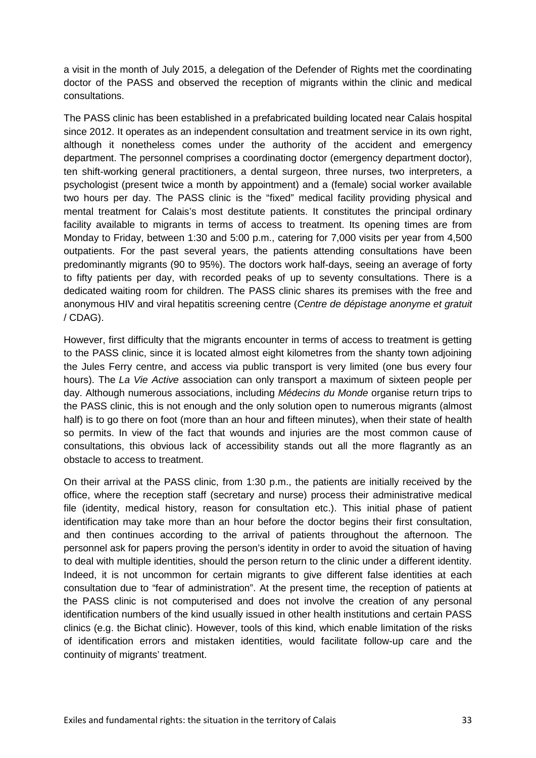a visit in the month of July 2015, a delegation of the Defender of Rights met the coordinating doctor of the PASS and observed the reception of migrants within the clinic and medical consultations.

The PASS clinic has been established in a prefabricated building located near Calais hospital since 2012. It operates as an independent consultation and treatment service in its own right, although it nonetheless comes under the authority of the accident and emergency department. The personnel comprises a coordinating doctor (emergency department doctor), ten shift-working general practitioners, a dental surgeon, three nurses, two interpreters, a psychologist (present twice a month by appointment) and a (female) social worker available two hours per day. The PASS clinic is the "fixed" medical facility providing physical and mental treatment for Calais's most destitute patients. It constitutes the principal ordinary facility available to migrants in terms of access to treatment. Its opening times are from Monday to Friday, between 1:30 and 5:00 p.m., catering for 7,000 visits per year from 4,500 outpatients. For the past several years, the patients attending consultations have been predominantly migrants (90 to 95%). The doctors work half-days, seeing an average of forty to fifty patients per day, with recorded peaks of up to seventy consultations. There is a dedicated waiting room for children. The PASS clinic shares its premises with the free and anonymous HIV and viral hepatitis screening centre (*Centre de dépistage anonyme et gratuit* / CDAG).

However, first difficulty that the migrants encounter in terms of access to treatment is getting to the PASS clinic, since it is located almost eight kilometres from the shanty town adjoining the Jules Ferry centre, and access via public transport is very limited (one bus every four hours). The *La Vie Active* association can only transport a maximum of sixteen people per day. Although numerous associations, including *Médecins du Monde* organise return trips to the PASS clinic, this is not enough and the only solution open to numerous migrants (almost half) is to go there on foot (more than an hour and fifteen minutes), when their state of health so permits. In view of the fact that wounds and injuries are the most common cause of consultations, this obvious lack of accessibility stands out all the more flagrantly as an obstacle to access to treatment.

On their arrival at the PASS clinic, from 1:30 p.m., the patients are initially received by the office, where the reception staff (secretary and nurse) process their administrative medical file (identity, medical history, reason for consultation etc.). This initial phase of patient identification may take more than an hour before the doctor begins their first consultation, and then continues according to the arrival of patients throughout the afternoon. The personnel ask for papers proving the person's identity in order to avoid the situation of having to deal with multiple identities, should the person return to the clinic under a different identity. Indeed, it is not uncommon for certain migrants to give different false identities at each consultation due to "fear of administration". At the present time, the reception of patients at the PASS clinic is not computerised and does not involve the creation of any personal identification numbers of the kind usually issued in other health institutions and certain PASS clinics (e.g. the Bichat clinic). However, tools of this kind, which enable limitation of the risks of identification errors and mistaken identities, would facilitate follow-up care and the continuity of migrants' treatment.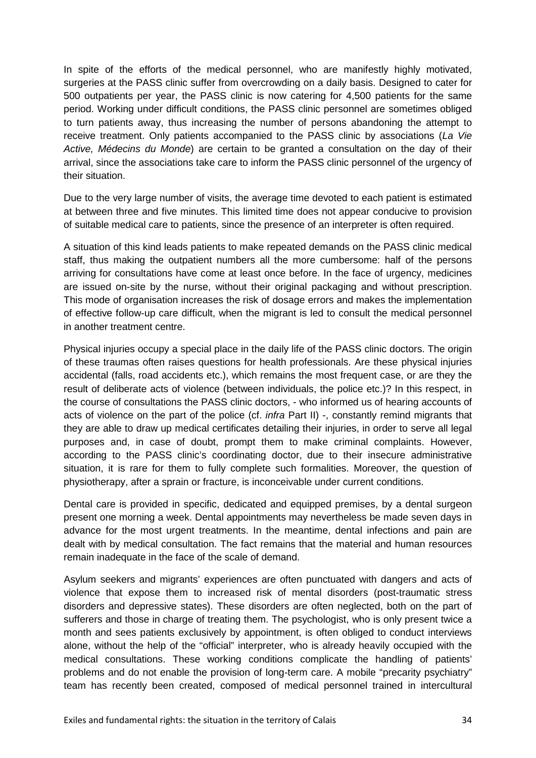In spite of the efforts of the medical personnel, who are manifestly highly motivated, surgeries at the PASS clinic suffer from overcrowding on a daily basis. Designed to cater for 500 outpatients per year, the PASS clinic is now catering for 4,500 patients for the same period. Working under difficult conditions, the PASS clinic personnel are sometimes obliged to turn patients away, thus increasing the number of persons abandoning the attempt to receive treatment. Only patients accompanied to the PASS clinic by associations (*La Vie Active, Médecins du Monde*) are certain to be granted a consultation on the day of their arrival, since the associations take care to inform the PASS clinic personnel of the urgency of their situation.

Due to the very large number of visits, the average time devoted to each patient is estimated at between three and five minutes. This limited time does not appear conducive to provision of suitable medical care to patients, since the presence of an interpreter is often required.

A situation of this kind leads patients to make repeated demands on the PASS clinic medical staff, thus making the outpatient numbers all the more cumbersome: half of the persons arriving for consultations have come at least once before. In the face of urgency, medicines are issued on-site by the nurse, without their original packaging and without prescription. This mode of organisation increases the risk of dosage errors and makes the implementation of effective follow-up care difficult, when the migrant is led to consult the medical personnel in another treatment centre.

Physical injuries occupy a special place in the daily life of the PASS clinic doctors. The origin of these traumas often raises questions for health professionals. Are these physical injuries accidental (falls, road accidents etc.), which remains the most frequent case, or are they the result of deliberate acts of violence (between individuals, the police etc.)? In this respect, in the course of consultations the PASS clinic doctors, - who informed us of hearing accounts of acts of violence on the part of the police (cf. *infra* Part II) -, constantly remind migrants that they are able to draw up medical certificates detailing their injuries, in order to serve all legal purposes and, in case of doubt, prompt them to make criminal complaints. However, according to the PASS clinic's coordinating doctor, due to their insecure administrative situation, it is rare for them to fully complete such formalities. Moreover, the question of physiotherapy, after a sprain or fracture, is inconceivable under current conditions.

Dental care is provided in specific, dedicated and equipped premises, by a dental surgeon present one morning a week. Dental appointments may nevertheless be made seven days in advance for the most urgent treatments. In the meantime, dental infections and pain are dealt with by medical consultation. The fact remains that the material and human resources remain inadequate in the face of the scale of demand.

Asylum seekers and migrants' experiences are often punctuated with dangers and acts of violence that expose them to increased risk of mental disorders (post-traumatic stress disorders and depressive states). These disorders are often neglected, both on the part of sufferers and those in charge of treating them. The psychologist, who is only present twice a month and sees patients exclusively by appointment, is often obliged to conduct interviews alone, without the help of the "official" interpreter, who is already heavily occupied with the medical consultations. These working conditions complicate the handling of patients' problems and do not enable the provision of long-term care. A mobile "precarity psychiatry" team has recently been created, composed of medical personnel trained in intercultural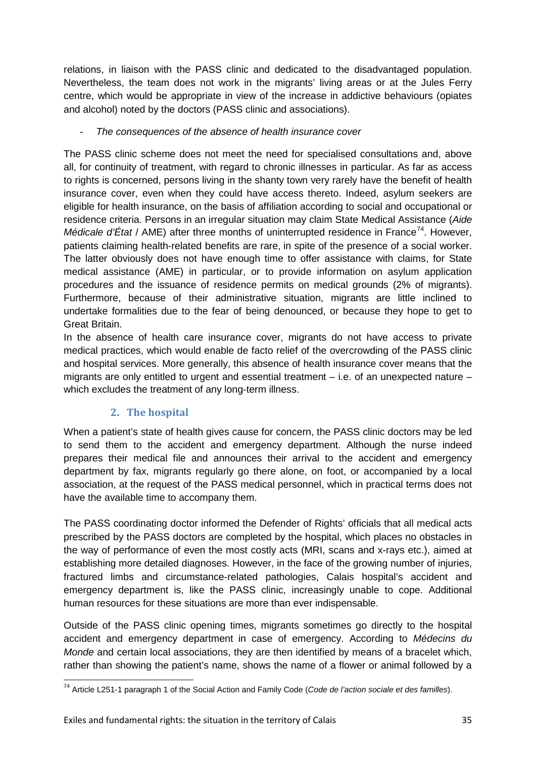relations, in liaison with the PASS clinic and dedicated to the disadvantaged population. Nevertheless, the team does not work in the migrants' living areas or at the Jules Ferry centre, which would be appropriate in view of the increase in addictive behaviours (opiates and alcohol) noted by the doctors (PASS clinic and associations).

#### - *The consequences of the absence of health insurance cover*

The PASS clinic scheme does not meet the need for specialised consultations and, above all, for continuity of treatment, with regard to chronic illnesses in particular. As far as access to rights is concerned, persons living in the shanty town very rarely have the benefit of health insurance cover, even when they could have access thereto. Indeed, asylum seekers are eligible for health insurance, on the basis of affiliation according to social and occupational or residence criteria. Persons in an irregular situation may claim State Medical Assistance (*Aide Médicale d'État* / AME) after three months of uninterrupted residence in France<sup>[74](#page-34-1)</sup>. However, patients claiming health-related benefits are rare, in spite of the presence of a social worker. The latter obviously does not have enough time to offer assistance with claims, for State medical assistance (AME) in particular, or to provide information on asylum application procedures and the issuance of residence permits on medical grounds (2% of migrants). Furthermore, because of their administrative situation, migrants are little inclined to undertake formalities due to the fear of being denounced, or because they hope to get to Great Britain.

In the absence of health care insurance cover, migrants do not have access to private medical practices, which would enable de facto relief of the overcrowding of the PASS clinic and hospital services. More generally, this absence of health insurance cover means that the migrants are only entitled to urgent and essential treatment – i.e. of an unexpected nature – which excludes the treatment of any long-term illness.

## **2. The hospital**

<span id="page-34-0"></span>When a patient's state of health gives cause for concern, the PASS clinic doctors may be led to send them to the accident and emergency department. Although the nurse indeed prepares their medical file and announces their arrival to the accident and emergency department by fax, migrants regularly go there alone, on foot, or accompanied by a local association, at the request of the PASS medical personnel, which in practical terms does not have the available time to accompany them.

The PASS coordinating doctor informed the Defender of Rights' officials that all medical acts prescribed by the PASS doctors are completed by the hospital, which places no obstacles in the way of performance of even the most costly acts (MRI, scans and x-rays etc.), aimed at establishing more detailed diagnoses. However, in the face of the growing number of injuries, fractured limbs and circumstance-related pathologies, Calais hospital's accident and emergency department is, like the PASS clinic, increasingly unable to cope. Additional human resources for these situations are more than ever indispensable.

Outside of the PASS clinic opening times, migrants sometimes go directly to the hospital accident and emergency department in case of emergency. According to *Médecins du Monde* and certain local associations, they are then identified by means of a bracelet which, rather than showing the patient's name, shows the name of a flower or animal followed by a

<span id="page-34-1"></span><sup>74</sup> Article L251-1 paragraph 1 of the Social Action and Family Code (*Code de l'action sociale et des familles*).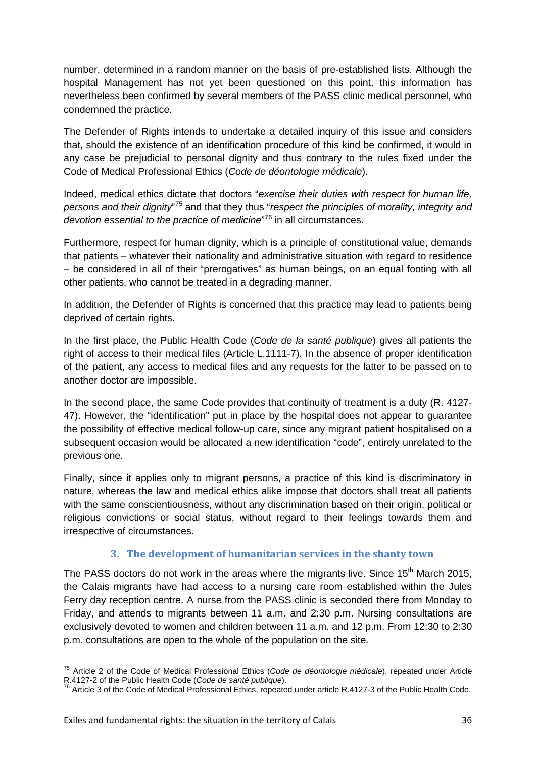number, determined in a random manner on the basis of pre-established lists. Although the hospital Management has not yet been questioned on this point, this information has nevertheless been confirmed by several members of the PASS clinic medical personnel, who condemned the practice.

The Defender of Rights intends to undertake a detailed inquiry of this issue and considers that, should the existence of an identification procedure of this kind be confirmed, it would in any case be prejudicial to personal dignity and thus contrary to the rules fixed under the Code of Medical Professional Ethics (*Code de déontologie médicale*).

Indeed, medical ethics dictate that doctors "*exercise their duties with respect for human life,*  persons and their dignity"<sup>[75](#page-35-1)</sup> and that they thus "respect the principles of morality, integrity and *devotion essential to the practice of medicine*" [76](#page-35-2) in all circumstances.

Furthermore, respect for human dignity, which is a principle of constitutional value, demands that patients – whatever their nationality and administrative situation with regard to residence – be considered in all of their "prerogatives" as human beings, on an equal footing with all other patients, who cannot be treated in a degrading manner.

In addition, the Defender of Rights is concerned that this practice may lead to patients being deprived of certain rights.

In the first place, the Public Health Code (*Code de la santé publique*) gives all patients the right of access to their medical files (Article L.1111-7). In the absence of proper identification of the patient, any access to medical files and any requests for the latter to be passed on to another doctor are impossible.

In the second place, the same Code provides that continuity of treatment is a duty (R. 4127- 47). However, the "identification" put in place by the hospital does not appear to guarantee the possibility of effective medical follow-up care, since any migrant patient hospitalised on a subsequent occasion would be allocated a new identification "code", entirely unrelated to the previous one.

Finally, since it applies only to migrant persons, a practice of this kind is discriminatory in nature, whereas the law and medical ethics alike impose that doctors shall treat all patients with the same conscientiousness, without any discrimination based on their origin, political or religious convictions or social status, without regard to their feelings towards them and irrespective of circumstances.

#### **3. The development of humanitarian services in the shanty town**

<span id="page-35-0"></span>The PASS doctors do not work in the areas where the migrants live. Since 15<sup>th</sup> March 2015, the Calais migrants have had access to a nursing care room established within the Jules Ferry day reception centre. A nurse from the PASS clinic is seconded there from Monday to Friday, and attends to migrants between 11 a.m. and 2:30 p.m. Nursing consultations are exclusively devoted to women and children between 11 a.m. and 12 p.m. From 12:30 to 2:30 p.m. consultations are open to the whole of the population on the site.

<span id="page-35-1"></span><sup>75</sup> Article 2 of the Code of Medical Professional Ethics (*Code de déontologie médicale*), repeated under Article R.4127-2 of the Public Health Code (*Code de santé publique*).<br><sup>76</sup> Article 3 of the Code of Medical Professional Ethics, repeated under article R.4127-3 of the Public Health Code.

<span id="page-35-2"></span>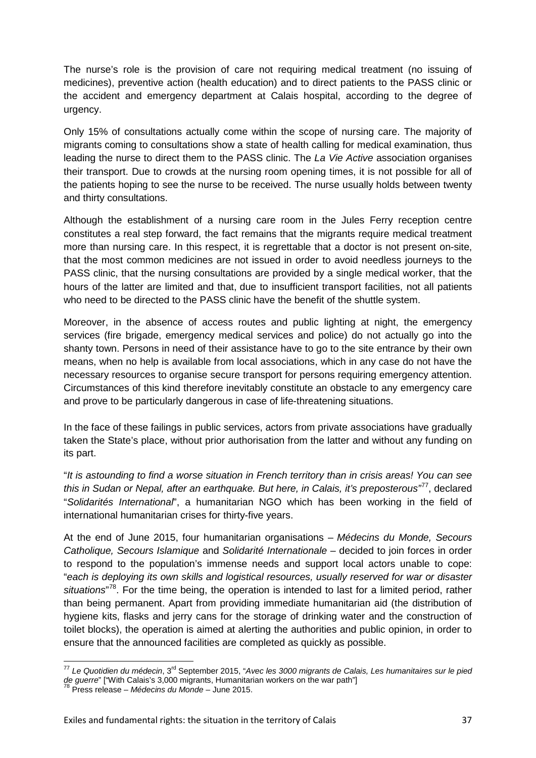The nurse's role is the provision of care not requiring medical treatment (no issuing of medicines), preventive action (health education) and to direct patients to the PASS clinic or the accident and emergency department at Calais hospital, according to the degree of urgency.

Only 15% of consultations actually come within the scope of nursing care. The majority of migrants coming to consultations show a state of health calling for medical examination, thus leading the nurse to direct them to the PASS clinic. The *La Vie Active* association organises their transport. Due to crowds at the nursing room opening times, it is not possible for all of the patients hoping to see the nurse to be received. The nurse usually holds between twenty and thirty consultations.

Although the establishment of a nursing care room in the Jules Ferry reception centre constitutes a real step forward, the fact remains that the migrants require medical treatment more than nursing care. In this respect, it is regrettable that a doctor is not present on-site, that the most common medicines are not issued in order to avoid needless journeys to the PASS clinic, that the nursing consultations are provided by a single medical worker, that the hours of the latter are limited and that, due to insufficient transport facilities, not all patients who need to be directed to the PASS clinic have the benefit of the shuttle system.

Moreover, in the absence of access routes and public lighting at night, the emergency services (fire brigade, emergency medical services and police) do not actually go into the shanty town. Persons in need of their assistance have to go to the site entrance by their own means, when no help is available from local associations, which in any case do not have the necessary resources to organise secure transport for persons requiring emergency attention. Circumstances of this kind therefore inevitably constitute an obstacle to any emergency care and prove to be particularly dangerous in case of life-threatening situations.

In the face of these failings in public services, actors from private associations have gradually taken the State's place, without prior authorisation from the latter and without any funding on its part.

"*It is astounding to find a worse situation in French territory than in crisis areas! You can see this in Sudan or Nepal, after an earthquake. But here, in Calais, it's preposterous"* [77](#page-36-0), declared "*Solidarités International*", a humanitarian NGO which has been working in the field of international humanitarian crises for thirty-five years.

At the end of June 2015, four humanitarian organisations – *Médecins du Monde, Secours Catholique, Secours Islamique* and *Solidarité Internationale* – decided to join forces in order to respond to the population's immense needs and support local actors unable to cope: "*each is deploying its own skills and logistical resources, usually reserved for war or disaster*  situations<sup>"[78](#page-36-1)</sup>. For the time being, the operation is intended to last for a limited period, rather than being permanent. Apart from providing immediate humanitarian aid (the distribution of hygiene kits, flasks and jerry cans for the storage of drinking water and the construction of toilet blocks), the operation is aimed at alerting the authorities and public opinion, in order to ensure that the announced facilities are completed as quickly as possible.

<span id="page-36-0"></span><sup>77</sup> *Le Quotidien du médecin*, 3rd September 2015, "*Avec les 3000 migrants de Calais, Les humanitaires sur le pied de guerre*" ["With Calais's 3,000 migrants, Humanitarian workers on the war path"] <sup>78</sup> Press release – *Médecins du Monde* – June 2015.

<span id="page-36-1"></span>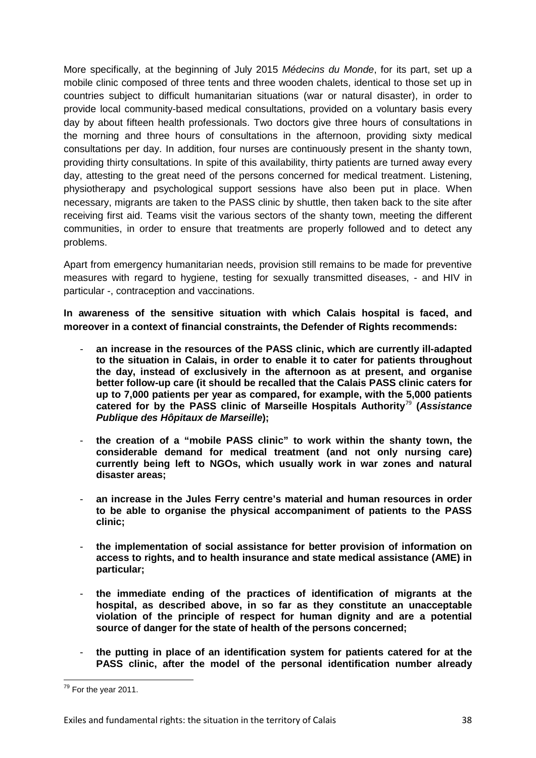More specifically, at the beginning of July 2015 *Médecins du Monde*, for its part, set up a mobile clinic composed of three tents and three wooden chalets, identical to those set up in countries subject to difficult humanitarian situations (war or natural disaster), in order to provide local community-based medical consultations, provided on a voluntary basis every day by about fifteen health professionals. Two doctors give three hours of consultations in the morning and three hours of consultations in the afternoon, providing sixty medical consultations per day. In addition, four nurses are continuously present in the shanty town, providing thirty consultations. In spite of this availability, thirty patients are turned away every day, attesting to the great need of the persons concerned for medical treatment. Listening, physiotherapy and psychological support sessions have also been put in place. When necessary, migrants are taken to the PASS clinic by shuttle, then taken back to the site after receiving first aid. Teams visit the various sectors of the shanty town, meeting the different communities, in order to ensure that treatments are properly followed and to detect any problems.

Apart from emergency humanitarian needs, provision still remains to be made for preventive measures with regard to hygiene, testing for sexually transmitted diseases, - and HIV in particular -, contraception and vaccinations.

**In awareness of the sensitive situation with which Calais hospital is faced, and moreover in a context of financial constraints, the Defender of Rights recommends:**

- **an increase in the resources of the PASS clinic, which are currently ill-adapted to the situation in Calais, in order to enable it to cater for patients throughout the day, instead of exclusively in the afternoon as at present, and organise better follow-up care (it should be recalled that the Calais PASS clinic caters for up to 7,000 patients per year as compared, for example, with the 5,000 patients catered for by the PASS clinic of Marseille Hospitals Authority**[79](#page-37-0) **(***Assistance Publique des Hôpitaux de Marseille***);**
- **the creation of a "mobile PASS clinic" to work within the shanty town, the considerable demand for medical treatment (and not only nursing care) currently being left to NGOs, which usually work in war zones and natural disaster areas;**
- **an increase in the Jules Ferry centre's material and human resources in order to be able to organise the physical accompaniment of patients to the PASS clinic;**
- **the implementation of social assistance for better provision of information on access to rights, and to health insurance and state medical assistance (AME) in particular;**
- **the immediate ending of the practices of identification of migrants at the hospital, as described above, in so far as they constitute an unacceptable violation of the principle of respect for human dignity and are a potential source of danger for the state of health of the persons concerned;**
- **the putting in place of an identification system for patients catered for at the PASS clinic, after the model of the personal identification number already**

<span id="page-37-0"></span><sup>&</sup>lt;sup>79</sup> For the year 2011.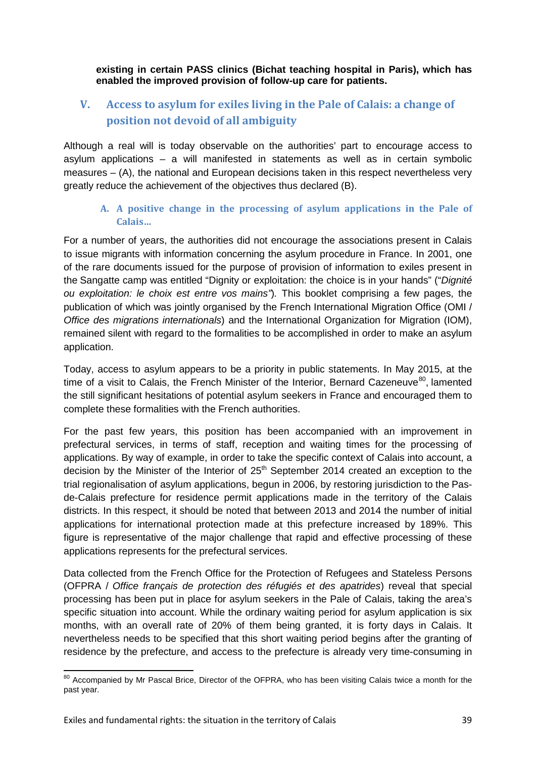**existing in certain PASS clinics (Bichat teaching hospital in Paris), which has enabled the improved provision of follow-up care for patients.**

# **V. Access to asylum for exiles living in the Pale of Calais: a change of position not devoid of all ambiguity**

Although a real will is today observable on the authorities' part to encourage access to asylum applications – a will manifested in statements as well as in certain symbolic measures – (A), the national and European decisions taken in this respect nevertheless very greatly reduce the achievement of the objectives thus declared (B).

### **A. A positive change in the processing of asylum applications in the Pale of Calais…**

For a number of years, the authorities did not encourage the associations present in Calais to issue migrants with information concerning the asylum procedure in France. In 2001, one of the rare documents issued for the purpose of provision of information to exiles present in the Sangatte camp was entitled "Dignity or exploitation: the choice is in your hands" ("*Dignité ou exploitation: le choix est entre vos mains"*)*.* This booklet comprising a few pages, the publication of which was jointly organised by the French International Migration Office (OMI / *Office des migrations internationals*) and the International Organization for Migration (IOM), remained silent with regard to the formalities to be accomplished in order to make an asylum application.

Today, access to asylum appears to be a priority in public statements. In May 2015, at the time of a visit to Calais, the French Minister of the Interior, Bernard Cazeneuve<sup>[80](#page-38-0)</sup>, lamented the still significant hesitations of potential asylum seekers in France and encouraged them to complete these formalities with the French authorities.

For the past few years, this position has been accompanied with an improvement in prefectural services, in terms of staff, reception and waiting times for the processing of applications. By way of example, in order to take the specific context of Calais into account, a decision by the Minister of the Interior of  $25<sup>th</sup>$  September 2014 created an exception to the trial regionalisation of asylum applications, begun in 2006, by restoring jurisdiction to the Pasde-Calais prefecture for residence permit applications made in the territory of the Calais districts. In this respect, it should be noted that between 2013 and 2014 the number of initial applications for international protection made at this prefecture increased by 189%. This figure is representative of the major challenge that rapid and effective processing of these applications represents for the prefectural services.

Data collected from the French Office for the Protection of Refugees and Stateless Persons (OFPRA / *Office français de protection des réfugiés et des apatrides*) reveal that special processing has been put in place for asylum seekers in the Pale of Calais, taking the area's specific situation into account. While the ordinary waiting period for asylum application is six months, with an overall rate of 20% of them being granted, it is forty days in Calais. It nevertheless needs to be specified that this short waiting period begins after the granting of residence by the prefecture, and access to the prefecture is already very time-consuming in

<span id="page-38-0"></span><sup>&</sup>lt;sup>80</sup> Accompanied by Mr Pascal Brice, Director of the OFPRA, who has been visiting Calais twice a month for the past year.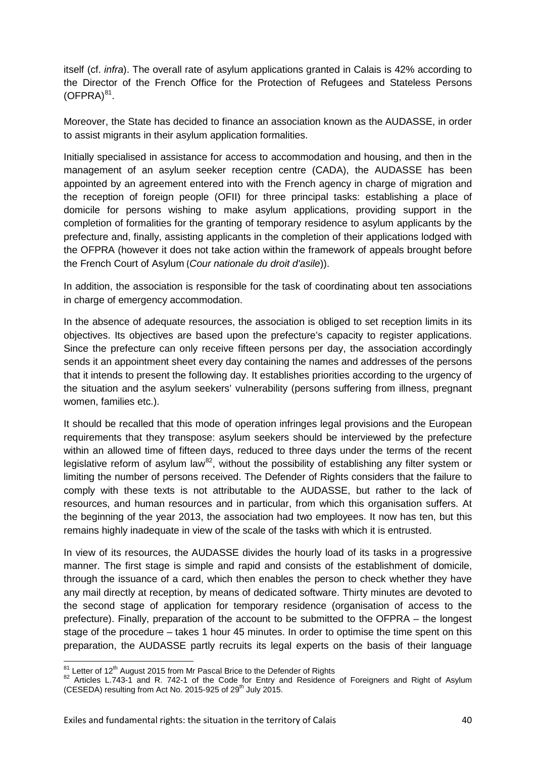itself (cf. *infra*). The overall rate of asylum applications granted in Calais is 42% according to the Director of the French Office for the Protection of Refugees and Stateless Persons  $(OFPRA)^{81}$  $(OFPRA)^{81}$  $(OFPRA)^{81}$ .

Moreover, the State has decided to finance an association known as the AUDASSE, in order to assist migrants in their asylum application formalities.

Initially specialised in assistance for access to accommodation and housing, and then in the management of an asylum seeker reception centre (CADA), the AUDASSE has been appointed by an agreement entered into with the French agency in charge of migration and the reception of foreign people (OFII) for three principal tasks: establishing a place of domicile for persons wishing to make asylum applications, providing support in the completion of formalities for the granting of temporary residence to asylum applicants by the prefecture and, finally, assisting applicants in the completion of their applications lodged with the OFPRA (however it does not take action within the framework of appeals brought before the French Court of Asylum (*Cour nationale du droit d'asile*)).

In addition, the association is responsible for the task of coordinating about ten associations in charge of emergency accommodation.

In the absence of adequate resources, the association is obliged to set reception limits in its objectives. Its objectives are based upon the prefecture's capacity to register applications. Since the prefecture can only receive fifteen persons per day, the association accordingly sends it an appointment sheet every day containing the names and addresses of the persons that it intends to present the following day. It establishes priorities according to the urgency of the situation and the asylum seekers' vulnerability (persons suffering from illness, pregnant women, families etc.).

It should be recalled that this mode of operation infringes legal provisions and the European requirements that they transpose: asylum seekers should be interviewed by the prefecture within an allowed time of fifteen days, reduced to three days under the terms of the recent legislative reform of asylum law<sup>[82](#page-39-1)</sup>, without the possibility of establishing any filter system or limiting the number of persons received. The Defender of Rights considers that the failure to comply with these texts is not attributable to the AUDASSE, but rather to the lack of resources, and human resources and in particular, from which this organisation suffers. At the beginning of the year 2013, the association had two employees. It now has ten, but this remains highly inadequate in view of the scale of the tasks with which it is entrusted.

In view of its resources, the AUDASSE divides the hourly load of its tasks in a progressive manner. The first stage is simple and rapid and consists of the establishment of domicile, through the issuance of a card, which then enables the person to check whether they have any mail directly at reception, by means of dedicated software. Thirty minutes are devoted to the second stage of application for temporary residence (organisation of access to the prefecture). Finally, preparation of the account to be submitted to the OFPRA – the longest stage of the procedure – takes 1 hour 45 minutes. In order to optimise the time spent on this preparation, the AUDASSE partly recruits its legal experts on the basis of their language

<span id="page-39-1"></span>

<span id="page-39-0"></span><sup>&</sup>lt;sup>81</sup> Letter of 12<sup>th</sup> August 2015 from Mr Pascal Brice to the Defender of Rights<br><sup>82</sup> Articles L.743-1 and R. 742-1 of the Code for Entry and Residence of Foreigners and Right of Asylum (CESEDA) resulting from Act No. 2015-925 of  $29<sup>th</sup>$  July 2015.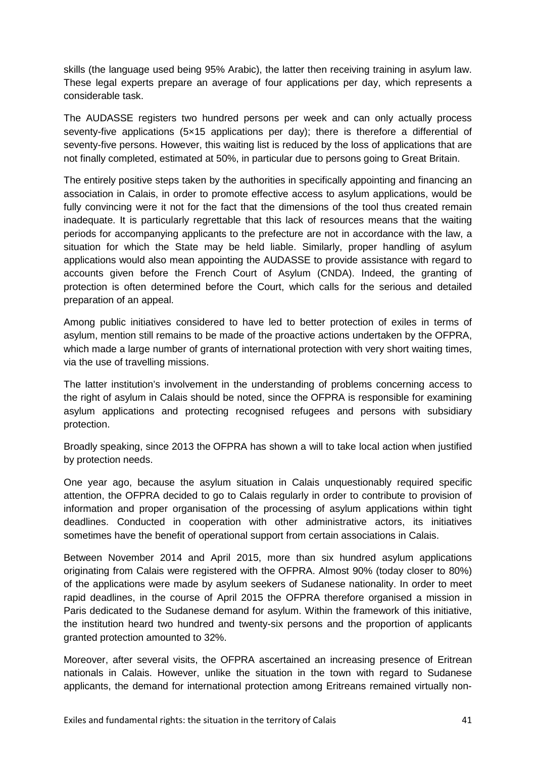skills (the language used being 95% Arabic), the latter then receiving training in asylum law. These legal experts prepare an average of four applications per day, which represents a considerable task.

The AUDASSE registers two hundred persons per week and can only actually process seventy-five applications (5×15 applications per day); there is therefore a differential of seventy-five persons. However, this waiting list is reduced by the loss of applications that are not finally completed, estimated at 50%, in particular due to persons going to Great Britain.

The entirely positive steps taken by the authorities in specifically appointing and financing an association in Calais, in order to promote effective access to asylum applications, would be fully convincing were it not for the fact that the dimensions of the tool thus created remain inadequate. It is particularly regrettable that this lack of resources means that the waiting periods for accompanying applicants to the prefecture are not in accordance with the law, a situation for which the State may be held liable. Similarly, proper handling of asylum applications would also mean appointing the AUDASSE to provide assistance with regard to accounts given before the French Court of Asylum (CNDA). Indeed, the granting of protection is often determined before the Court, which calls for the serious and detailed preparation of an appeal.

Among public initiatives considered to have led to better protection of exiles in terms of asylum, mention still remains to be made of the proactive actions undertaken by the OFPRA, which made a large number of grants of international protection with very short waiting times, via the use of travelling missions.

The latter institution's involvement in the understanding of problems concerning access to the right of asylum in Calais should be noted, since the OFPRA is responsible for examining asylum applications and protecting recognised refugees and persons with subsidiary protection.

Broadly speaking, since 2013 the OFPRA has shown a will to take local action when justified by protection needs.

One year ago, because the asylum situation in Calais unquestionably required specific attention, the OFPRA decided to go to Calais regularly in order to contribute to provision of information and proper organisation of the processing of asylum applications within tight deadlines. Conducted in cooperation with other administrative actors, its initiatives sometimes have the benefit of operational support from certain associations in Calais.

Between November 2014 and April 2015, more than six hundred asylum applications originating from Calais were registered with the OFPRA. Almost 90% (today closer to 80%) of the applications were made by asylum seekers of Sudanese nationality. In order to meet rapid deadlines, in the course of April 2015 the OFPRA therefore organised a mission in Paris dedicated to the Sudanese demand for asylum. Within the framework of this initiative, the institution heard two hundred and twenty-six persons and the proportion of applicants granted protection amounted to 32%.

Moreover, after several visits, the OFPRA ascertained an increasing presence of Eritrean nationals in Calais. However, unlike the situation in the town with regard to Sudanese applicants, the demand for international protection among Eritreans remained virtually non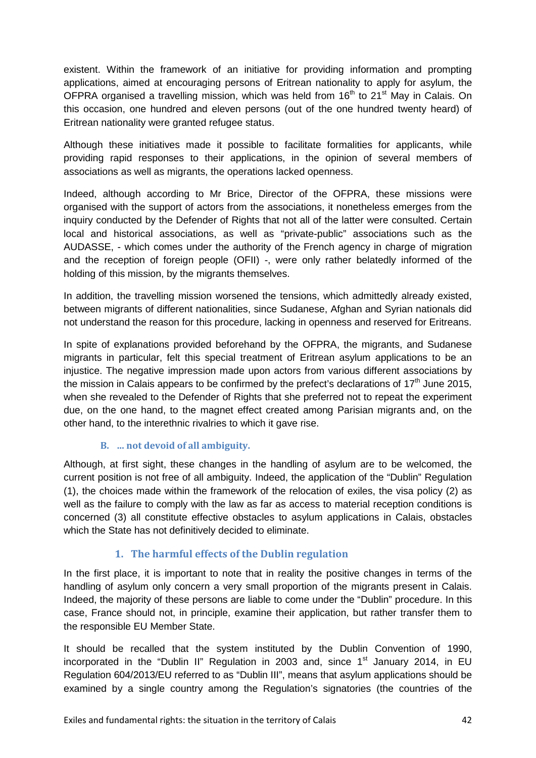existent. Within the framework of an initiative for providing information and prompting applications, aimed at encouraging persons of Eritrean nationality to apply for asylum, the OFPRA organised a travelling mission, which was held from  $16<sup>th</sup>$  to 21<sup>st</sup> May in Calais. On this occasion, one hundred and eleven persons (out of the one hundred twenty heard) of Eritrean nationality were granted refugee status.

Although these initiatives made it possible to facilitate formalities for applicants, while providing rapid responses to their applications, in the opinion of several members of associations as well as migrants, the operations lacked openness.

Indeed, although according to Mr Brice, Director of the OFPRA, these missions were organised with the support of actors from the associations, it nonetheless emerges from the inquiry conducted by the Defender of Rights that not all of the latter were consulted. Certain local and historical associations, as well as "private-public" associations such as the AUDASSE, - which comes under the authority of the French agency in charge of migration and the reception of foreign people (OFII) -, were only rather belatedly informed of the holding of this mission, by the migrants themselves.

In addition, the travelling mission worsened the tensions, which admittedly already existed, between migrants of different nationalities, since Sudanese, Afghan and Syrian nationals did not understand the reason for this procedure, lacking in openness and reserved for Eritreans.

In spite of explanations provided beforehand by the OFPRA, the migrants, and Sudanese migrants in particular, felt this special treatment of Eritrean asylum applications to be an injustice. The negative impression made upon actors from various different associations by the mission in Calais appears to be confirmed by the prefect's declarations of  $17<sup>th</sup>$  June 2015, when she revealed to the Defender of Rights that she preferred not to repeat the experiment due, on the one hand, to the magnet effect created among Parisian migrants and, on the other hand, to the interethnic rivalries to which it gave rise.

### **B. … not devoid of all ambiguity.**

Although, at first sight, these changes in the handling of asylum are to be welcomed, the current position is not free of all ambiguity. Indeed, the application of the "Dublin" Regulation (1), the choices made within the framework of the relocation of exiles, the visa policy (2) as well as the failure to comply with the law as far as access to material reception conditions is concerned (3) all constitute effective obstacles to asylum applications in Calais, obstacles which the State has not definitively decided to eliminate.

# **1. The harmful effects of the Dublin regulation**

In the first place, it is important to note that in reality the positive changes in terms of the handling of asylum only concern a very small proportion of the migrants present in Calais. Indeed, the majority of these persons are liable to come under the "Dublin" procedure. In this case, France should not, in principle, examine their application, but rather transfer them to the responsible EU Member State.

It should be recalled that the system instituted by the Dublin Convention of 1990, incorporated in the "Dublin II" Regulation in 2003 and, since  $1<sup>st</sup>$  January 2014, in EU Regulation 604/2013/EU referred to as "Dublin III", means that asylum applications should be examined by a single country among the Regulation's signatories (the countries of the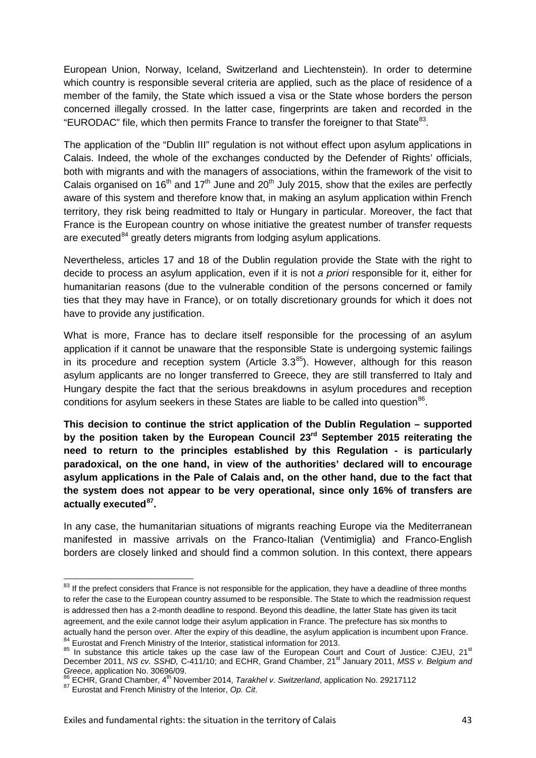European Union, Norway, Iceland, Switzerland and Liechtenstein). In order to determine which country is responsible several criteria are applied, such as the place of residence of a member of the family, the State which issued a visa or the State whose borders the person concerned illegally crossed. In the latter case, fingerprints are taken and recorded in the "EURODAC" file, which then permits France to transfer the foreigner to that State<sup>[83](#page-42-0)</sup>.

The application of the "Dublin III" regulation is not without effect upon asylum applications in Calais. Indeed, the whole of the exchanges conducted by the Defender of Rights' officials, both with migrants and with the managers of associations, within the framework of the visit to Calais organised on 16<sup>th</sup> and 17<sup>th</sup> June and 20<sup>th</sup> July 2015, show that the exiles are perfectly aware of this system and therefore know that, in making an asylum application within French territory, they risk being readmitted to Italy or Hungary in particular. Moreover, the fact that France is the European country on whose initiative the greatest number of transfer requests are executed<sup>[84](#page-42-1)</sup> greatly deters migrants from lodging asylum applications.

Nevertheless, articles 17 and 18 of the Dublin regulation provide the State with the right to decide to process an asylum application, even if it is not *a priori* responsible for it, either for humanitarian reasons (due to the vulnerable condition of the persons concerned or family ties that they may have in France), or on totally discretionary grounds for which it does not have to provide any justification.

What is more, France has to declare itself responsible for the processing of an asylum application if it cannot be unaware that the responsible State is undergoing systemic failings in its procedure and reception system (Article  $3.3<sup>85</sup>$ ). However, although for this reason asylum applicants are no longer transferred to Greece, they are still transferred to Italy and Hungary despite the fact that the serious breakdowns in asylum procedures and reception conditions for asylum seekers in these States are liable to be called into question  $86$ .

**This decision to continue the strict application of the Dublin Regulation – supported by the position taken by the European Council 23rd September 2015 reiterating the need to return to the principles established by this Regulation - is particularly paradoxical, on the one hand, in view of the authorities' declared will to encourage asylum applications in the Pale of Calais and, on the other hand, due to the fact that the system does not appear to be very operational, since only 16% of transfers are actually executed[87.](#page-42-4)**

In any case, the humanitarian situations of migrants reaching Europe via the Mediterranean manifested in massive arrivals on the Franco-Italian (Ventimiglia) and Franco-English borders are closely linked and should find a common solution. In this context, there appears

<span id="page-42-0"></span><sup>&</sup>lt;sup>83</sup> If the prefect considers that France is not responsible for the application, they have a deadline of three months to refer the case to the European country assumed to be responsible. The State to which the readmission request is addressed then has a 2-month deadline to respond. Beyond this deadline, the latter State has given its tacit agreement, and the exile cannot lodge their asylum application in France. The prefecture has six months to actually hand the person over. After the expiry of this deadline, the asylum application is incumbent upon France.

<span id="page-42-2"></span><span id="page-42-1"></span><sup>&</sup>lt;sup>84</sup> Eurostat and French Ministry of the Interior, statistical information for 2013.<br><sup>85</sup> In substance this article takes up the case law of the European Court and Court of Justice: CJEU, 21<sup>st</sup> December 2011, *NS cv. SSHD, C-411/10; and ECHR, Grand Chamber, 21<sup>st</sup> January 2011, MSS v. Belgium and Greece*, application No. 30696/09.<br><sup>86</sup> ECHR, Grand Chamber, 4<sup>th</sup> November 2014, *Tarakhel v. Switzerland*, application No. 29217112 87 Eurostat and French Ministry of the Interior, *Op. Cit*.

<span id="page-42-3"></span>

<span id="page-42-4"></span>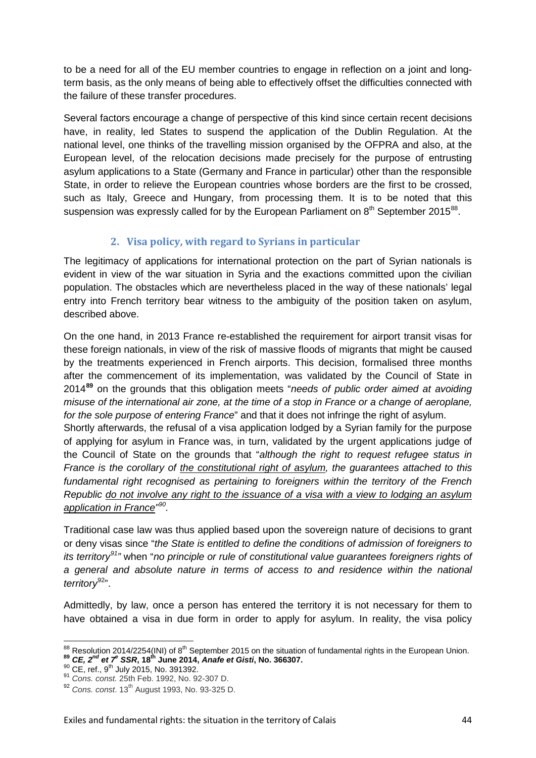to be a need for all of the EU member countries to engage in reflection on a joint and longterm basis, as the only means of being able to effectively offset the difficulties connected with the failure of these transfer procedures.

Several factors encourage a change of perspective of this kind since certain recent decisions have, in reality, led States to suspend the application of the Dublin Regulation. At the national level, one thinks of the travelling mission organised by the OFPRA and also, at the European level, of the relocation decisions made precisely for the purpose of entrusting asylum applications to a State (Germany and France in particular) other than the responsible State, in order to relieve the European countries whose borders are the first to be crossed, such as Italy, Greece and Hungary, from processing them. It is to be noted that this suspension was expressly called for by the European Parliament on  $8<sup>th</sup>$  September 2015<sup>88</sup>.

# **2. Visa policy, with regard to Syrians in particular**

The legitimacy of applications for international protection on the part of Syrian nationals is evident in view of the war situation in Syria and the exactions committed upon the civilian population. The obstacles which are nevertheless placed in the way of these nationals' legal entry into French territory bear witness to the ambiguity of the position taken on asylum, described above.

On the one hand, in 2013 France re-established the requirement for airport transit visas for these foreign nationals, in view of the risk of massive floods of migrants that might be caused by the treatments experienced in French airports. This decision, formalised three months after the commencement of its implementation, was validated by the Council of State in 2014**[89](#page-43-1)** on the grounds that this obligation meets "*needs of public order aimed at avoiding misuse of the international air zone, at the time of a stop in France or a change of aeroplane, for the sole purpose of entering France*" and that it does not infringe the right of asylum.

Shortly afterwards, the refusal of a visa application lodged by a Syrian family for the purpose of applying for asylum in France was, in turn, validated by the urgent applications judge of the Council of State on the grounds that "*although the right to request refugee status in France is the corollary of the constitutional right of asylum, the guarantees attached to this fundamental right recognised as pertaining to foreigners within the territory of the French Republic do not involve any right to the issuance of a visa with a view to lodging an asylum application in France" [90](#page-43-2).*

Traditional case law was thus applied based upon the sovereign nature of decisions to grant or deny visas since "*the State is entitled to define the conditions of admission of foreigners to its territory[91"](#page-43-3)* when "*no principle or rule of constitutional value guarantees foreigners rights of a general and absolute nature in terms of access to and residence within the national territory*[92](#page-43-4)".

Admittedly, by law, once a person has entered the territory it is not necessary for them to have obtained a visa in due form in order to apply for asylum. In reality, the visa policy

<span id="page-43-2"></span><span id="page-43-1"></span>

<span id="page-43-0"></span><sup>&</sup>lt;sup>88</sup> Resolution [2014/2254\(INI\)](http://www.europarl.europa.eu/oeil/popups/ficheprocedure.do?lang=fr&reference=2014/2254%28INI%29) of 8<sup>th</sup> September 2015 on the situation of fundamental rights in the European Union.<br><sup>89</sup> **CE, 2<sup>nd</sup> et 7<sup>e</sup> SSR, 18<sup>th</sup> June 2014, [Anafe et Gisti](http://www.legifrance.gouv.fr/affichJuriAdmin.do?oldAction=rechJuriAdmin&idTexte=CETATEXT000029103363&fastReqId=1298789758&fastPos=1), No. 366307.**<br><sup>90</sup> CE, ref., 9<sup>th</sup> July 20

<span id="page-43-3"></span>

<span id="page-43-4"></span><sup>&</sup>lt;sup>92</sup> Cons. const. 13<sup>th</sup> August 1993, No. 93-325 D.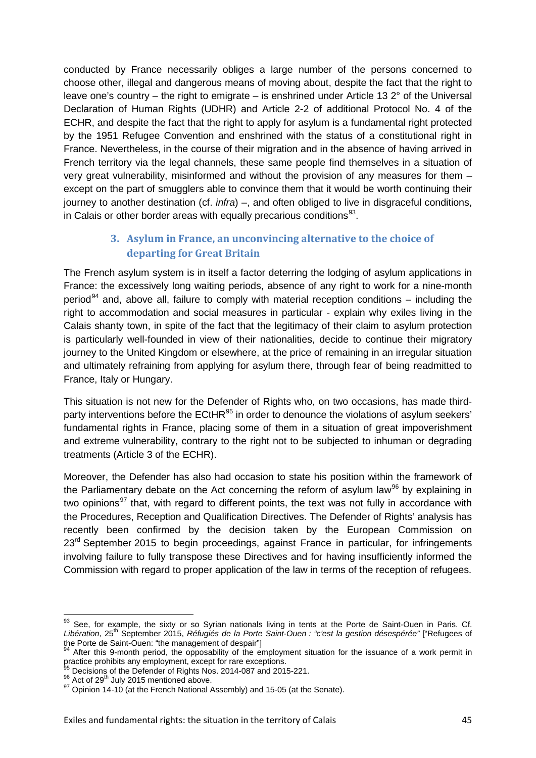conducted by France necessarily obliges a large number of the persons concerned to choose other, illegal and dangerous means of moving about, despite the fact that the right to leave one's country – the right to emigrate – is enshrined under Article 13  $2^{\circ}$  of the Universal Declaration of Human Rights (UDHR) and Article 2-2 of additional Protocol No. 4 of the ECHR, and despite the fact that the right to apply for asylum is a fundamental right protected by the 1951 Refugee Convention and enshrined with the status of a constitutional right in France. Nevertheless, in the course of their migration and in the absence of having arrived in French territory via the legal channels, these same people find themselves in a situation of very great vulnerability, misinformed and without the provision of any measures for them – except on the part of smugglers able to convince them that it would be worth continuing their journey to another destination (cf. *infra*) –, and often obliged to live in disgraceful conditions, in Calais or other border areas with equally precarious conditions $93$ .

# **3. Asylum in France, an unconvincing alternative to the choice of departing for Great Britain**

The French asylum system is in itself a factor deterring the lodging of asylum applications in France: the excessively long waiting periods, absence of any right to work for a nine-month period<sup>[94](#page-44-1)</sup> and, above all, failure to comply with material reception conditions – including the right to accommodation and social measures in particular - explain why exiles living in the Calais shanty town, in spite of the fact that the legitimacy of their claim to asylum protection is particularly well-founded in view of their nationalities, decide to continue their migratory journey to the United Kingdom or elsewhere, at the price of remaining in an irregular situation and ultimately refraining from applying for asylum there, through fear of being readmitted to France, Italy or Hungary.

This situation is not new for the Defender of Rights who, on two occasions, has made third-party interventions before the ECtHR<sup>[95](#page-44-2)</sup> in order to denounce the violations of asylum seekers' fundamental rights in France, placing some of them in a situation of great impoverishment and extreme vulnerability, contrary to the right not to be subjected to inhuman or degrading treatments (Article 3 of the ECHR).

Moreover, the Defender has also had occasion to state his position within the framework of the Parliamentary debate on the Act concerning the reform of asylum law<sup>[96](#page-44-3)</sup> by explaining in two opinions<sup>[97](#page-44-4)</sup> that, with regard to different points, the text was not fully in accordance with the Procedures, Reception and Qualification Directives. The Defender of Rights' analysis has recently been confirmed by the decision taken by the European Commission on  $23<sup>rd</sup>$  September 2015 to begin proceedings, against France in particular, for infringements involving failure to fully transpose these Directives and for having insufficiently informed the Commission with regard to proper application of the law in terms of the reception of refugees.

<span id="page-44-0"></span><sup>93</sup> See. for example, the sixty or so Syrian nationals living in tents at the Porte de Saint-Ouen in Paris. Cf. *Libération*, 25th September 2015, *Réfugiés de la Porte Saint-Ouen : "c'est la gestion désespérée"* ["Refugees of the Porte de Saint-Ouen: "the management of despair"]<br><sup>94</sup> After this 9-month period, the opposability of the employment situation for the issuance of a work permit in

<span id="page-44-1"></span>practice prohibits any employment, except for rare exceptions.<br>
<sup>95</sup> Decisions of the Defender of Rights Nos. 2014-087 and 2015-221.<br>
<sup>96</sup> Act of 29<sup>th</sup> July 2015 mentioned above.<br>
<sup>97</sup> Opinion 14-10 (at the French Nation

<span id="page-44-2"></span>

<span id="page-44-3"></span>

<span id="page-44-4"></span>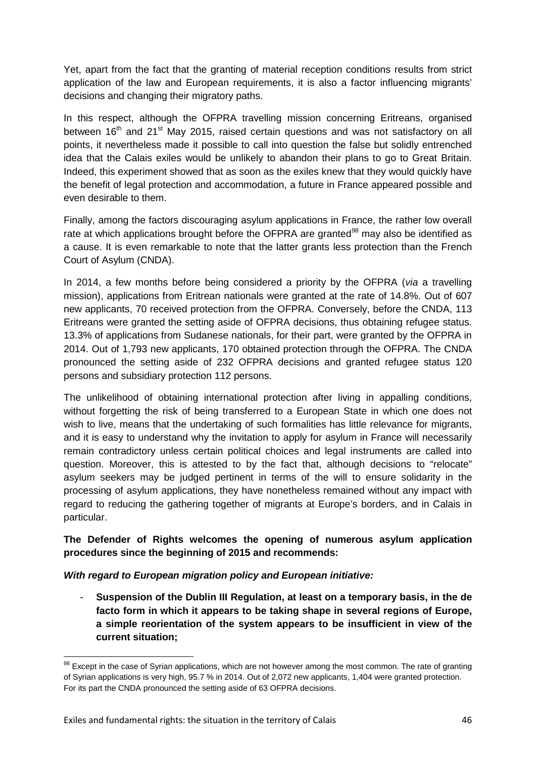Yet, apart from the fact that the granting of material reception conditions results from strict application of the law and European requirements, it is also a factor influencing migrants' decisions and changing their migratory paths.

In this respect, although the OFPRA travelling mission concerning Eritreans, organised between 16<sup>th</sup> and 21<sup>st</sup> May 2015, raised certain questions and was not satisfactory on all points, it nevertheless made it possible to call into question the false but solidly entrenched idea that the Calais exiles would be unlikely to abandon their plans to go to Great Britain. Indeed, this experiment showed that as soon as the exiles knew that they would quickly have the benefit of legal protection and accommodation, a future in France appeared possible and even desirable to them.

Finally, among the factors discouraging asylum applications in France, the rather low overall rate at which applications brought before the OFPRA are granted<sup>[98](#page-45-0)</sup> may also be identified as a cause. It is even remarkable to note that the latter grants less protection than the French Court of Asylum (CNDA).

In 2014, a few months before being considered a priority by the OFPRA (*via* a travelling mission), applications from Eritrean nationals were granted at the rate of 14.8%. Out of 607 new applicants, 70 received protection from the OFPRA. Conversely, before the CNDA, 113 Eritreans were granted the setting aside of OFPRA decisions, thus obtaining refugee status. 13.3% of applications from Sudanese nationals, for their part, were granted by the OFPRA in 2014. Out of 1,793 new applicants, 170 obtained protection through the OFPRA. The CNDA pronounced the setting aside of 232 OFPRA decisions and granted refugee status 120 persons and subsidiary protection 112 persons.

The unlikelihood of obtaining international protection after living in appalling conditions, without forgetting the risk of being transferred to a European State in which one does not wish to live, means that the undertaking of such formalities has little relevance for migrants, and it is easy to understand why the invitation to apply for asylum in France will necessarily remain contradictory unless certain political choices and legal instruments are called into question. Moreover, this is attested to by the fact that, although decisions to "relocate" asylum seekers may be judged pertinent in terms of the will to ensure solidarity in the processing of asylum applications, they have nonetheless remained without any impact with regard to reducing the gathering together of migrants at Europe's borders, and in Calais in particular.

**The Defender of Rights welcomes the opening of numerous asylum application procedures since the beginning of 2015 and recommends:**

*With regard to European migration policy and European initiative:*

- **Suspension of the Dublin III Regulation, at least on a temporary basis, in the de facto form in which it appears to be taking shape in several regions of Europe, a simple reorientation of the system appears to be insufficient in view of the current situation;**

<span id="page-45-0"></span><sup>&</sup>lt;sup>98</sup> Except in the case of Syrian applications, which are not however among the most common. The rate of granting of Syrian applications is very high, 95.7 % in 2014. Out of 2,072 new applicants, 1,404 were granted protection. For its part the CNDA pronounced the setting aside of 63 OFPRA decisions.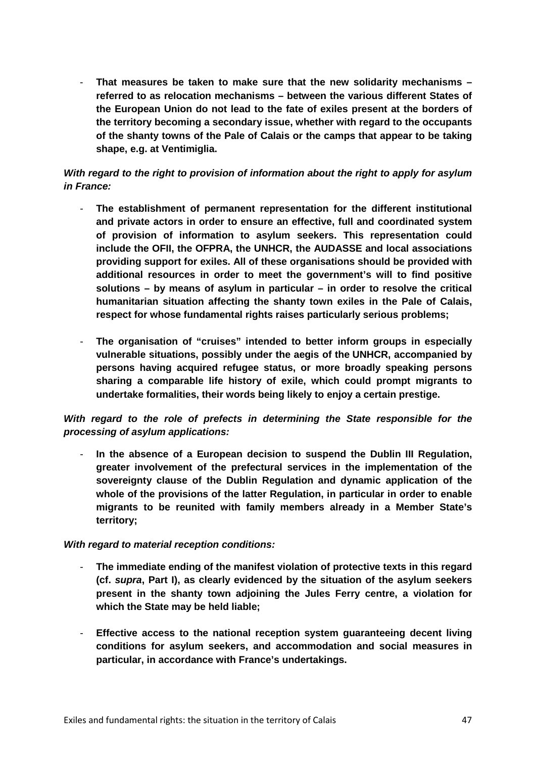- **That measures be taken to make sure that the new solidarity mechanisms – referred to as relocation mechanisms – between the various different States of the European Union do not lead to the fate of exiles present at the borders of the territory becoming a secondary issue, whether with regard to the occupants of the shanty towns of the Pale of Calais or the camps that appear to be taking shape, e.g. at Ventimiglia.**

### *With regard to the right to provision of information about the right to apply for asylum in France:*

- **The establishment of permanent representation for the different institutional and private actors in order to ensure an effective, full and coordinated system of provision of information to asylum seekers. This representation could include the OFII, the OFPRA, the UNHCR, the AUDASSE and local associations providing support for exiles. All of these organisations should be provided with additional resources in order to meet the government's will to find positive solutions – by means of asylum in particular – in order to resolve the critical humanitarian situation affecting the shanty town exiles in the Pale of Calais, respect for whose fundamental rights raises particularly serious problems;**
- **The organisation of "cruises" intended to better inform groups in especially vulnerable situations, possibly under the aegis of the UNHCR, accompanied by persons having acquired refugee status, or more broadly speaking persons sharing a comparable life history of exile, which could prompt migrants to undertake formalities, their words being likely to enjoy a certain prestige.**

*With regard to the role of prefects in determining the State responsible for the processing of asylum applications:*

- **In the absence of a European decision to suspend the Dublin III Regulation, greater involvement of the prefectural services in the implementation of the sovereignty clause of the Dublin Regulation and dynamic application of the whole of the provisions of the latter Regulation, in particular in order to enable migrants to be reunited with family members already in a Member State's territory;**

#### *With regard to material reception conditions:*

- **The immediate ending of the manifest violation of protective texts in this regard (cf.** *supra***, Part I), as clearly evidenced by the situation of the asylum seekers present in the shanty town adjoining the Jules Ferry centre, a violation for which the State may be held liable;**
- **Effective access to the national reception system guaranteeing decent living conditions for asylum seekers, and accommodation and social measures in particular, in accordance with France's undertakings.**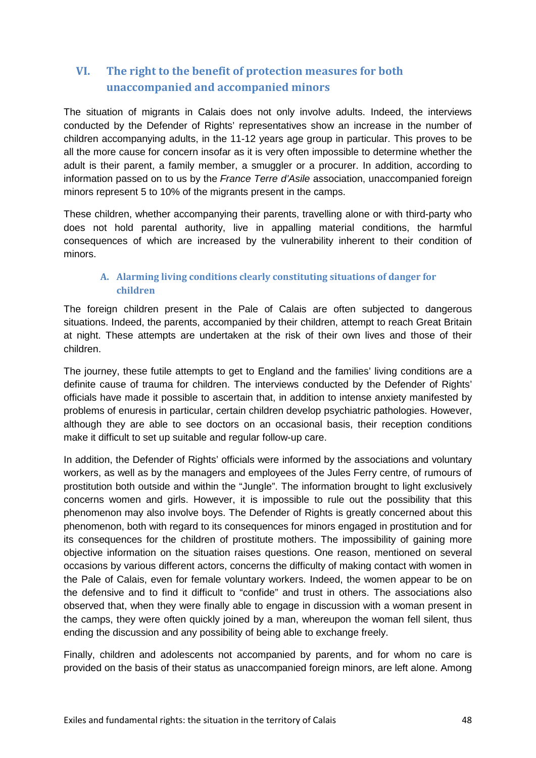# **VI. The right to the benefit of protection measures for both unaccompanied and accompanied minors**

The situation of migrants in Calais does not only involve adults. Indeed, the interviews conducted by the Defender of Rights' representatives show an increase in the number of children accompanying adults, in the 11-12 years age group in particular. This proves to be all the more cause for concern insofar as it is very often impossible to determine whether the adult is their parent, a family member, a smuggler or a procurer. In addition, according to information passed on to us by the *France Terre d'Asile* association, unaccompanied foreign minors represent 5 to 10% of the migrants present in the camps.

These children, whether accompanying their parents, travelling alone or with third-party who does not hold parental authority, live in appalling material conditions, the harmful consequences of which are increased by the vulnerability inherent to their condition of minors.

### **A. Alarming living conditions clearly constituting situations of danger for children**

The foreign children present in the Pale of Calais are often subjected to dangerous situations. Indeed, the parents, accompanied by their children, attempt to reach Great Britain at night. These attempts are undertaken at the risk of their own lives and those of their children.

The journey, these futile attempts to get to England and the families' living conditions are a definite cause of trauma for children. The interviews conducted by the Defender of Rights' officials have made it possible to ascertain that, in addition to intense anxiety manifested by problems of enuresis in particular, certain children develop psychiatric pathologies. However, although they are able to see doctors on an occasional basis, their reception conditions make it difficult to set up suitable and regular follow-up care.

In addition, the Defender of Rights' officials were informed by the associations and voluntary workers, as well as by the managers and employees of the Jules Ferry centre, of rumours of prostitution both outside and within the "Jungle". The information brought to light exclusively concerns women and girls. However, it is impossible to rule out the possibility that this phenomenon may also involve boys. The Defender of Rights is greatly concerned about this phenomenon, both with regard to its consequences for minors engaged in prostitution and for its consequences for the children of prostitute mothers. The impossibility of gaining more objective information on the situation raises questions. One reason, mentioned on several occasions by various different actors, concerns the difficulty of making contact with women in the Pale of Calais, even for female voluntary workers. Indeed, the women appear to be on the defensive and to find it difficult to "confide" and trust in others. The associations also observed that, when they were finally able to engage in discussion with a woman present in the camps, they were often quickly joined by a man, whereupon the woman fell silent, thus ending the discussion and any possibility of being able to exchange freely.

Finally, children and adolescents not accompanied by parents, and for whom no care is provided on the basis of their status as unaccompanied foreign minors, are left alone. Among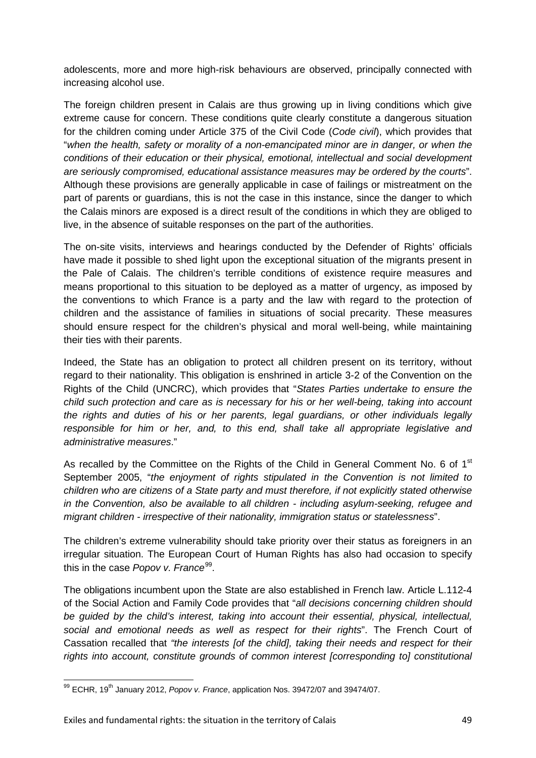adolescents, more and more high-risk behaviours are observed, principally connected with increasing alcohol use.

The foreign children present in Calais are thus growing up in living conditions which give extreme cause for concern. These conditions quite clearly constitute a dangerous situation for the children coming under Article 375 of the Civil Code (*Code civil*), which provides that "*when the health, safety or morality of a non-emancipated minor are in danger, or when the conditions of their education or their physical, emotional, intellectual and social development are seriously compromised, educational assistance measures may be ordered by the courts*". Although these provisions are generally applicable in case of failings or mistreatment on the part of parents or guardians, this is not the case in this instance, since the danger to which the Calais minors are exposed is a direct result of the conditions in which they are obliged to live, in the absence of suitable responses on the part of the authorities.

The on-site visits, interviews and hearings conducted by the Defender of Rights' officials have made it possible to shed light upon the exceptional situation of the migrants present in the Pale of Calais. The children's terrible conditions of existence require measures and means proportional to this situation to be deployed as a matter of urgency, as imposed by the conventions to which France is a party and the law with regard to the protection of children and the assistance of families in situations of social precarity. These measures should ensure respect for the children's physical and moral well-being, while maintaining their ties with their parents.

Indeed, the State has an obligation to protect all children present on its territory, without regard to their nationality. This obligation is enshrined in article 3-2 of the Convention on the Rights of the Child (UNCRC), which provides that "*States Parties undertake to ensure the child such protection and care as is necessary for his or her well-being, taking into account the rights and duties of his or her parents, legal guardians, or other individuals legally responsible for him or her, and, to this end, shall take all appropriate legislative and administrative measures*."

As recalled by the Committee on the Rights of the Child in General Comment No. 6 of 1<sup>st</sup> September 2005, "*the enjoyment of rights stipulated in the Convention is not limited to children who are citizens of a State party and must therefore, if not explicitly stated otherwise in the Convention, also be available to all children - including asylum-seeking, refugee and migrant children - irrespective of their nationality, immigration status or statelessness*".

The children's extreme vulnerability should take priority over their status as foreigners in an irregular situation. The European Court of Human Rights has also had occasion to specify this in the case *Popov v. France*<sup>99</sup>.

The obligations incumbent upon the State are also established in French law. Article L.112-4 of the Social Action and Family Code provides that "*all decisions concerning children should be guided by the child's interest, taking into account their essential, physical, intellectual, social and emotional needs as well as respect for their rights*". The French Court of Cassation recalled that *"the interests [of the child], taking their needs and respect for their rights into account, constitute grounds of common interest [corresponding to] constitutional* 

<span id="page-48-0"></span><sup>99</sup> ECHR, 19<sup>th</sup> January 2012, *Popov v. France*, application Nos. 39472/07 and 39474/07.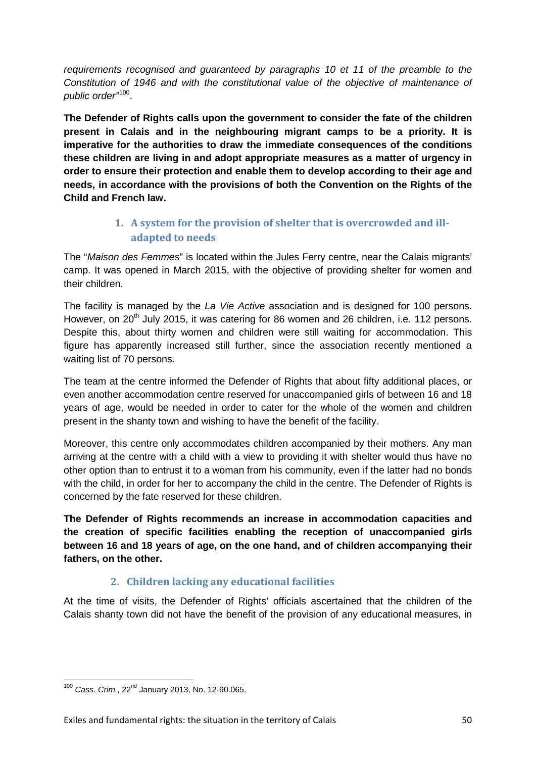*requirements recognised and guaranteed by paragraphs 10 et 11 of the preamble to the Constitution of 1946 and with the constitutional value of the objective of maintenance of public order"*[100](#page-49-0).

**The Defender of Rights calls upon the government to consider the fate of the children present in Calais and in the neighbouring migrant camps to be a priority. It is imperative for the authorities to draw the immediate consequences of the conditions these children are living in and adopt appropriate measures as a matter of urgency in order to ensure their protection and enable them to develop according to their age and needs, in accordance with the provisions of both the Convention on the Rights of the Child and French law.**

# **1. A system for the provision of shelter that is overcrowded and illadapted to needs**

The "*Maison des Femmes*" is located within the Jules Ferry centre, near the Calais migrants' camp. It was opened in March 2015, with the objective of providing shelter for women and their children.

The facility is managed by the *La Vie Active* association and is designed for 100 persons. However, on  $20<sup>th</sup>$  July 2015, it was catering for 86 women and 26 children, i.e. 112 persons. Despite this, about thirty women and children were still waiting for accommodation. This figure has apparently increased still further, since the association recently mentioned a waiting list of 70 persons.

The team at the centre informed the Defender of Rights that about fifty additional places, or even another accommodation centre reserved for unaccompanied girls of between 16 and 18 years of age, would be needed in order to cater for the whole of the women and children present in the shanty town and wishing to have the benefit of the facility.

Moreover, this centre only accommodates children accompanied by their mothers. Any man arriving at the centre with a child with a view to providing it with shelter would thus have no other option than to entrust it to a woman from his community, even if the latter had no bonds with the child, in order for her to accompany the child in the centre. The Defender of Rights is concerned by the fate reserved for these children.

**The Defender of Rights recommends an increase in accommodation capacities and the creation of specific facilities enabling the reception of unaccompanied girls between 16 and 18 years of age, on the one hand, and of children accompanying their fathers, on the other.**

# **2. Children lacking any educational facilities**

At the time of visits, the Defender of Rights' officials ascertained that the children of the Calais shanty town did not have the benefit of the provision of any educational measures, in

<span id="page-49-0"></span><sup>100</sup> *Cass. Crim.*, 22nd January 2013, No. 12-90.065.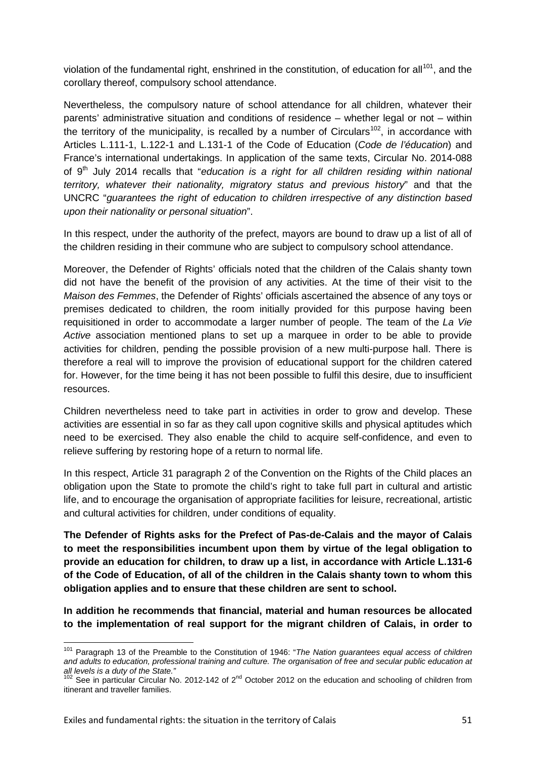violation of the fundamental right, enshrined in the constitution, of education for all<sup>[101](#page-50-0)</sup>, and the corollary thereof, compulsory school attendance.

Nevertheless, the compulsory nature of school attendance for all children, whatever their parents' administrative situation and conditions of residence – whether legal or not – within the territory of the municipality, is recalled by a number of Circulars<sup>[102](#page-50-1)</sup>, in accordance with Articles L.111-1, L.122-1 and L.131-1 of the Code of Education (*Code de l'éducation*) and France's international undertakings. In application of the same texts, Circular No. 2014-088 of 9<sup>th</sup> July 2014 recalls that "*education is a right for all children residing within national territory, whatever their nationality, migratory status and previous history*" and that the UNCRC "*guarantees the right of education to children irrespective of any distinction based upon their nationality or personal situation*".

In this respect, under the authority of the prefect, mayors are bound to draw up a list of all of the children residing in their commune who are subject to compulsory school attendance.

Moreover, the Defender of Rights' officials noted that the children of the Calais shanty town did not have the benefit of the provision of any activities. At the time of their visit to the *Maison des Femmes*, the Defender of Rights' officials ascertained the absence of any toys or premises dedicated to children, the room initially provided for this purpose having been requisitioned in order to accommodate a larger number of people. The team of the *La Vie Active* association mentioned plans to set up a marquee in order to be able to provide activities for children, pending the possible provision of a new multi-purpose hall. There is therefore a real will to improve the provision of educational support for the children catered for. However, for the time being it has not been possible to fulfil this desire, due to insufficient resources.

Children nevertheless need to take part in activities in order to grow and develop. These activities are essential in so far as they call upon cognitive skills and physical aptitudes which need to be exercised. They also enable the child to acquire self-confidence, and even to relieve suffering by restoring hope of a return to normal life.

In this respect, Article 31 paragraph 2 of the Convention on the Rights of the Child places an obligation upon the State to promote the child's right to take full part in cultural and artistic life, and to encourage the organisation of appropriate facilities for leisure, recreational, artistic and cultural activities for children, under conditions of equality.

**The Defender of Rights asks for the Prefect of Pas-de-Calais and the mayor of Calais to meet the responsibilities incumbent upon them by virtue of the legal obligation to provide an education for children, to draw up a list, in accordance with Article L.131-6 of the Code of Education, of all of the children in the Calais shanty town to whom this obligation applies and to ensure that these children are sent to school.**

**In addition he recommends that financial, material and human resources be allocated to the implementation of real support for the migrant children of Calais, in order to** 

<span id="page-50-0"></span><sup>101</sup> Paragraph 13 of the Preamble to the Constitution of 1946: "*The Nation guarantees equal access of children and adults to education, professional training and culture. The organisation of free and secular public education at all levels is a duty of the State."*

<span id="page-50-1"></span><sup>&</sup>lt;sup>102</sup> See in particular Circular No. 2012-142 of 2<sup>nd</sup> October 2012 on the education and schooling of children from itinerant and traveller families.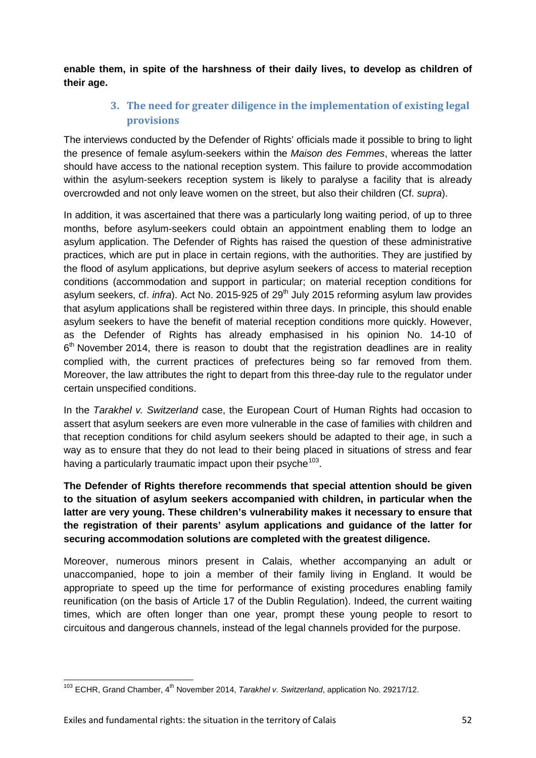**enable them, in spite of the harshness of their daily lives, to develop as children of their age.**

# **3. The need for greater diligence in the implementation of existing legal provisions**

The interviews conducted by the Defender of Rights' officials made it possible to bring to light the presence of female asylum-seekers within the *Maison des Femmes*, whereas the latter should have access to the national reception system. This failure to provide accommodation within the asylum-seekers reception system is likely to paralyse a facility that is already overcrowded and not only leave women on the street, but also their children (Cf. *supra*).

In addition, it was ascertained that there was a particularly long waiting period, of up to three months, before asylum-seekers could obtain an appointment enabling them to lodge an asylum application. The Defender of Rights has raised the question of these administrative practices, which are put in place in certain regions, with the authorities. They are justified by the flood of asylum applications, but deprive asylum seekers of access to material reception conditions (accommodation and support in particular; on material reception conditions for asylum seekers, cf. *infra*). Act No. 2015-925 of 29<sup>th</sup> July 2015 reforming asylum law provides that asylum applications shall be registered within three days. In principle, this should enable asylum seekers to have the benefit of material reception conditions more quickly. However, as the Defender of Rights has already emphasised in his opinion No. 14-10 of  $6<sup>th</sup>$  November 2014, there is reason to doubt that the registration deadlines are in reality complied with, the current practices of prefectures being so far removed from them. Moreover, the law attributes the right to depart from this three-day rule to the regulator under certain unspecified conditions.

In the *Tarakhel v. Switzerland* case, the European Court of Human Rights had occasion to assert that asylum seekers are even more vulnerable in the case of families with children and that reception conditions for child asylum seekers should be adapted to their age, in such a way as to ensure that they do not lead to their being placed in situations of stress and fear having a particularly traumatic impact upon their psyche  $103$ .

**The Defender of Rights therefore recommends that special attention should be given to the situation of asylum seekers accompanied with children, in particular when the latter are very young. These children's vulnerability makes it necessary to ensure that the registration of their parents' asylum applications and guidance of the latter for securing accommodation solutions are completed with the greatest diligence.**

Moreover, numerous minors present in Calais, whether accompanying an adult or unaccompanied, hope to join a member of their family living in England. It would be appropriate to speed up the time for performance of existing procedures enabling family reunification (on the basis of Article 17 of the Dublin Regulation). Indeed, the current waiting times, which are often longer than one year, prompt these young people to resort to circuitous and dangerous channels, instead of the legal channels provided for the purpose.

<span id="page-51-0"></span><sup>&</sup>lt;sup>103</sup> ECHR, Grand Chamber, 4<sup>th</sup> November 2014, *Tarakhel v. Switzerland*, application No. 29217/12.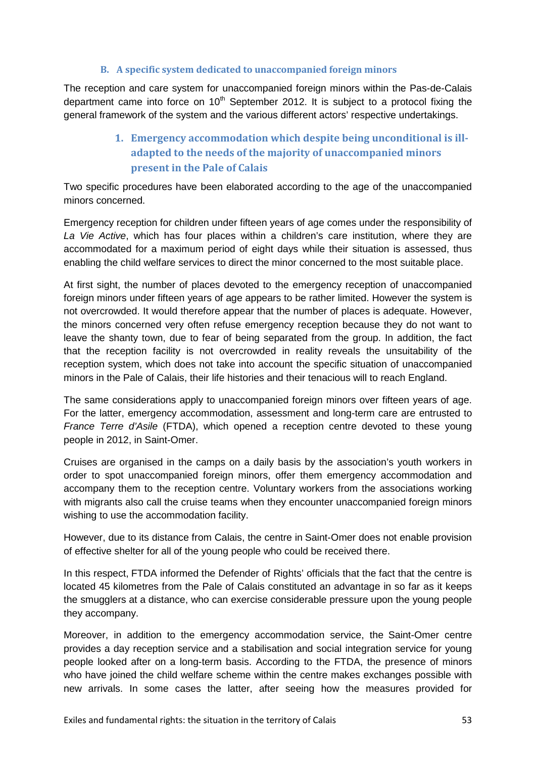#### **B. A specific system dedicated to unaccompanied foreign minors**

The reception and care system for unaccompanied foreign minors within the Pas-de-Calais department came into force on  $10<sup>th</sup>$  September 2012. It is subject to a protocol fixing the general framework of the system and the various different actors' respective undertakings.

# **1. Emergency accommodation which despite being unconditional is illadapted to the needs of the majority of unaccompanied minors present in the Pale of Calais**

Two specific procedures have been elaborated according to the age of the unaccompanied minors concerned.

Emergency reception for children under fifteen years of age comes under the responsibility of *La Vie Active*, which has four places within a children's care institution, where they are accommodated for a maximum period of eight days while their situation is assessed, thus enabling the child welfare services to direct the minor concerned to the most suitable place.

At first sight, the number of places devoted to the emergency reception of unaccompanied foreign minors under fifteen years of age appears to be rather limited. However the system is not overcrowded. It would therefore appear that the number of places is adequate. However, the minors concerned very often refuse emergency reception because they do not want to leave the shanty town, due to fear of being separated from the group. In addition, the fact that the reception facility is not overcrowded in reality reveals the unsuitability of the reception system, which does not take into account the specific situation of unaccompanied minors in the Pale of Calais, their life histories and their tenacious will to reach England.

The same considerations apply to unaccompanied foreign minors over fifteen years of age. For the latter, emergency accommodation, assessment and long-term care are entrusted to *France Terre d'Asile* (FTDA), which opened a reception centre devoted to these young people in 2012, in Saint-Omer.

Cruises are organised in the camps on a daily basis by the association's youth workers in order to spot unaccompanied foreign minors, offer them emergency accommodation and accompany them to the reception centre. Voluntary workers from the associations working with migrants also call the cruise teams when they encounter unaccompanied foreign minors wishing to use the accommodation facility.

However, due to its distance from Calais, the centre in Saint-Omer does not enable provision of effective shelter for all of the young people who could be received there.

In this respect, FTDA informed the Defender of Rights' officials that the fact that the centre is located 45 kilometres from the Pale of Calais constituted an advantage in so far as it keeps the smugglers at a distance, who can exercise considerable pressure upon the young people they accompany.

Moreover, in addition to the emergency accommodation service, the Saint-Omer centre provides a day reception service and a stabilisation and social integration service for young people looked after on a long-term basis. According to the FTDA, the presence of minors who have joined the child welfare scheme within the centre makes exchanges possible with new arrivals. In some cases the latter, after seeing how the measures provided for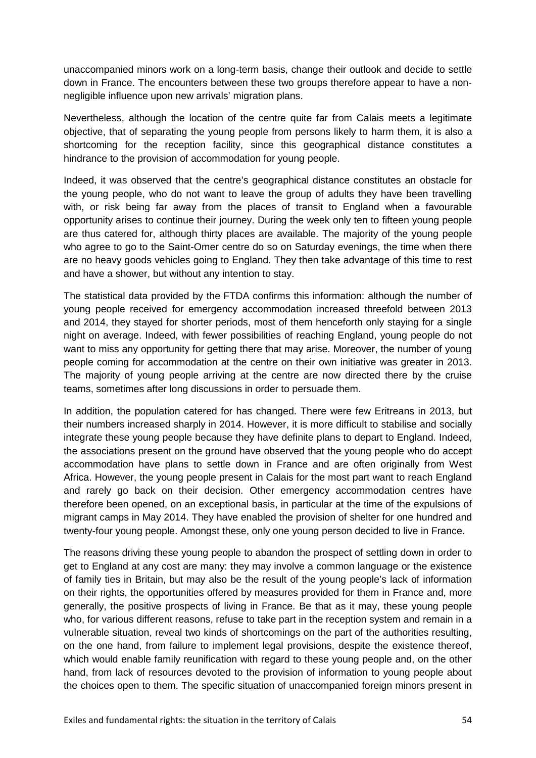unaccompanied minors work on a long-term basis, change their outlook and decide to settle down in France. The encounters between these two groups therefore appear to have a nonnegligible influence upon new arrivals' migration plans.

Nevertheless, although the location of the centre quite far from Calais meets a legitimate objective, that of separating the young people from persons likely to harm them, it is also a shortcoming for the reception facility, since this geographical distance constitutes a hindrance to the provision of accommodation for young people.

Indeed, it was observed that the centre's geographical distance constitutes an obstacle for the young people, who do not want to leave the group of adults they have been travelling with, or risk being far away from the places of transit to England when a favourable opportunity arises to continue their journey. During the week only ten to fifteen young people are thus catered for, although thirty places are available. The majority of the young people who agree to go to the Saint-Omer centre do so on Saturday evenings, the time when there are no heavy goods vehicles going to England. They then take advantage of this time to rest and have a shower, but without any intention to stay.

The statistical data provided by the FTDA confirms this information: although the number of young people received for emergency accommodation increased threefold between 2013 and 2014, they stayed for shorter periods, most of them henceforth only staying for a single night on average. Indeed, with fewer possibilities of reaching England, young people do not want to miss any opportunity for getting there that may arise. Moreover, the number of young people coming for accommodation at the centre on their own initiative was greater in 2013. The majority of young people arriving at the centre are now directed there by the cruise teams, sometimes after long discussions in order to persuade them.

In addition, the population catered for has changed. There were few Eritreans in 2013, but their numbers increased sharply in 2014. However, it is more difficult to stabilise and socially integrate these young people because they have definite plans to depart to England. Indeed, the associations present on the ground have observed that the young people who do accept accommodation have plans to settle down in France and are often originally from West Africa. However, the young people present in Calais for the most part want to reach England and rarely go back on their decision. Other emergency accommodation centres have therefore been opened, on an exceptional basis, in particular at the time of the expulsions of migrant camps in May 2014. They have enabled the provision of shelter for one hundred and twenty-four young people. Amongst these, only one young person decided to live in France.

The reasons driving these young people to abandon the prospect of settling down in order to get to England at any cost are many: they may involve a common language or the existence of family ties in Britain, but may also be the result of the young people's lack of information on their rights, the opportunities offered by measures provided for them in France and, more generally, the positive prospects of living in France. Be that as it may, these young people who, for various different reasons, refuse to take part in the reception system and remain in a vulnerable situation, reveal two kinds of shortcomings on the part of the authorities resulting, on the one hand, from failure to implement legal provisions, despite the existence thereof, which would enable family reunification with regard to these young people and, on the other hand, from lack of resources devoted to the provision of information to young people about the choices open to them. The specific situation of unaccompanied foreign minors present in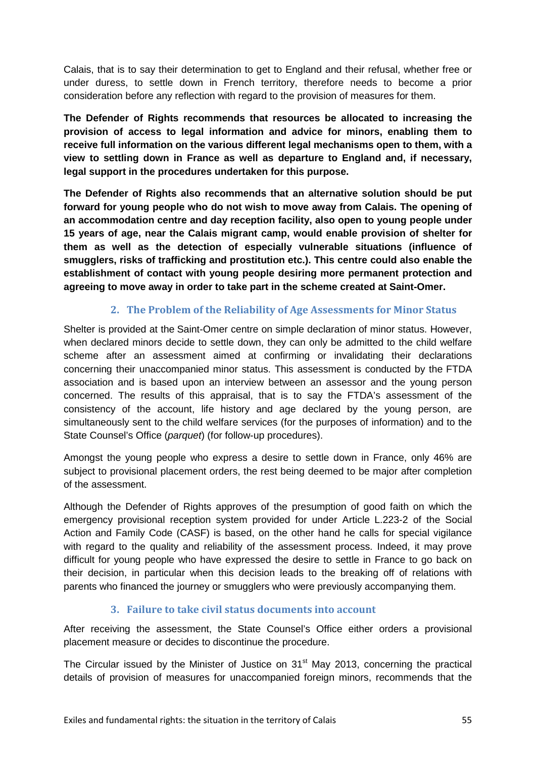Calais, that is to say their determination to get to England and their refusal, whether free or under duress, to settle down in French territory, therefore needs to become a prior consideration before any reflection with regard to the provision of measures for them.

**The Defender of Rights recommends that resources be allocated to increasing the provision of access to legal information and advice for minors, enabling them to receive full information on the various different legal mechanisms open to them, with a view to settling down in France as well as departure to England and, if necessary, legal support in the procedures undertaken for this purpose.**

**The Defender of Rights also recommends that an alternative solution should be put forward for young people who do not wish to move away from Calais. The opening of an accommodation centre and day reception facility, also open to young people under 15 years of age, near the Calais migrant camp, would enable provision of shelter for them as well as the detection of especially vulnerable situations (influence of smugglers, risks of trafficking and prostitution etc.). This centre could also enable the establishment of contact with young people desiring more permanent protection and agreeing to move away in order to take part in the scheme created at Saint-Omer.**

### **2. The Problem of the Reliability of Age Assessments for Minor Status**

Shelter is provided at the Saint-Omer centre on simple declaration of minor status. However, when declared minors decide to settle down, they can only be admitted to the child welfare scheme after an assessment aimed at confirming or invalidating their declarations concerning their unaccompanied minor status. This assessment is conducted by the FTDA association and is based upon an interview between an assessor and the young person concerned. The results of this appraisal, that is to say the FTDA's assessment of the consistency of the account, life history and age declared by the young person, are simultaneously sent to the child welfare services (for the purposes of information) and to the State Counsel's Office (*parquet*) (for follow-up procedures).

Amongst the young people who express a desire to settle down in France, only 46% are subject to provisional placement orders, the rest being deemed to be major after completion of the assessment.

Although the Defender of Rights approves of the presumption of good faith on which the emergency provisional reception system provided for under Article L.223-2 of the Social Action and Family Code (CASF) is based, on the other hand he calls for special vigilance with regard to the quality and reliability of the assessment process. Indeed, it may prove difficult for young people who have expressed the desire to settle in France to go back on their decision, in particular when this decision leads to the breaking off of relations with parents who financed the journey or smugglers who were previously accompanying them.

### **3. Failure to take civil status documents into account**

After receiving the assessment, the State Counsel's Office either orders a provisional placement measure or decides to discontinue the procedure.

The Circular issued by the Minister of Justice on 31<sup>st</sup> May 2013, concerning the practical details of provision of measures for unaccompanied foreign minors, recommends that the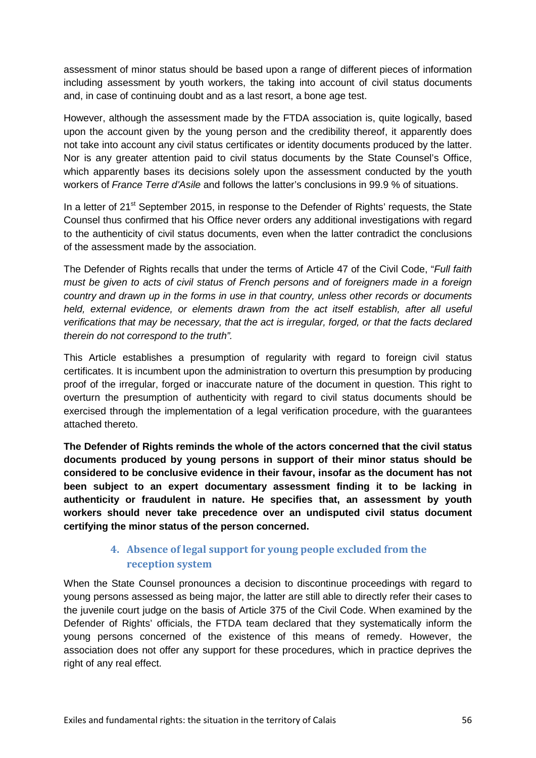assessment of minor status should be based upon a range of different pieces of information including assessment by youth workers, the taking into account of civil status documents and, in case of continuing doubt and as a last resort, a bone age test.

However, although the assessment made by the FTDA association is, quite logically, based upon the account given by the young person and the credibility thereof, it apparently does not take into account any civil status certificates or identity documents produced by the latter. Nor is any greater attention paid to civil status documents by the State Counsel's Office, which apparently bases its decisions solely upon the assessment conducted by the youth workers of *France Terre d'Asile* and follows the latter's conclusions in 99.9 % of situations.

In a letter of 21<sup>st</sup> September 2015, in response to the Defender of Rights' requests, the State Counsel thus confirmed that his Office never orders any additional investigations with regard to the authenticity of civil status documents, even when the latter contradict the conclusions of the assessment made by the association.

The Defender of Rights recalls that under the terms of Article 47 of the Civil Code, "*Full faith must be given to acts of civil status of French persons and of foreigners made in a foreign country and drawn up in the forms in use in that country, unless other records or documents held, external evidence, or elements drawn from the act itself establish, after all useful verifications that may be necessary, that the act is irregular, forged, or that the facts declared therein do not correspond to the truth".*

This Article establishes a presumption of regularity with regard to foreign civil status certificates. It is incumbent upon the administration to overturn this presumption by producing proof of the irregular, forged or inaccurate nature of the document in question. This right to overturn the presumption of authenticity with regard to civil status documents should be exercised through the implementation of a legal verification procedure, with the guarantees attached thereto.

**The Defender of Rights reminds the whole of the actors concerned that the civil status documents produced by young persons in support of their minor status should be considered to be conclusive evidence in their favour, insofar as the document has not been subject to an expert documentary assessment finding it to be lacking in authenticity or fraudulent in nature. He specifies that, an assessment by youth workers should never take precedence over an undisputed civil status document certifying the minor status of the person concerned.**

# **4. Absence of legal support for young people excluded from the reception system**

When the State Counsel pronounces a decision to discontinue proceedings with regard to young persons assessed as being major, the latter are still able to directly refer their cases to the juvenile court judge on the basis of Article 375 of the Civil Code. When examined by the Defender of Rights' officials, the FTDA team declared that they systematically inform the young persons concerned of the existence of this means of remedy. However, the association does not offer any support for these procedures, which in practice deprives the right of any real effect.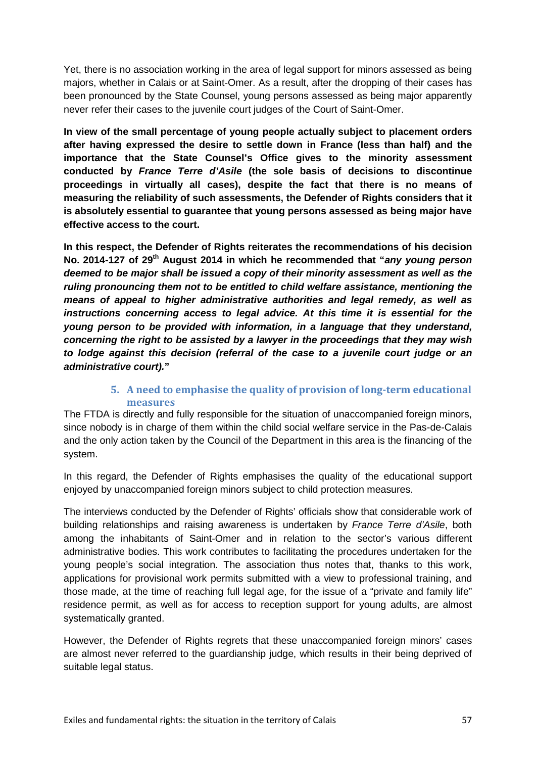Yet, there is no association working in the area of legal support for minors assessed as being majors, whether in Calais or at Saint-Omer. As a result, after the dropping of their cases has been pronounced by the State Counsel, young persons assessed as being major apparently never refer their cases to the juvenile court judges of the Court of Saint-Omer.

**In view of the small percentage of young people actually subject to placement orders after having expressed the desire to settle down in France (less than half) and the importance that the State Counsel's Office gives to the minority assessment conducted by** *France Terre d'Asile* **(the sole basis of decisions to discontinue proceedings in virtually all cases), despite the fact that there is no means of measuring the reliability of such assessments, the Defender of Rights considers that it is absolutely essential to guarantee that young persons assessed as being major have effective access to the court.**

**In this respect, the Defender of Rights reiterates the recommendations of his decision**  No. 2014-127 of 29<sup>th</sup> August 2014 in which he recommended that "*any young person deemed to be major shall be issued a copy of their minority assessment as well as the ruling pronouncing them not to be entitled to child welfare assistance, mentioning the means of appeal to higher administrative authorities and legal remedy, as well as instructions concerning access to legal advice. At this time it is essential for the young person to be provided with information, in a language that they understand, concerning the right to be assisted by a lawyer in the proceedings that they may wish to lodge against this decision (referral of the case to a juvenile court judge or an administrative court).***"**

### **5. A need to emphasise the quality of provision of long-term educational measures**

The FTDA is directly and fully responsible for the situation of unaccompanied foreign minors, since nobody is in charge of them within the child social welfare service in the Pas-de-Calais and the only action taken by the Council of the Department in this area is the financing of the system.

In this regard, the Defender of Rights emphasises the quality of the educational support enjoyed by unaccompanied foreign minors subject to child protection measures.

The interviews conducted by the Defender of Rights' officials show that considerable work of building relationships and raising awareness is undertaken by *France Terre d'Asile*, both among the inhabitants of Saint-Omer and in relation to the sector's various different administrative bodies. This work contributes to facilitating the procedures undertaken for the young people's social integration. The association thus notes that, thanks to this work, applications for provisional work permits submitted with a view to professional training, and those made, at the time of reaching full legal age, for the issue of a "private and family life" residence permit, as well as for access to reception support for young adults, are almost systematically granted.

However, the Defender of Rights regrets that these unaccompanied foreign minors' cases are almost never referred to the guardianship judge, which results in their being deprived of suitable legal status.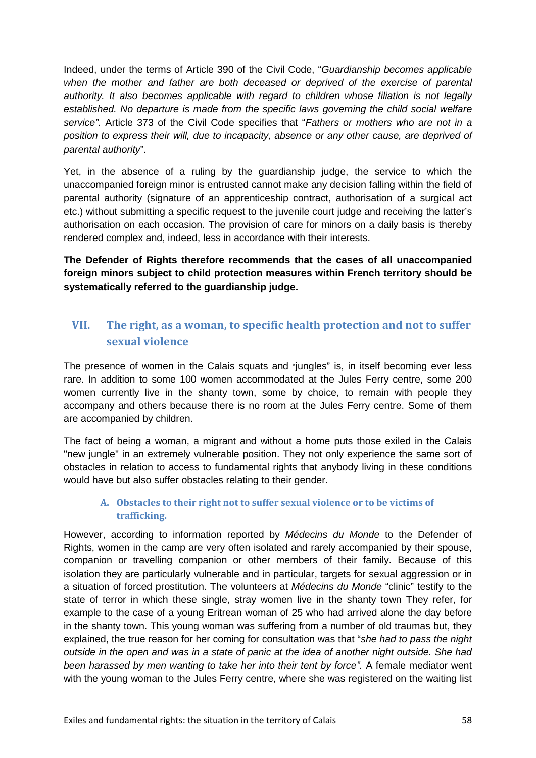Indeed, under the terms of Article 390 of the Civil Code, "*Guardianship becomes applicable*  when the mother and father are both deceased or deprived of the exercise of parental *authority. It also becomes applicable with regard to children whose filiation is not legally established. No departure is made from the specific laws governing the child social welfare service".* Article 373 of the Civil Code specifies that "*Fathers or mothers who are not in a position to express their will, due to incapacity, absence or any other cause, are deprived of parental authority*".

Yet, in the absence of a ruling by the guardianship judge, the service to which the unaccompanied foreign minor is entrusted cannot make any decision falling within the field of parental authority (signature of an apprenticeship contract, authorisation of a surgical act etc.) without submitting a specific request to the juvenile court judge and receiving the latter's authorisation on each occasion. The provision of care for minors on a daily basis is thereby rendered complex and, indeed, less in accordance with their interests.

**The Defender of Rights therefore recommends that the cases of all unaccompanied foreign minors subject to child protection measures within French territory should be systematically referred to the guardianship judge.**

# **VII. The right, as a woman, to specific health protection and not to suffer sexual violence**

The presence of women in the Calais squats and "jungles" is, in itself becoming ever less rare. In addition to some 100 women accommodated at the Jules Ferry centre, some 200 women currently live in the shanty town, some by choice, to remain with people they accompany and others because there is no room at the Jules Ferry centre. Some of them are accompanied by children.

The fact of being a woman, a migrant and without a home puts those exiled in the Calais "new jungle" in an extremely vulnerable position. They not only experience the same sort of obstacles in relation to access to fundamental rights that anybody living in these conditions would have but also suffer obstacles relating to their gender.

### **A. Obstacles to their right not to suffer sexual violence or to be victims of trafficking.**

However, according to information reported by *Médecins du Monde* to the Defender of Rights, women in the camp are very often isolated and rarely accompanied by their spouse, companion or travelling companion or other members of their family. Because of this isolation they are particularly vulnerable and in particular, targets for sexual aggression or in a situation of forced prostitution. The volunteers at *Médecins du Monde* "clinic" testify to the state of terror in which these single, stray women live in the shanty town They refer, for example to the case of a young Eritrean woman of 25 who had arrived alone the day before in the shanty town. This young woman was suffering from a number of old traumas but, they explained, the true reason for her coming for consultation was that "*she had to pass the night outside in the open and was in a state of panic at the idea of another night outside. She had been harassed by men wanting to take her into their tent by force".* A female mediator went with the young woman to the Jules Ferry centre, where she was registered on the waiting list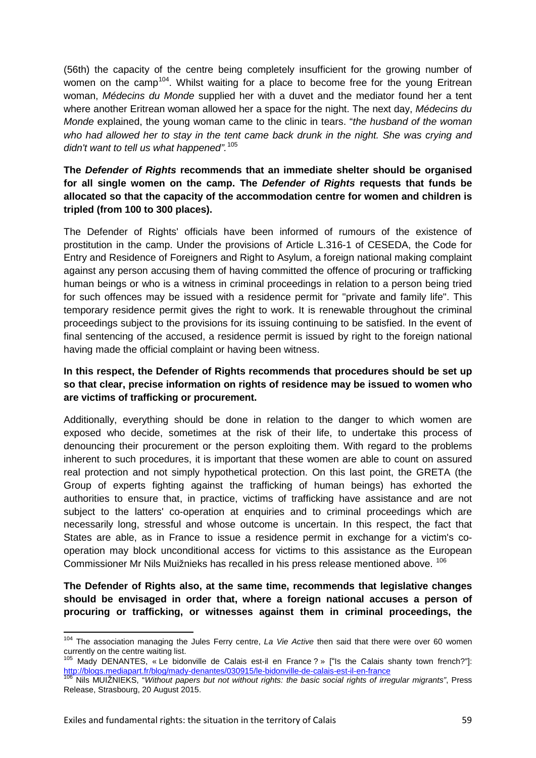(56th) the capacity of the centre being completely insufficient for the growing number of women on the camp<sup>104</sup>. Whilst waiting for a place to become free for the young Eritrean woman, *Médecins du Monde* supplied her with a duvet and the mediator found her a tent where another Eritrean woman allowed her a space for the night. The next day, *Médecins du Monde* explained, the young woman came to the clinic in tears. "*the husband of the woman who had allowed her to stay in the tent came back drunk in the night. She was crying and didn't want to tell us what happened".* [105](#page-58-1)

### **The** *Defender of Rights* **recommends that an immediate shelter should be organised for all single women on the camp. The** *Defender of Rights* **requests that funds be allocated so that the capacity of the accommodation centre for women and children is tripled (from 100 to 300 places).**

The Defender of Rights' officials have been informed of rumours of the existence of prostitution in the camp. Under the provisions of Article L.316-1 of CESEDA, the Code for Entry and Residence of Foreigners and Right to Asylum, a foreign national making complaint against any person accusing them of having committed the offence of procuring or trafficking human beings or who is a witness in criminal proceedings in relation to a person being tried for such offences may be issued with a residence permit for "private and family life". This temporary residence permit gives the right to work. It is renewable throughout the criminal proceedings subject to the provisions for its issuing continuing to be satisfied. In the event of final sentencing of the accused, a residence permit is issued by right to the foreign national having made the official complaint or having been witness.

### **In this respect, the Defender of Rights recommends that procedures should be set up so that clear, precise information on rights of residence may be issued to women who are victims of trafficking or procurement.**

Additionally, everything should be done in relation to the danger to which women are exposed who decide, sometimes at the risk of their life, to undertake this process of denouncing their procurement or the person exploiting them. With regard to the problems inherent to such procedures, it is important that these women are able to count on assured real protection and not simply hypothetical protection. On this last point, the GRETA (the Group of experts fighting against the trafficking of human beings) has exhorted the authorities to ensure that, in practice, victims of trafficking have assistance and are not subject to the latters' co-operation at enquiries and to criminal proceedings which are necessarily long, stressful and whose outcome is uncertain. In this respect, the fact that States are able, as in France to issue a residence permit in exchange for a victim's cooperation may block unconditional access for victims to this assistance as the European Commissioner Mr Nils Muižnieks has recalled in his press release mentioned above. [106](#page-58-2)

**The Defender of Rights also, at the same time, recommends that legislative changes should be envisaged in order that, where a foreign national accuses a person of procuring or trafficking, or witnesses against them in criminal proceedings, the** 

<span id="page-58-0"></span><sup>104</sup> The association managing the Jules Ferry centre, *La Vie Active* then said that there were over 60 women currently on the centre waiting list.

<span id="page-58-1"></span><sup>105</sup> Mady DENANTES, « Le bidonville de Calais est-il en France ? » ["Is the Calais shanty town french?"]: <http://blogs.mediapart.fr/blog/mady-denantes/030915/le-bidonville-de-calais-est-il-en-france> <sup>106</sup> Nils MUIŽNIEKS, "*Without papers but not without rights: the basic social rights of irregular migrants"*, Press

<span id="page-58-2"></span>Release, Strasbourg, 20 August 2015.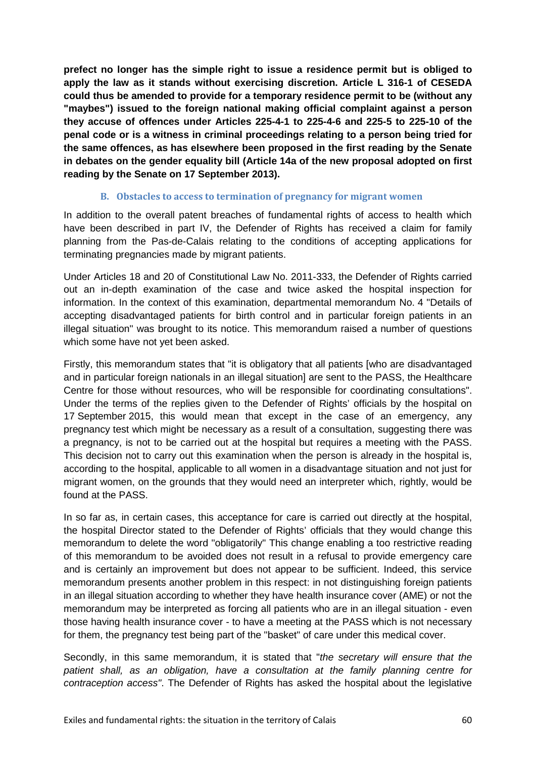**prefect no longer has the simple right to issue a residence permit but is obliged to apply the law as it stands without exercising discretion. Article L 316-1 of CESEDA could thus be amended to provide for a temporary residence permit to be (without any "maybes") issued to the foreign national making official complaint against a person they accuse of offences under Articles 225-4-1 to 225-4-6 and 225-5 to 225-10 of the penal code or is a witness in criminal proceedings relating to a person being tried for the same offences, as has elsewhere been proposed in the first reading by the Senate in debates on the gender equality bill (Article 14a of the new proposal adopted on first reading by the Senate on 17 September 2013).** 

#### **B. Obstacles to access to termination of pregnancy for migrant women**

In addition to the overall patent breaches of fundamental rights of access to health which have been described in part IV, the Defender of Rights has received a claim for family planning from the Pas-de-Calais relating to the conditions of accepting applications for terminating pregnancies made by migrant patients.

Under Articles 18 and 20 of Constitutional Law No. 2011-333, the Defender of Rights carried out an in-depth examination of the case and twice asked the hospital inspection for information. In the context of this examination, departmental memorandum No. 4 "Details of accepting disadvantaged patients for birth control and in particular foreign patients in an illegal situation" was brought to its notice. This memorandum raised a number of questions which some have not yet been asked.

Firstly, this memorandum states that "it is obligatory that all patients [who are disadvantaged and in particular foreign nationals in an illegal situation] are sent to the PASS, the Healthcare Centre for those without resources, who will be responsible for coordinating consultations". Under the terms of the replies given to the Defender of Rights' officials by the hospital on 17 September 2015, this would mean that except in the case of an emergency, any pregnancy test which might be necessary as a result of a consultation, suggesting there was a pregnancy, is not to be carried out at the hospital but requires a meeting with the PASS. This decision not to carry out this examination when the person is already in the hospital is, according to the hospital, applicable to all women in a disadvantage situation and not just for migrant women, on the grounds that they would need an interpreter which, rightly, would be found at the PASS.

In so far as, in certain cases, this acceptance for care is carried out directly at the hospital, the hospital Director stated to the Defender of Rights' officials that they would change this memorandum to delete the word "obligatorily" This change enabling a too restrictive reading of this memorandum to be avoided does not result in a refusal to provide emergency care and is certainly an improvement but does not appear to be sufficient. Indeed, this service memorandum presents another problem in this respect: in not distinguishing foreign patients in an illegal situation according to whether they have health insurance cover (AME) or not the memorandum may be interpreted as forcing all patients who are in an illegal situation - even those having health insurance cover - to have a meeting at the PASS which is not necessary for them, the pregnancy test being part of the "basket" of care under this medical cover.

Secondly, in this same memorandum, it is stated that "*the secretary will ensure that the patient shall, as an obligation, have a consultation at the family planning centre for contraception access"*. The Defender of Rights has asked the hospital about the legislative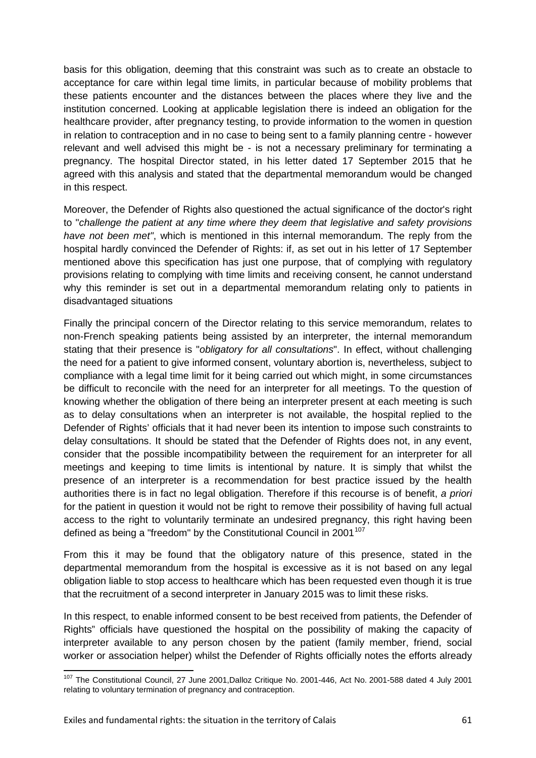basis for this obligation, deeming that this constraint was such as to create an obstacle to acceptance for care within legal time limits, in particular because of mobility problems that these patients encounter and the distances between the places where they live and the institution concerned. Looking at applicable legislation there is indeed an obligation for the healthcare provider, after pregnancy testing, to provide information to the women in question in relation to contraception and in no case to being sent to a family planning centre - however relevant and well advised this might be - is not a necessary preliminary for terminating a pregnancy. The hospital Director stated, in his letter dated 17 September 2015 that he agreed with this analysis and stated that the departmental memorandum would be changed in this respect.

Moreover, the Defender of Rights also questioned the actual significance of the doctor's right to "*challenge the patient at any time where they deem that legislative and safety provisions have not been met"*, which is mentioned in this internal memorandum. The reply from the hospital hardly convinced the Defender of Rights: if, as set out in his letter of 17 September mentioned above this specification has just one purpose, that of complying with regulatory provisions relating to complying with time limits and receiving consent, he cannot understand why this reminder is set out in a departmental memorandum relating only to patients in disadvantaged situations

Finally the principal concern of the Director relating to this service memorandum, relates to non-French speaking patients being assisted by an interpreter, the internal memorandum stating that their presence is "*obligatory for all consultations*". In effect, without challenging the need for a patient to give informed consent, voluntary abortion is, nevertheless, subject to compliance with a legal time limit for it being carried out which might, in some circumstances be difficult to reconcile with the need for an interpreter for all meetings. To the question of knowing whether the obligation of there being an interpreter present at each meeting is such as to delay consultations when an interpreter is not available, the hospital replied to the Defender of Rights' officials that it had never been its intention to impose such constraints to delay consultations. It should be stated that the Defender of Rights does not, in any event, consider that the possible incompatibility between the requirement for an interpreter for all meetings and keeping to time limits is intentional by nature. It is simply that whilst the presence of an interpreter is a recommendation for best practice issued by the health authorities there is in fact no legal obligation. Therefore if this recourse is of benefit, *a priori* for the patient in question it would not be right to remove their possibility of having full actual access to the right to voluntarily terminate an undesired pregnancy, this right having been defined as being a "freedom" by the Constitutional Council in 2001 $107$ 

From this it may be found that the obligatory nature of this presence, stated in the departmental memorandum from the hospital is excessive as it is not based on any legal obligation liable to stop access to healthcare which has been requested even though it is true that the recruitment of a second interpreter in January 2015 was to limit these risks.

In this respect, to enable informed consent to be best received from patients, the Defender of Rights" officials have questioned the hospital on the possibility of making the capacity of interpreter available to any person chosen by the patient (family member, friend, social worker or association helper) whilst the Defender of Rights officially notes the efforts already

<span id="page-60-0"></span><sup>107</sup> The Constitutional Council, 27 June 2001,Dalloz Critique No. 2001-446, Act No. 2001-588 dated 4 July 2001 relating to voluntary termination of pregnancy and contraception.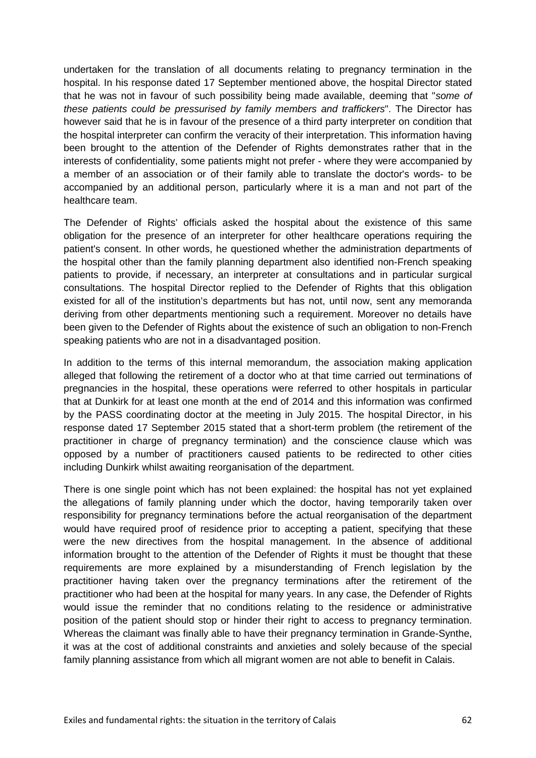undertaken for the translation of all documents relating to pregnancy termination in the hospital. In his response dated 17 September mentioned above, the hospital Director stated that he was not in favour of such possibility being made available, deeming that "*some of these patients could be pressurised by family members and traffickers*". The Director has however said that he is in favour of the presence of a third party interpreter on condition that the hospital interpreter can confirm the veracity of their interpretation. This information having been brought to the attention of the Defender of Rights demonstrates rather that in the interests of confidentiality, some patients might not prefer - where they were accompanied by a member of an association or of their family able to translate the doctor's words- to be accompanied by an additional person, particularly where it is a man and not part of the healthcare team.

The Defender of Rights' officials asked the hospital about the existence of this same obligation for the presence of an interpreter for other healthcare operations requiring the patient's consent. In other words, he questioned whether the administration departments of the hospital other than the family planning department also identified non-French speaking patients to provide, if necessary, an interpreter at consultations and in particular surgical consultations. The hospital Director replied to the Defender of Rights that this obligation existed for all of the institution's departments but has not, until now, sent any memoranda deriving from other departments mentioning such a requirement. Moreover no details have been given to the Defender of Rights about the existence of such an obligation to non-French speaking patients who are not in a disadvantaged position.

In addition to the terms of this internal memorandum, the association making application alleged that following the retirement of a doctor who at that time carried out terminations of pregnancies in the hospital, these operations were referred to other hospitals in particular that at Dunkirk for at least one month at the end of 2014 and this information was confirmed by the PASS coordinating doctor at the meeting in July 2015. The hospital Director, in his response dated 17 September 2015 stated that a short-term problem (the retirement of the practitioner in charge of pregnancy termination) and the conscience clause which was opposed by a number of practitioners caused patients to be redirected to other cities including Dunkirk whilst awaiting reorganisation of the department.

There is one single point which has not been explained: the hospital has not yet explained the allegations of family planning under which the doctor, having temporarily taken over responsibility for pregnancy terminations before the actual reorganisation of the department would have required proof of residence prior to accepting a patient, specifying that these were the new directives from the hospital management. In the absence of additional information brought to the attention of the Defender of Rights it must be thought that these requirements are more explained by a misunderstanding of French legislation by the practitioner having taken over the pregnancy terminations after the retirement of the practitioner who had been at the hospital for many years. In any case, the Defender of Rights would issue the reminder that no conditions relating to the residence or administrative position of the patient should stop or hinder their right to access to pregnancy termination. Whereas the claimant was finally able to have their pregnancy termination in Grande-Synthe, it was at the cost of additional constraints and anxieties and solely because of the special family planning assistance from which all migrant women are not able to benefit in Calais.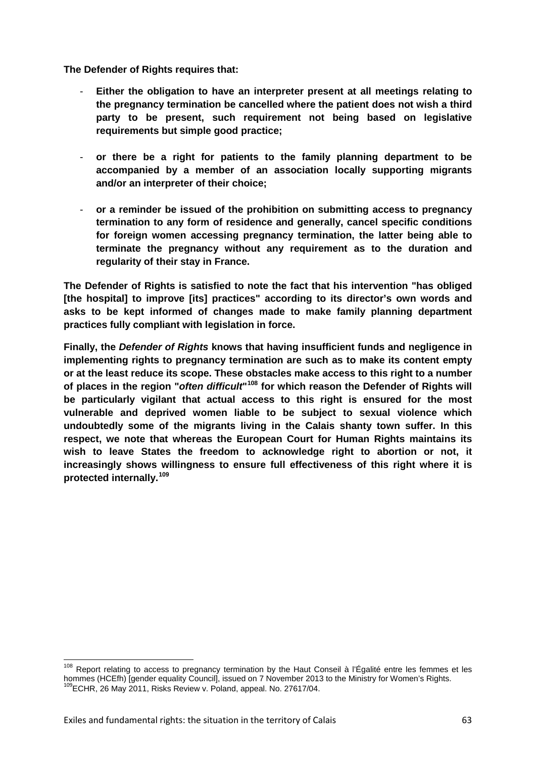**The Defender of Rights requires that:**

- **Either the obligation to have an interpreter present at all meetings relating to the pregnancy termination be cancelled where the patient does not wish a third party to be present, such requirement not being based on legislative requirements but simple good practice;**
- **or there be a right for patients to the family planning department to be accompanied by a member of an association locally supporting migrants and/or an interpreter of their choice;**
- **or a reminder be issued of the prohibition on submitting access to pregnancy termination to any form of residence and generally, cancel specific conditions for foreign women accessing pregnancy termination, the latter being able to terminate the pregnancy without any requirement as to the duration and regularity of their stay in France.**

**The Defender of Rights is satisfied to note the fact that his intervention "has obliged [the hospital] to improve [its] practices" according to its director's own words and asks to be kept informed of changes made to make family planning department practices fully compliant with legislation in force.**

**Finally, the** *Defender of Rights* **knows that having insufficient funds and negligence in implementing rights to pregnancy termination are such as to make its content empty or at the least reduce its scope. These obstacles make access to this right to a number of places in the region "***often difficult***"[108](#page-62-0) for which reason the Defender of Rights will be particularly vigilant that actual access to this right is ensured for the most vulnerable and deprived women liable to be subject to sexual violence which undoubtedly some of the migrants living in the Calais shanty town suffer. In this respect, we note that whereas the European Court for Human Rights maintains its wish to leave States the freedom to acknowledge right to abortion or not, it increasingly shows willingness to ensure full effectiveness of this right where it is protected internally.[109](#page-62-1)**

<span id="page-62-1"></span><span id="page-62-0"></span><sup>&</sup>lt;sup>108</sup> Report relating to access to pregnancy termination by the Haut Conseil à l'Égalité entre les femmes et les hommes (HCEfh) [gender equality Council], issued on 7 November 2013 to the Ministry for Women's Rights.<br><sup>109</sup>ECHR, 26 May 2011, Risks Review v. Poland, appeal. No. 27617/04.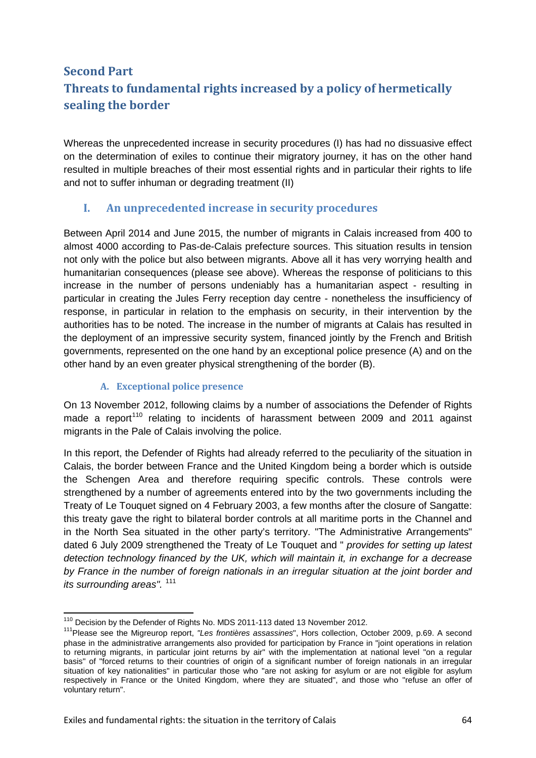# **Second Part Threats to fundamental rights increased by a policy of hermetically sealing the border**

Whereas the unprecedented increase in security procedures (I) has had no dissuasive effect on the determination of exiles to continue their migratory journey, it has on the other hand resulted in multiple breaches of their most essential rights and in particular their rights to life and not to suffer inhuman or degrading treatment (II)

# **I. An unprecedented increase in security procedures**

Between April 2014 and June 2015, the number of migrants in Calais increased from 400 to almost 4000 according to Pas-de-Calais prefecture sources. This situation results in tension not only with the police but also between migrants. Above all it has very worrying health and humanitarian consequences (please see above). Whereas the response of politicians to this increase in the number of persons undeniably has a humanitarian aspect - resulting in particular in creating the Jules Ferry reception day centre - nonetheless the insufficiency of response, in particular in relation to the emphasis on security, in their intervention by the authorities has to be noted. The increase in the number of migrants at Calais has resulted in the deployment of an impressive security system, financed jointly by the French and British governments, represented on the one hand by an exceptional police presence (A) and on the other hand by an even greater physical strengthening of the border (B).

### **A. Exceptional police presence**

On 13 November 2012, following claims by a number of associations the Defender of Rights made a report<sup>[110](#page-63-0)</sup> relating to incidents of harassment between 2009 and 2011 against migrants in the Pale of Calais involving the police.

In this report, the Defender of Rights had already referred to the peculiarity of the situation in Calais, the border between France and the United Kingdom being a border which is outside the Schengen Area and therefore requiring specific controls. These controls were strengthened by a number of agreements entered into by the two governments including the Treaty of Le Touquet signed on 4 February 2003, a few months after the closure of Sangatte: this treaty gave the right to bilateral border controls at all maritime ports in the Channel and in the North Sea situated in the other party's territory. "The Administrative Arrangements" dated 6 July 2009 strengthened the Treaty of Le Touquet and " *provides for setting up latest detection technology financed by the UK, which will maintain it, in exchange for a decrease by France in the number of foreign nationals in an irregular situation at the joint border and its surrounding areas".*<sup>[111](#page-63-1)</sup>

<span id="page-63-1"></span><span id="page-63-0"></span><sup>&</sup>lt;sup>110</sup> Decision by the Defender of Rights No. MDS 2011-113 dated 13 November 2012.<br><sup>111</sup> Please see the Migreurop report, *"Les frontières assassines*", Hors collection, October 2009, p.69. A second phase in the administrative arrangements also provided for participation by France in "joint operations in relation to returning migrants, in particular joint returns by air" with the implementation at national level "on a regular basis" of "forced returns to their countries of origin of a significant number of foreign nationals in an irregular situation of key nationalities" in particular those who "are not asking for asylum or are not eligible for asylum respectively in France or the United Kingdom, where they are situated", and those who "refuse an offer of voluntary return".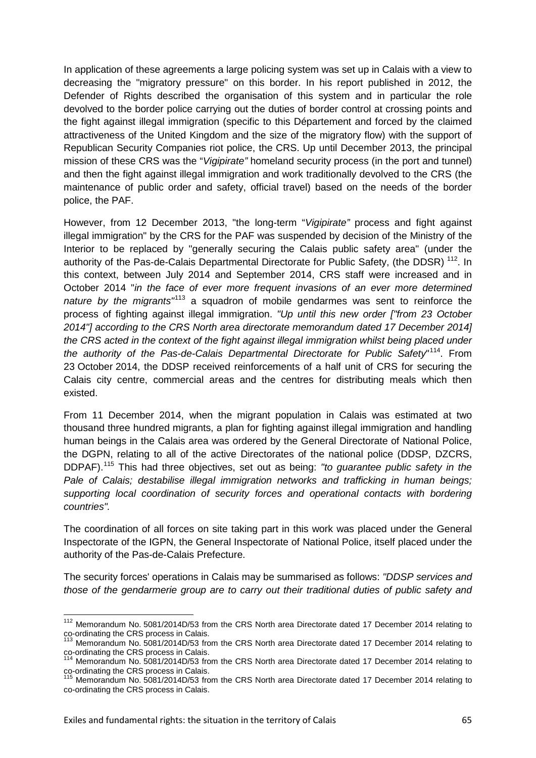In application of these agreements a large policing system was set up in Calais with a view to decreasing the "migratory pressure" on this border. In his report published in 2012, the Defender of Rights described the organisation of this system and in particular the role devolved to the border police carrying out the duties of border control at crossing points and the fight against illegal immigration (specific to this Département and forced by the claimed attractiveness of the United Kingdom and the size of the migratory flow) with the support of Republican Security Companies riot police, the CRS. Up until December 2013, the principal mission of these CRS was the "*Vigipirate"* homeland security process (in the port and tunnel) and then the fight against illegal immigration and work traditionally devolved to the CRS (the maintenance of public order and safety, official travel) based on the needs of the border police, the PAF.

However, from 12 December 2013, "the long-term "*Vigipirate"* process and fight against illegal immigration" by the CRS for the PAF was suspended by decision of the Ministry of the Interior to be replaced by "generally securing the Calais public safety area" (under the authority of the Pas-de-Calais Departmental Directorate for Public Safety, (the DDSR)<sup>[112](#page-64-0)</sup>. In this context, between July 2014 and September 2014, CRS staff were increased and in October 2014 "*in the face of ever more frequent invasions of an ever more determined nature by the migrants"*[113](#page-64-1) a squadron of mobile gendarmes was sent to reinforce the process of fighting against illegal immigration. *"Up until this new order ["from 23 October 2014"] according to the CRS North area directorate memorandum dated 17 December 2014] the CRS acted in the context of the fight against illegal immigration whilst being placed under the authority of the Pas-de-Calais Departmental Directorate for Public Safety*" [114](#page-64-2). From 23 October 2014, the DDSP received reinforcements of a half unit of CRS for securing the Calais city centre, commercial areas and the centres for distributing meals which then existed.

From 11 December 2014, when the migrant population in Calais was estimated at two thousand three hundred migrants, a plan for fighting against illegal immigration and handling human beings in the Calais area was ordered by the General Directorate of National Police, the DGPN, relating to all of the active Directorates of the national police (DDSP, DZCRS, DDPAF). [115](#page-64-3) This had three objectives, set out as being: *"to guarantee public safety in the Pale of Calais; destabilise illegal immigration networks and trafficking in human beings; supporting local coordination of security forces and operational contacts with bordering countries".*

The coordination of all forces on site taking part in this work was placed under the General Inspectorate of the IGPN, the General Inspectorate of National Police, itself placed under the authority of the Pas-de-Calais Prefecture.

The security forces' operations in Calais may be summarised as follows: *"DDSP services and those of the gendarmerie group are to carry out their traditional duties of public safety and* 

<span id="page-64-0"></span><sup>&</sup>lt;sup>112</sup> Memorandum No. 5081/2014D/53 from the CRS North area Directorate dated 17 December 2014 relating to co-ordinating the CRS process in Calais.<br><sup>113</sup> Memorandum No. 5081/2014 R/58 for the compact of a compact of the co

<span id="page-64-1"></span>Memorandum No. 5081/2014D/53 from the CRS North area Directorate dated 17 December 2014 relating to co-ordinating the CRS process in Calais.<br>
<sup>114</sup> Memorandum No. 5081/2014D/53 from the CRS North area Directorate dated 17 December 2014 relating to

<span id="page-64-2"></span>co-ordinating the CRS process in Calais.<br><sup>115</sup> Memorandum No. 5081/2014D/53 from the CRS North area Directorate dated 17 December 2014 relating to

<span id="page-64-3"></span>co-ordinating the CRS process in Calais.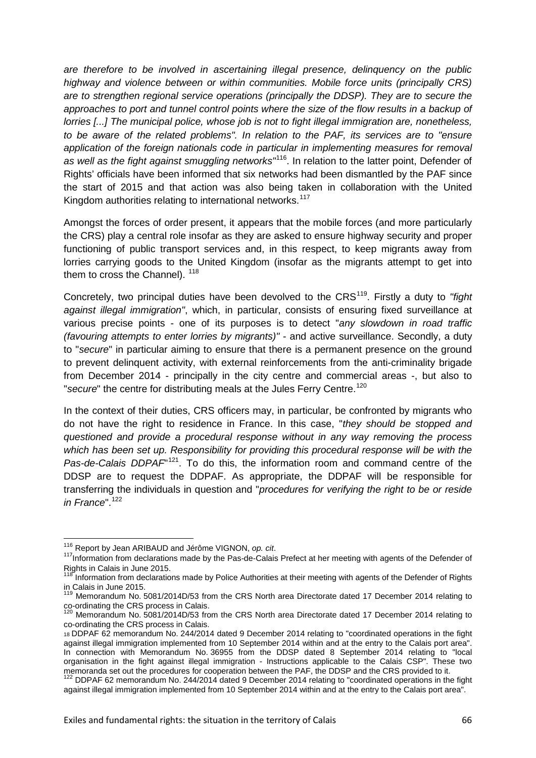*are therefore to be involved in ascertaining illegal presence, delinquency on the public highway and violence between or within communities. Mobile force units (principally CRS) are to strengthen regional service operations (principally the DDSP). They are to secure the*  approaches to port and tunnel control points where the size of the flow results in a backup of *lorries [...] The municipal police, whose job is not to fight illegal immigration are, nonetheless, to be aware of the related problems". In relation to the PAF, its services are to "ensure application of the foreign nationals code in particular in implementing measures for removal as well as the fight against smuggling networks"*[116](#page-65-0). In relation to the latter point, Defender of Rights' officials have been informed that six networks had been dismantled by the PAF since the start of 2015 and that action was also being taken in collaboration with the United Kingdom authorities relating to international networks.<sup>[117](#page-65-1)</sup>

Amongst the forces of order present, it appears that the mobile forces (and more particularly the CRS) play a central role insofar as they are asked to ensure highway security and proper functioning of public transport services and, in this respect, to keep migrants away from lorries carrying goods to the United Kingdom (insofar as the migrants attempt to get into them to cross the Channel).  $118$ 

Concretely, two principal duties have been devolved to the CRS<sup>119</sup>. Firstly a duty to "fiaht *against illegal immigration"*, which, in particular, consists of ensuring fixed surveillance at various precise points - one of its purposes is to detect "*any slowdown in road traffic (favouring attempts to enter lorries by migrants)"* - and active surveillance. Secondly, a duty to "*secure*" in particular aiming to ensure that there is a permanent presence on the ground to prevent delinquent activity, with external reinforcements from the anti-criminality brigade from December 2014 - principally in the city centre and commercial areas -, but also to "secure" the centre for distributing meals at the Jules Ferry Centre.<sup>[120](#page-65-4)</sup>

In the context of their duties, CRS officers may, in particular, be confronted by migrants who do not have the right to residence in France. In this case, "*they should be stopped and questioned and provide a procedural response without in any way removing the process which has been set up. Responsibility for providing this procedural response will be with the*  Pas-de-Calais DDPAF<sup>121</sup>. To do this, the information room and command centre of the DDSP are to request the DDPAF. As appropriate, the DDPAF will be responsible for transferring the individuals in question and "*procedures for verifying the right to be or reside in France*".[122](#page-65-6)

<span id="page-65-1"></span><span id="page-65-0"></span><sup>&</sup>lt;sup>116</sup> Report by Jean ARIBAUD and Jérôme VIGNON, *op. cit.* 117 *information from declaration* from declarations made by the Pas-de-Calais Prefect at her meeting with agents of the Defender of Rights in Calais in June 2015.

<span id="page-65-2"></span>Information from declarations made by Police Authorities at their meeting with agents of the Defender of Rights in Calais in June 2015.

<span id="page-65-3"></span><sup>119</sup> Memorandum No. 5081/2014D/53 from the CRS North area Directorate dated 17 December 2014 relating to co-ordinating the CRS process in Calais.<br><sup>120</sup> Memorandum No. 5081/2014D/53 from the CRS North area Directorate dated 17 December 2014 relating to

<span id="page-65-4"></span>co-ordinating the CRS process in Calais.

<span id="page-65-5"></span><sup>18</sup> DDPAF 62 memorandum No. 244/2014 dated 9 December 2014 relating to "coordinated operations in the fight against illegal immigration implemented from 10 September 2014 within and at the entry to the Calais port area". In connection with Memorandum No. 36955 from the DDSP dated 8 September 2014 relating to "local organisation in the fight against illegal immigration - Instructions applicable to the Calais CSP". These two memoranda set out the procedures for cooperation between the PAF, the DDSP and the CRS provided to it.<br>
<sup>122</sup> DDPAF 62 memorandum No. 244/2014 dated 9 December 2014 relating to "coordinated operations in the fight

<span id="page-65-6"></span>against illegal immigration implemented from 10 September 2014 within and at the entry to the Calais port area".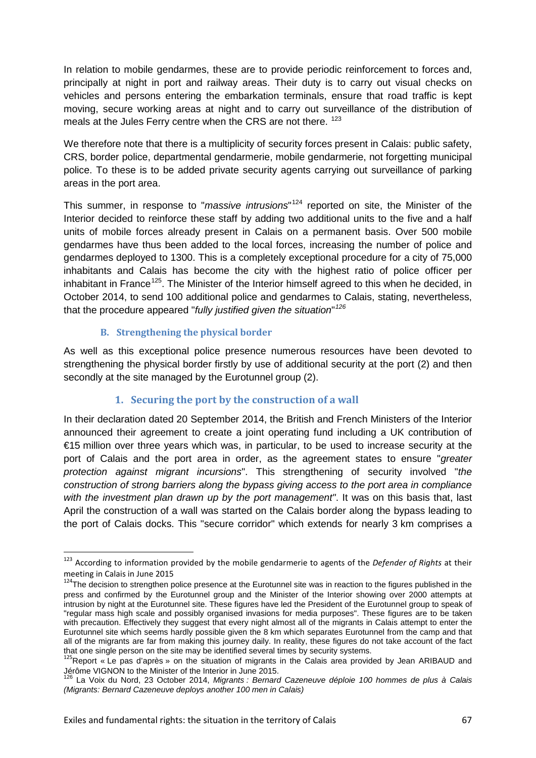In relation to mobile gendarmes, these are to provide periodic reinforcement to forces and, principally at night in port and railway areas. Their duty is to carry out visual checks on vehicles and persons entering the embarkation terminals, ensure that road traffic is kept moving, secure working areas at night and to carry out surveillance of the distribution of meals at the Jules Ferry centre when the CRS are not there. <sup>[123](#page-66-0)</sup>

We therefore note that there is a multiplicity of security forces present in Calais: public safety, CRS, border police, departmental gendarmerie, mobile gendarmerie, not forgetting municipal police. To these is to be added private security agents carrying out surveillance of parking areas in the port area.

This summer, in response to "*massive intrusions*" [124](#page-66-1) reported on site, the Minister of the Interior decided to reinforce these staff by adding two additional units to the five and a half units of mobile forces already present in Calais on a permanent basis. Over 500 mobile gendarmes have thus been added to the local forces, increasing the number of police and gendarmes deployed to 1300. This is a completely exceptional procedure for a city of 75,000 inhabitants and Calais has become the city with the highest ratio of police officer per inhabitant in France<sup>125</sup>. The Minister of the Interior himself agreed to this when he decided, in October 2014, to send 100 additional police and gendarmes to Calais, stating, nevertheless, that the procedure appeared "*fully justified given the situation*" *[126](#page-66-3)*

#### **B. Strengthening the physical border**

As well as this exceptional police presence numerous resources have been devoted to strengthening the physical border firstly by use of additional security at the port (2) and then secondly at the site managed by the Eurotunnel group (2).

### **1. Securing the port by the construction of a wall**

In their declaration dated 20 September 2014, the British and French Ministers of the Interior announced their agreement to create a joint operating fund including a UK contribution of €15 million over three years which was, in particular, to be used to increase security at the port of Calais and the port area in order, as the agreement states to ensure "*greater protection against migrant incursions*". This strengthening of security involved "*the construction of strong barriers along the bypass giving access to the port area in compliance with the investment plan drawn up by the port management"*. It was on this basis that, last April the construction of a wall was started on the Calais border along the bypass leading to the port of Calais docks. This "secure corridor" which extends for nearly 3 km comprises a

<span id="page-66-0"></span> <sup>123</sup> According to information provided by the mobile gendarmerie to agents of the *Defender of Rights* at their meeting in Calais in June 2015

<span id="page-66-1"></span><sup>&</sup>lt;sup>124</sup>The decision to strengthen police presence at the Eurotunnel site was in reaction to the figures published in the press and confirmed by the Eurotunnel group and the Minister of the Interior showing over 2000 attempts at intrusion by night at the Eurotunnel site. These figures have led the President of the Eurotunnel group to speak of "regular mass high scale and possibly organised invasions for media purposes". These figures are to be taken with precaution. Effectively they suggest that every night almost all of the migrants in Calais attempt to enter the Eurotunnel site which seems hardly possible given the 8 km which separates Eurotunnel from the camp and that all of the migrants are far from making this journey daily. In reality, these figures do not take account of the fact that one single person on the site may be identified several times by security systems.

<span id="page-66-2"></span><sup>&</sup>lt;sup>125</sup>Report « Le pas d'après » on the situation of migrants in the Calais area provided by Jean ARIBAUD and Jérôme VIGNON to the Minister of the Interior in June 2015.<br><sup>126</sup> La Voix du Nord, 23 October 2014, *Migrants : Bernard Cazeneuve déploie 100 hommes de plus à Calais* 

<span id="page-66-3"></span>*<sup>(</sup>Migrants: Bernard Cazeneuve deploys another 100 men in Calais)*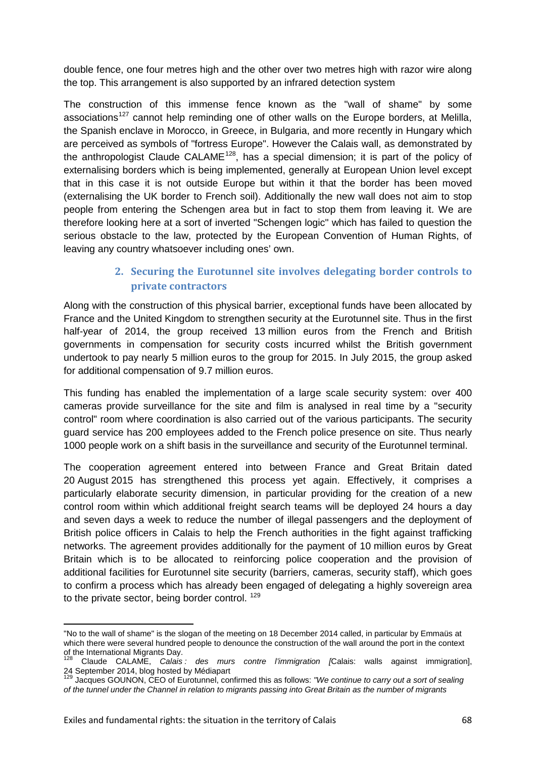double fence, one four metres high and the other over two metres high with razor wire along the top. This arrangement is also supported by an infrared detection system

The construction of this immense fence known as the "wall of shame" by some associations<sup>[127](#page-67-0)</sup> cannot help reminding one of other walls on the Europe borders, at Melilla, the Spanish enclave in Morocco, in Greece, in Bulgaria, and more recently in Hungary which are perceived as symbols of "fortress Europe". However the Calais wall, as demonstrated by the anthropologist Claude CALAME<sup>128</sup>, has a special dimension; it is part of the policy of externalising borders which is being implemented, generally at European Union level except that in this case it is not outside Europe but within it that the border has been moved (externalising the UK border to French soil). Additionally the new wall does not aim to stop people from entering the Schengen area but in fact to stop them from leaving it. We are therefore looking here at a sort of inverted "Schengen logic" which has failed to question the serious obstacle to the law, protected by the European Convention of Human Rights, of leaving any country whatsoever including ones' own.

# **2. Securing the Eurotunnel site involves delegating border controls to private contractors**

Along with the construction of this physical barrier, exceptional funds have been allocated by France and the United Kingdom to strengthen security at the Eurotunnel site. Thus in the first half-year of 2014, the group received 13 million euros from the French and British governments in compensation for security costs incurred whilst the British government undertook to pay nearly 5 million euros to the group for 2015. In July 2015, the group asked for additional compensation of 9.7 million euros.

This funding has enabled the implementation of a large scale security system: over 400 cameras provide surveillance for the site and film is analysed in real time by a "security control" room where coordination is also carried out of the various participants. The security guard service has 200 employees added to the French police presence on site. Thus nearly 1000 people work on a shift basis in the surveillance and security of the Eurotunnel terminal.

The cooperation agreement entered into between France and Great Britain dated 20 August 2015 has strengthened this process yet again. Effectively, it comprises a particularly elaborate security dimension, in particular providing for the creation of a new control room within which additional freight search teams will be deployed 24 hours a day and seven days a week to reduce the number of illegal passengers and the deployment of British police officers in Calais to help the French authorities in the fight against trafficking networks. The agreement provides additionally for the payment of 10 million euros by Great Britain which is to be allocated to reinforcing police cooperation and the provision of additional facilities for Eurotunnel site security (barriers, cameras, security staff), which goes to confirm a process which has already been engaged of delegating a highly sovereign area to the private sector, being border control.<sup>[129](#page-67-2)</sup>

 $\overline{a}$ 

<span id="page-67-0"></span><sup>&</sup>quot;No to the wall of shame" is the slogan of the meeting on 18 December 2014 called, in particular by Emmaüs at which there were several hundred people to denounce the construction of the wall around the port in the context of the International Migrants Day.

<span id="page-67-1"></span><sup>128</sup> Claude CALAME, *Calais : des murs contre l'immigration [*Calais: walls against immigration], 24 September 2014, blog hosted by Médiapart<br><sup>129</sup> Jacques GOUNON, CEO of [Eurotunnel,](http://www.boursier.com/actions/cours/eurotunnel-FR0000224578,FR.html) confirmed this as follows: *"We continue to carry out a sort of sealing* 

<span id="page-67-2"></span>*of the tunnel under the Channel in relation to migrants passing into Great Britain as the number of migrants*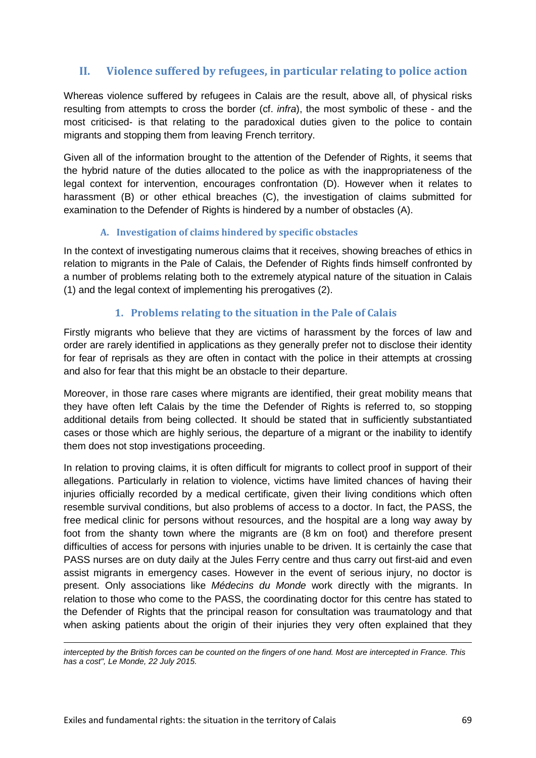# **II. Violence suffered by refugees, in particular relating to police action**

Whereas violence suffered by refugees in Calais are the result, above all, of physical risks resulting from attempts to cross the border (cf. *infra*), the most symbolic of these - and the most criticised- is that relating to the paradoxical duties given to the police to contain migrants and stopping them from leaving French territory.

Given all of the information brought to the attention of the Defender of Rights, it seems that the hybrid nature of the duties allocated to the police as with the inappropriateness of the legal context for intervention, encourages confrontation (D). However when it relates to harassment (B) or other ethical breaches (C), the investigation of claims submitted for examination to the Defender of Rights is hindered by a number of obstacles (A).

### **A. Investigation of claims hindered by specific obstacles**

In the context of investigating numerous claims that it receives, showing breaches of ethics in relation to migrants in the Pale of Calais, the Defender of Rights finds himself confronted by a number of problems relating both to the extremely atypical nature of the situation in Calais (1) and the legal context of implementing his prerogatives (2).

### **1. Problems relating to the situation in the Pale of Calais**

Firstly migrants who believe that they are victims of harassment by the forces of law and order are rarely identified in applications as they generally prefer not to disclose their identity for fear of reprisals as they are often in contact with the police in their attempts at crossing and also for fear that this might be an obstacle to their departure.

Moreover, in those rare cases where migrants are identified, their great mobility means that they have often left Calais by the time the Defender of Rights is referred to, so stopping additional details from being collected. It should be stated that in sufficiently substantiated cases or those which are highly serious, the departure of a migrant or the inability to identify them does not stop investigations proceeding.

In relation to proving claims, it is often difficult for migrants to collect proof in support of their allegations. Particularly in relation to violence, victims have limited chances of having their injuries officially recorded by a medical certificate, given their living conditions which often resemble survival conditions, but also problems of access to a doctor. In fact, the PASS, the free medical clinic for persons without resources, and the hospital are a long way away by foot from the shanty town where the migrants are (8 km on foot) and therefore present difficulties of access for persons with injuries unable to be driven. It is certainly the case that PASS nurses are on duty daily at the Jules Ferry centre and thus carry out first-aid and even assist migrants in emergency cases. However in the event of serious injury, no doctor is present. Only associations like *Médecins du Monde* work directly with the migrants. In relation to those who come to the PASS, the coordinating doctor for this centre has stated to the Defender of Rights that the principal reason for consultation was traumatology and that when asking patients about the origin of their injuries they very often explained that they

**.** *intercepted by the British forces can be counted on the fingers of one hand. Most are intercepted in France. This has a cost", Le Monde, 22 July 2015.*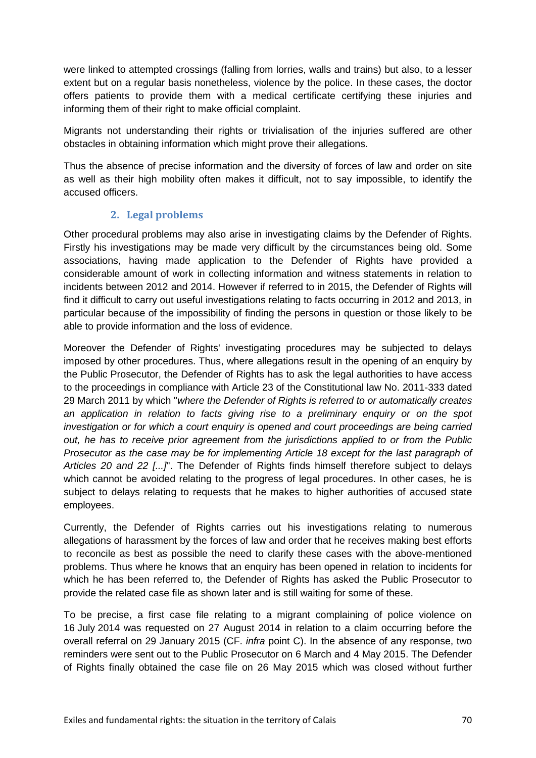were linked to attempted crossings (falling from lorries, walls and trains) but also, to a lesser extent but on a regular basis nonetheless, violence by the police. In these cases, the doctor offers patients to provide them with a medical certificate certifying these injuries and informing them of their right to make official complaint.

Migrants not understanding their rights or trivialisation of the injuries suffered are other obstacles in obtaining information which might prove their allegations.

Thus the absence of precise information and the diversity of forces of law and order on site as well as their high mobility often makes it difficult, not to say impossible, to identify the accused officers.

### **2. Legal problems**

Other procedural problems may also arise in investigating claims by the Defender of Rights. Firstly his investigations may be made very difficult by the circumstances being old. Some associations, having made application to the Defender of Rights have provided a considerable amount of work in collecting information and witness statements in relation to incidents between 2012 and 2014. However if referred to in 2015, the Defender of Rights will find it difficult to carry out useful investigations relating to facts occurring in 2012 and 2013, in particular because of the impossibility of finding the persons in question or those likely to be able to provide information and the loss of evidence.

Moreover the Defender of Rights' investigating procedures may be subjected to delays imposed by other procedures. Thus, where allegations result in the opening of an enquiry by the Public Prosecutor, the Defender of Rights has to ask the legal authorities to have access to the proceedings in compliance with Article 23 of the Constitutional law No. 2011-333 dated 29 March 2011 by which "*where the Defender of Rights is referred to or automatically creates an application in relation to facts giving rise to a preliminary enquiry or on the spot investigation or for which a court enquiry is opened and court proceedings are being carried out, he has to receive prior agreement from the jurisdictions applied to or from the Public Prosecutor as the case may be for implementing Article 18 except for the last paragraph of Articles 20 and 22 [...]*". The Defender of Rights finds himself therefore subject to delays which cannot be avoided relating to the progress of legal procedures. In other cases, he is subject to delays relating to requests that he makes to higher authorities of accused state employees.

Currently, the Defender of Rights carries out his investigations relating to numerous allegations of harassment by the forces of law and order that he receives making best efforts to reconcile as best as possible the need to clarify these cases with the above-mentioned problems. Thus where he knows that an enquiry has been opened in relation to incidents for which he has been referred to, the Defender of Rights has asked the Public Prosecutor to provide the related case file as shown later and is still waiting for some of these.

To be precise, a first case file relating to a migrant complaining of police violence on 16 July 2014 was requested on 27 August 2014 in relation to a claim occurring before the overall referral on 29 January 2015 (CF. *infra* point C). In the absence of any response, two reminders were sent out to the Public Prosecutor on 6 March and 4 May 2015. The Defender of Rights finally obtained the case file on 26 May 2015 which was closed without further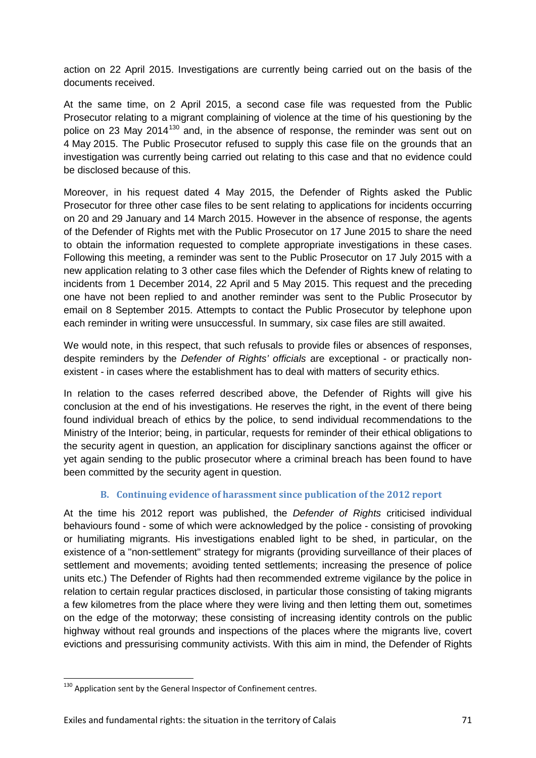action on 22 April 2015. Investigations are currently being carried out on the basis of the documents received.

At the same time, on 2 April 2015, a second case file was requested from the Public Prosecutor relating to a migrant complaining of violence at the time of his questioning by the police on 23 May 2014<sup>[130](#page-70-0)</sup> and, in the absence of response, the reminder was sent out on 4 May 2015. The Public Prosecutor refused to supply this case file on the grounds that an investigation was currently being carried out relating to this case and that no evidence could be disclosed because of this.

Moreover, in his request dated 4 May 2015, the Defender of Rights asked the Public Prosecutor for three other case files to be sent relating to applications for incidents occurring on 20 and 29 January and 14 March 2015. However in the absence of response, the agents of the Defender of Rights met with the Public Prosecutor on 17 June 2015 to share the need to obtain the information requested to complete appropriate investigations in these cases. Following this meeting, a reminder was sent to the Public Prosecutor on 17 July 2015 with a new application relating to 3 other case files which the Defender of Rights knew of relating to incidents from 1 December 2014, 22 April and 5 May 2015. This request and the preceding one have not been replied to and another reminder was sent to the Public Prosecutor by email on 8 September 2015. Attempts to contact the Public Prosecutor by telephone upon each reminder in writing were unsuccessful. In summary, six case files are still awaited.

We would note, in this respect, that such refusals to provide files or absences of responses, despite reminders by the *Defender of Rights' officials* are exceptional - or practically nonexistent - in cases where the establishment has to deal with matters of security ethics.

In relation to the cases referred described above, the Defender of Rights will give his conclusion at the end of his investigations. He reserves the right, in the event of there being found individual breach of ethics by the police, to send individual recommendations to the Ministry of the Interior; being, in particular, requests for reminder of their ethical obligations to the security agent in question, an application for disciplinary sanctions against the officer or yet again sending to the public prosecutor where a criminal breach has been found to have been committed by the security agent in question.

### **B. Continuing evidence of harassment since publication of the 2012 report**

At the time his 2012 report was published, the *Defender of Rights* criticised individual behaviours found - some of which were acknowledged by the police - consisting of provoking or humiliating migrants. His investigations enabled light to be shed, in particular, on the existence of a "non-settlement" strategy for migrants (providing surveillance of their places of settlement and movements; avoiding tented settlements; increasing the presence of police units etc.) The Defender of Rights had then recommended extreme vigilance by the police in relation to certain regular practices disclosed, in particular those consisting of taking migrants a few kilometres from the place where they were living and then letting them out, sometimes on the edge of the motorway; these consisting of increasing identity controls on the public highway without real grounds and inspections of the places where the migrants live, covert evictions and pressurising community activists. With this aim in mind, the Defender of Rights

<span id="page-70-0"></span> $130$  Application sent by the General Inspector of Confinement centres.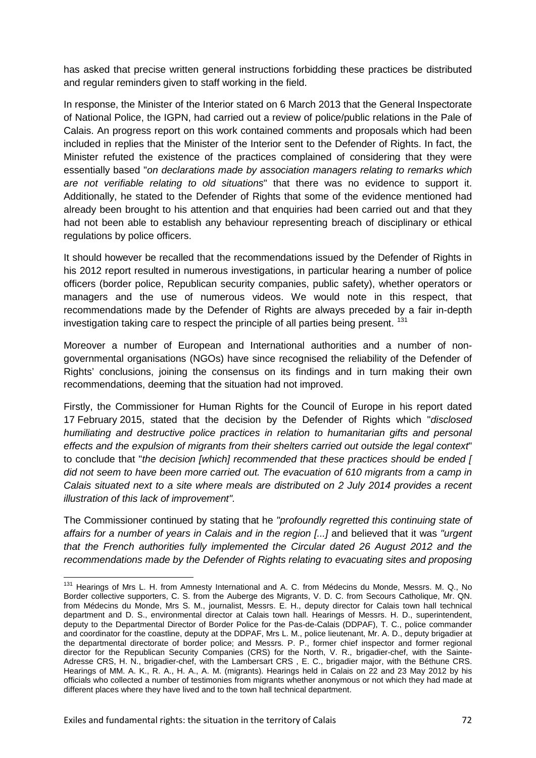has asked that precise written general instructions forbidding these practices be distributed and regular reminders given to staff working in the field.

In response, the Minister of the Interior stated on 6 March 2013 that the General Inspectorate of National Police, the IGPN, had carried out a review of police/public relations in the Pale of Calais. An progress report on this work contained comments and proposals which had been included in replies that the Minister of the Interior sent to the Defender of Rights. In fact, the Minister refuted the existence of the practices complained of considering that they were essentially based "*on declarations made by association managers relating to remarks which are not verifiable relating to old situations*" that there was no evidence to support it. Additionally, he stated to the Defender of Rights that some of the evidence mentioned had already been brought to his attention and that enquiries had been carried out and that they had not been able to establish any behaviour representing breach of disciplinary or ethical regulations by police officers.

It should however be recalled that the recommendations issued by the Defender of Rights in his 2012 report resulted in numerous investigations, in particular hearing a number of police officers (border police, Republican security companies, public safety), whether operators or managers and the use of numerous videos. We would note in this respect, that recommendations made by the Defender of Rights are always preceded by a fair in-depth investigation taking care to respect the principle of all parties being present.<sup>[131](#page-71-0)</sup>

Moreover a number of European and International authorities and a number of nongovernmental organisations (NGOs) have since recognised the reliability of the Defender of Rights' conclusions, joining the consensus on its findings and in turn making their own recommendations, deeming that the situation had not improved.

Firstly, the Commissioner for Human Rights for the Council of Europe in his report dated 17 February 2015, stated that the decision by the Defender of Rights which "*disclosed humiliating and destructive police practices in relation to humanitarian gifts and personal effects and the expulsion of migrants from their shelters carried out outside the legal context*" to conclude that "*the decision [which] recommended that these practices should be ended [ did not seem to have been more carried out. The evacuation of 610 migrants from a camp in Calais situated next to a site where meals are distributed on 2 July 2014 provides a recent illustration of this lack of improvement".* 

The Commissioner continued by stating that he *"profoundly regretted this continuing state of affairs for a number of years in Calais and in the region [...]* and believed that it was *"urgent that the French authorities fully implemented the Circular dated 26 August 2012 and the recommendations made by the Defender of Rights relating to evacuating sites and proposing* 

<span id="page-71-0"></span><sup>131</sup> Hearings of Mrs L. H. from Amnesty International and A. C. from Médecins du Monde, Messrs. M. Q., No Border collective supporters, C. S. from the Auberge des Migrants, V. D. C. from Secours Catholique, Mr. QN. from Médecins du Monde, Mrs S. M., journalist, Messrs. E. H., deputy director for Calais town hall technical department and D. S., environmental director at Calais town hall. Hearings of Messrs. H. D., superintendent, deputy to the Departmental Director of Border Police for the Pas-de-Calais (DDPAF), T. C., police commander and coordinator for the coastline, deputy at the DDPAF, Mrs L. M., police lieutenant, Mr. A. D., deputy brigadier at the departmental directorate of border police; and Messrs. P. P., former chief inspector and former regional director for the Republican Security Companies (CRS) for the North, V. R., brigadier-chef, with the Sainte-Adresse CRS, H. N., brigadier-chef, with the Lambersart CRS , E. C., brigadier major, with the Béthune CRS. Hearings of MM. A. K., R. A., H. A., A. M. (migrants). Hearings held in Calais on 22 and 23 May 2012 by his officials who collected a number of testimonies from migrants whether anonymous or not which they had made at different places where they have lived and to the town hall technical department.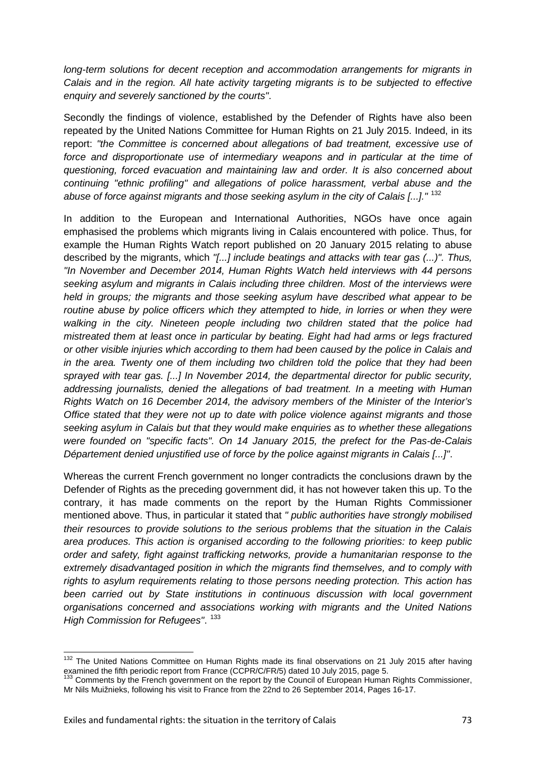*long-term solutions for decent reception and accommodation arrangements for migrants in Calais and in the region. All hate activity targeting migrants is to be subjected to effective enquiry and severely sanctioned by the courts"*.

Secondly the findings of violence, established by the Defender of Rights have also been repeated by the United Nations Committee for Human Rights on 21 July 2015. Indeed, in its report: *"the Committee is concerned about allegations of bad treatment, excessive use of*  force and disproportionate use of intermediary weapons and in particular at the time of *questioning, forced evacuation and maintaining law and order. It is also concerned about continuing "ethnic profiling" and allegations of police harassment, verbal abuse and the abuse of force against migrants and those seeking asylum in the city of Calais [...]."* [132](#page-72-0)

In addition to the European and International Authorities, NGOs have once again emphasised the problems which migrants living in Calais encountered with police. Thus, for example the Human Rights Watch report published on 20 January 2015 relating to abuse described by the migrants, which *"[...] include beatings and attacks with tear gas (...)". Thus, "In November and December 2014, Human Rights Watch held interviews with 44 persons seeking asylum and migrants in Calais including three children. Most of the interviews were held in groups; the migrants and those seeking asylum have described what appear to be*  routine abuse by police officers which they attempted to hide, in lorries or when they were *walking in the city. Nineteen people including two children stated that the police had mistreated them at least once in particular by beating. Eight had had arms or legs fractured or other visible injuries which according to them had been caused by the police in Calais and in the area. Twenty one of them including two children told the police that they had been sprayed with tear gas. [...] In November 2014, the departmental director for public security, addressing journalists, denied the allegations of bad treatment. In a meeting with Human Rights Watch on 16 December 2014, the advisory members of the Minister of the Interior's Office stated that they were not up to date with police violence against migrants and those seeking asylum in Calais but that they would make enquiries as to whether these allegations were founded on "specific facts". On 14 January 2015, the prefect for the Pas-de-Calais Département denied unjustified use of force by the police against migrants in Calais [...]"*.

Whereas the current French government no longer contradicts the conclusions drawn by the Defender of Rights as the preceding government did, it has not however taken this up. To the contrary, it has made comments on the report by the Human Rights Commissioner mentioned above. Thus, in particular it stated that *" public authorities have strongly mobilised their resources to provide solutions to the serious problems that the situation in the Calais area produces. This action is organised according to the following priorities: to keep public order and safety, fight against trafficking networks, provide a humanitarian response to the extremely disadvantaged position in which the migrants find themselves, and to comply with rights to asylum requirements relating to those persons needing protection. This action has been carried out by State institutions in continuous discussion with local government organisations concerned and associations working with migrants and the United Nations High Commission for Refugees". <sup>[133](#page-72-1)</sup>* 

<span id="page-72-0"></span><sup>132</sup> The United Nations Committee on Human Rights made its final observations on 21 July 2015 after having examined the fifth periodic report from France (CCPR/C/FR/5) dated 10 July 2015, page 5.

<span id="page-72-1"></span><sup>&</sup>lt;sup>133</sup> Comments by the French government on the report by the Council of European Human Rights Commissioner, Mr Nils Muižnieks, following his visit to France from the 22nd to 26 September 2014, Pages 16-17.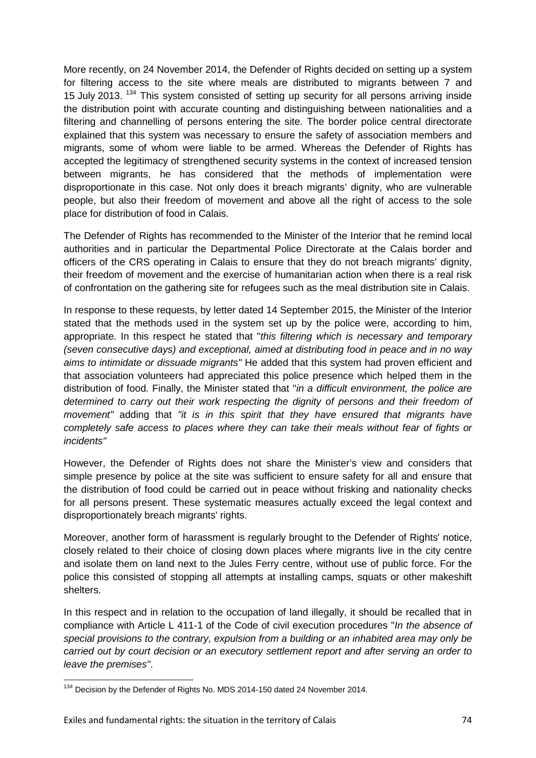More recently, on 24 November 2014, the Defender of Rights decided on setting up a system for filtering access to the site where meals are distributed to migrants between 7 and 15 July 2013. <sup>[134](#page-73-0)</sup> This system consisted of setting up security for all persons arriving inside the distribution point with accurate counting and distinguishing between nationalities and a filtering and channelling of persons entering the site. The border police central directorate explained that this system was necessary to ensure the safety of association members and migrants, some of whom were liable to be armed. Whereas the Defender of Rights has accepted the legitimacy of strengthened security systems in the context of increased tension between migrants, he has considered that the methods of implementation were disproportionate in this case. Not only does it breach migrants' dignity, who are vulnerable people, but also their freedom of movement and above all the right of access to the sole place for distribution of food in Calais.

The Defender of Rights has recommended to the Minister of the Interior that he remind local authorities and in particular the Departmental Police Directorate at the Calais border and officers of the CRS operating in Calais to ensure that they do not breach migrants' dignity, their freedom of movement and the exercise of humanitarian action when there is a real risk of confrontation on the gathering site for refugees such as the meal distribution site in Calais.

In response to these requests, by letter dated 14 September 2015, the Minister of the Interior stated that the methods used in the system set up by the police were, according to him, appropriate. In this respect he stated that "*this filtering which is necessary and temporary (seven consecutive days) and exceptional, aimed at distributing food in peace and in no way aims to intimidate or dissuade migrants"* He added that this system had proven efficient and that association volunteers had appreciated this police presence which helped them in the distribution of food. Finally, the Minister stated that "*in a difficult environment, the police are determined to carry out their work respecting the dignity of persons and their freedom of movement"* adding that *"it is in this spirit that they have ensured that migrants have completely safe access to places where they can take their meals without fear of fights or incidents"*

However, the Defender of Rights does not share the Minister's view and considers that simple presence by police at the site was sufficient to ensure safety for all and ensure that the distribution of food could be carried out in peace without frisking and nationality checks for all persons present. These systematic measures actually exceed the legal context and disproportionately breach migrants' rights.

Moreover, another form of harassment is regularly brought to the Defender of Rights' notice, closely related to their choice of closing down places where migrants live in the city centre and isolate them on land next to the Jules Ferry centre, without use of public force. For the police this consisted of stopping all attempts at installing camps, squats or other makeshift shelters.

In this respect and in relation to the occupation of land illegally, it should be recalled that in compliance with Article L 411-1 of the Code of civil execution procedures "*In the absence of special provisions to the contrary, expulsion from a building or an inhabited area may only be carried out by court decision or an executory settlement report and after serving an order to leave the premises"*.

<span id="page-73-0"></span><sup>&</sup>lt;sup>134</sup> Decision by the Defender of Rights No. MDS 2014-150 dated 24 November 2014.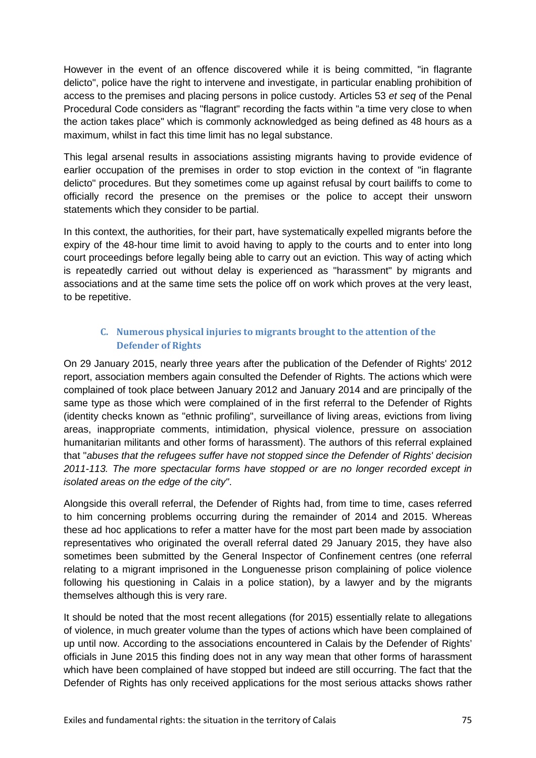However in the event of an offence discovered while it is being committed, "in flagrante delicto", police have the right to intervene and investigate, in particular enabling prohibition of access to the premises and placing persons in police custody. Articles 53 *et seq* of the Penal Procedural Code considers as "flagrant" recording the facts within "a time very close to when the action takes place" which is commonly acknowledged as being defined as 48 hours as a maximum, whilst in fact this time limit has no legal substance.

This legal arsenal results in associations assisting migrants having to provide evidence of earlier occupation of the premises in order to stop eviction in the context of "in flagrante delicto" procedures. But they sometimes come up against refusal by court bailiffs to come to officially record the presence on the premises or the police to accept their unsworn statements which they consider to be partial.

In this context, the authorities, for their part, have systematically expelled migrants before the expiry of the 48-hour time limit to avoid having to apply to the courts and to enter into long court proceedings before legally being able to carry out an eviction. This way of acting which is repeatedly carried out without delay is experienced as "harassment" by migrants and associations and at the same time sets the police off on work which proves at the very least, to be repetitive.

## **C. Numerous physical injuries to migrants brought to the attention of the Defender of Rights**

On 29 January 2015, nearly three years after the publication of the Defender of Rights' 2012 report, association members again consulted the Defender of Rights. The actions which were complained of took place between January 2012 and January 2014 and are principally of the same type as those which were complained of in the first referral to the Defender of Rights (identity checks known as "ethnic profiling", surveillance of living areas, evictions from living areas, inappropriate comments, intimidation, physical violence, pressure on association humanitarian militants and other forms of harassment). The authors of this referral explained that "*abuses that the refugees suffer have not stopped since the Defender of Rights' decision 2011-113. The more spectacular forms have stopped or are no longer recorded except in isolated areas on the edge of the city"*.

Alongside this overall referral, the Defender of Rights had, from time to time, cases referred to him concerning problems occurring during the remainder of 2014 and 2015. Whereas these ad hoc applications to refer a matter have for the most part been made by association representatives who originated the overall referral dated 29 January 2015, they have also sometimes been submitted by the General Inspector of Confinement centres (one referral relating to a migrant imprisoned in the Longuenesse prison complaining of police violence following his questioning in Calais in a police station), by a lawyer and by the migrants themselves although this is very rare.

It should be noted that the most recent allegations (for 2015) essentially relate to allegations of violence, in much greater volume than the types of actions which have been complained of up until now. According to the associations encountered in Calais by the Defender of Rights' officials in June 2015 this finding does not in any way mean that other forms of harassment which have been complained of have stopped but indeed are still occurring. The fact that the Defender of Rights has only received applications for the most serious attacks shows rather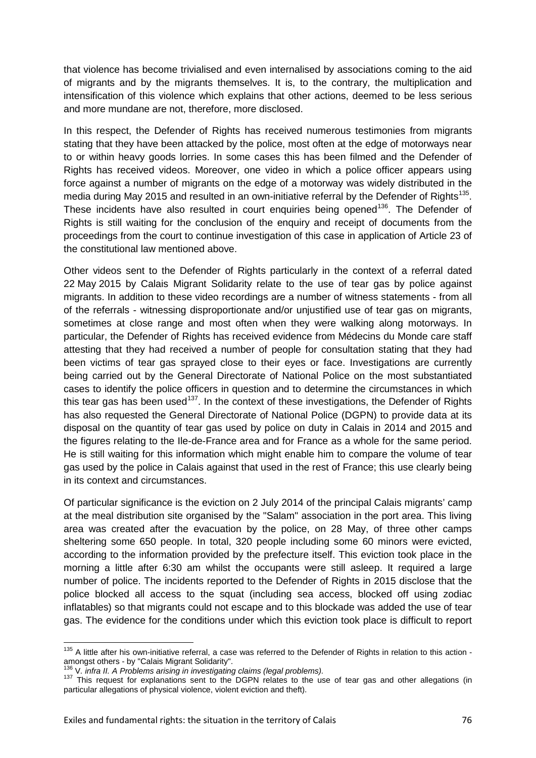that violence has become trivialised and even internalised by associations coming to the aid of migrants and by the migrants themselves. It is, to the contrary, the multiplication and intensification of this violence which explains that other actions, deemed to be less serious and more mundane are not, therefore, more disclosed.

In this respect, the Defender of Rights has received numerous testimonies from migrants stating that they have been attacked by the police, most often at the edge of motorways near to or within heavy goods lorries. In some cases this has been filmed and the Defender of Rights has received videos. Moreover, one video in which a police officer appears using force against a number of migrants on the edge of a motorway was widely distributed in the media during May 2015 and resulted in an own-initiative referral by the Defender of Rights<sup>[135](#page-75-0)</sup>. These incidents have also resulted in court enquiries being opened<sup>[136](#page-75-1)</sup>. The Defender of Rights is still waiting for the conclusion of the enquiry and receipt of documents from the proceedings from the court to continue investigation of this case in application of Article 23 of the constitutional law mentioned above.

Other videos sent to the Defender of Rights particularly in the context of a referral dated 22 May 2015 by Calais Migrant Solidarity relate to the use of tear gas by police against migrants. In addition to these video recordings are a number of witness statements - from all of the referrals - witnessing disproportionate and/or unjustified use of tear gas on migrants, sometimes at close range and most often when they were walking along motorways. In particular, the Defender of Rights has received evidence from Médecins du Monde care staff attesting that they had received a number of people for consultation stating that they had been victims of tear gas sprayed close to their eyes or face. Investigations are currently being carried out by the General Directorate of National Police on the most substantiated cases to identify the police officers in question and to determine the circumstances in which this tear gas has been used<sup>137</sup>. In the context of these investigations, the Defender of Rights has also requested the General Directorate of National Police (DGPN) to provide data at its disposal on the quantity of tear gas used by police on duty in Calais in 2014 and 2015 and the figures relating to the Ile-de-France area and for France as a whole for the same period. He is still waiting for this information which might enable him to compare the volume of tear gas used by the police in Calais against that used in the rest of France; this use clearly being in its context and circumstances.

Of particular significance is the eviction on 2 July 2014 of the principal Calais migrants' camp at the meal distribution site organised by the "Salam" association in the port area. This living area was created after the evacuation by the police, on 28 May, of three other camps sheltering some 650 people. In total, 320 people including some 60 minors were evicted, according to the information provided by the prefecture itself. This eviction took place in the morning a little after 6:30 am whilst the occupants were still asleep. It required a large number of police. The incidents reported to the Defender of Rights in 2015 disclose that the police blocked all access to the squat (including sea access, blocked off using zodiac inflatables) so that migrants could not escape and to this blockade was added the use of tear gas. The evidence for the conditions under which this eviction took place is difficult to report

<span id="page-75-0"></span> $135$  A little after his own-initiative referral, a case was referred to the Defender of Rights in relation to this action - amongst others - by "Calais Migrant Solidarity".

<span id="page-75-2"></span><span id="page-75-1"></span> $^{136}$  V. infra II. A Problems arising in investigating claims (legal problems).<br> $^{137}$  This request for explanations sent to the DGPN relates to the use of tear gas and other allegations (in particular allegations of physical violence, violent eviction and theft).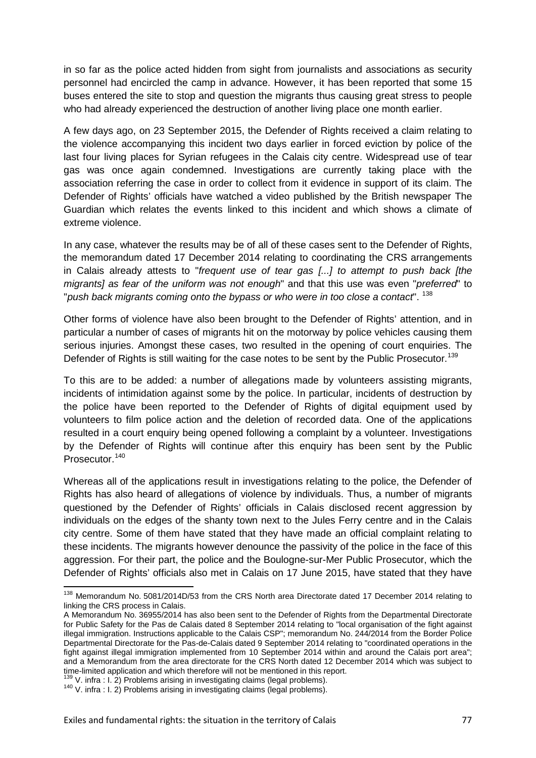in so far as the police acted hidden from sight from journalists and associations as security personnel had encircled the camp in advance. However, it has been reported that some 15 buses entered the site to stop and question the migrants thus causing great stress to people who had already experienced the destruction of another living place one month earlier.

A few days ago, on 23 September 2015, the Defender of Rights received a claim relating to the violence accompanying this incident two days earlier in forced eviction by police of the last four living places for Syrian refugees in the Calais city centre. Widespread use of tear gas was once again condemned. Investigations are currently taking place with the association referring the case in order to collect from it evidence in support of its claim. The Defender of Rights' officials have watched a video published by the British newspaper The Guardian which relates the events linked to this incident and which shows a climate of extreme violence.

In any case, whatever the results may be of all of these cases sent to the Defender of Rights, the memorandum dated 17 December 2014 relating to coordinating the CRS arrangements in Calais already attests to "*frequent use of tear gas [...] to attempt to push back [the migrants] as fear of the uniform was not enough*" and that this use was even "*preferred*" to "*push back migrants coming onto the bypass or who were in too close a contact*". [138](#page-76-0)

Other forms of violence have also been brought to the Defender of Rights' attention, and in particular a number of cases of migrants hit on the motorway by police vehicles causing them serious injuries. Amongst these cases, two resulted in the opening of court enquiries. The Defender of Rights is still waiting for the case notes to be sent by the Public Prosecutor.<sup>[139](#page-76-1)</sup>

To this are to be added: a number of allegations made by volunteers assisting migrants, incidents of intimidation against some by the police. In particular, incidents of destruction by the police have been reported to the Defender of Rights of digital equipment used by volunteers to film police action and the deletion of recorded data. One of the applications resulted in a court enquiry being opened following a complaint by a volunteer. Investigations by the Defender of Rights will continue after this enquiry has been sent by the Public Prosecutor.<sup>[140](#page-76-2)</sup>

Whereas all of the applications result in investigations relating to the police, the Defender of Rights has also heard of allegations of violence by individuals. Thus, a number of migrants questioned by the Defender of Rights' officials in Calais disclosed recent aggression by individuals on the edges of the shanty town next to the Jules Ferry centre and in the Calais city centre. Some of them have stated that they have made an official complaint relating to these incidents. The migrants however denounce the passivity of the police in the face of this aggression. For their part, the police and the Boulogne-sur-Mer Public Prosecutor, which the Defender of Rights' officials also met in Calais on 17 June 2015, have stated that they have

<span id="page-76-0"></span><sup>138</sup> Memorandum No. 5081/2014D/53 from the CRS North area Directorate dated 17 December 2014 relating to linking the CRS process in Calais.

A Memorandum No. 36955/2014 has also been sent to the Defender of Rights from the Departmental Directorate for Public Safety for the Pas de Calais dated 8 September 2014 relating to "local organisation of the fight against illegal immigration. Instructions applicable to the Calais CSP"; memorandum No. 244/2014 from the Border Police Departmental Directorate for the Pas-de-Calais dated 9 September 2014 relating to "coordinated operations in the fight against illegal immigration implemented from 10 September 2014 within and around the Calais port area"; and a Memorandum from the area directorate for the CRS North dated 12 December 2014 which was subject to time-limited application and which therefore will not be mentioned in this report.

<span id="page-76-1"></span> $^{139}$  V. infra : I. 2) Problems arising in investigating claims (legal problems).<br> $^{140}$  V. infra : I. 2) Problems arising in investigating claims (legal problems).

<span id="page-76-2"></span>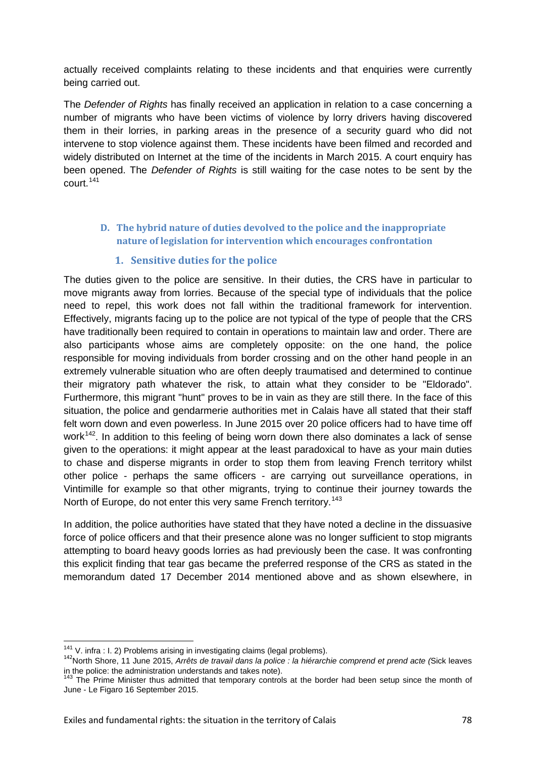actually received complaints relating to these incidents and that enquiries were currently being carried out.

The *Defender of Rights* has finally received an application in relation to a case concerning a number of migrants who have been victims of violence by lorry drivers having discovered them in their lorries, in parking areas in the presence of a security guard who did not intervene to stop violence against them. These incidents have been filmed and recorded and widely distributed on Internet at the time of the incidents in March 2015. A court enquiry has been opened. The *Defender of Rights* is still waiting for the case notes to be sent by the court.<sup>[141](#page-77-0)</sup>

### **D. The hybrid nature of duties devolved to the police and the inappropriate nature of legislation for intervention which encourages confrontation**

#### **1. Sensitive duties for the police**

The duties given to the police are sensitive. In their duties, the CRS have in particular to move migrants away from lorries. Because of the special type of individuals that the police need to repel, this work does not fall within the traditional framework for intervention. Effectively, migrants facing up to the police are not typical of the type of people that the CRS have traditionally been required to contain in operations to maintain law and order. There are also participants whose aims are completely opposite: on the one hand, the police responsible for moving individuals from border crossing and on the other hand people in an extremely vulnerable situation who are often deeply traumatised and determined to continue their migratory path whatever the risk, to attain what they consider to be "Eldorado". Furthermore, this migrant "hunt" proves to be in vain as they are still there. In the face of this situation, the police and gendarmerie authorities met in Calais have all stated that their staff felt worn down and even powerless. In June 2015 over 20 police officers had to have time off work<sup>[142](#page-77-1)</sup>. In addition to this feeling of being worn down there also dominates a lack of sense given to the operations: it might appear at the least paradoxical to have as your main duties to chase and disperse migrants in order to stop them from leaving French territory whilst other police - perhaps the same officers - are carrying out surveillance operations, in Vintimille for example so that other migrants, trying to continue their journey towards the North of Europe, do not enter this very same French territory.<sup>[143](#page-77-2)</sup>

In addition, the police authorities have stated that they have noted a decline in the dissuasive force of police officers and that their presence alone was no longer sufficient to stop migrants attempting to board heavy goods lorries as had previously been the case. It was confronting this explicit finding that tear gas became the preferred response of the CRS as stated in the memorandum dated 17 December 2014 mentioned above and as shown elsewhere, in

<span id="page-77-1"></span><span id="page-77-0"></span><sup>&</sup>lt;sup>141</sup> V. infra : I. 2) Problems arising in investigating claims (legal problems).<br><sup>142</sup>North Shore, 11 June 2015, *Arrêts de travail dans la police : la hiérarchie comprend et prend acte (Sick leaves* in the police: the administration understands and takes note).<br><sup>143</sup> The Prime Minister thus admitted that temporary controls at the border had been setup since the month of

<span id="page-77-2"></span>June - Le Figaro 16 September 2015.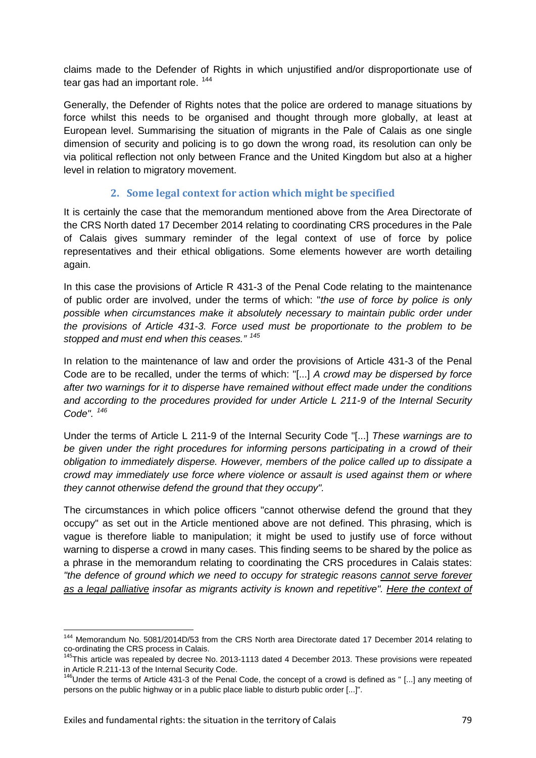claims made to the Defender of Rights in which unjustified and/or disproportionate use of tear gas had an important role.<sup>[144](#page-78-0)</sup>

Generally, the Defender of Rights notes that the police are ordered to manage situations by force whilst this needs to be organised and thought through more globally, at least at European level. Summarising the situation of migrants in the Pale of Calais as one single dimension of security and policing is to go down the wrong road, its resolution can only be via political reflection not only between France and the United Kingdom but also at a higher level in relation to migratory movement.

## **2. Some legal context for action which might be specified**

It is certainly the case that the memorandum mentioned above from the Area Directorate of the CRS North dated 17 December 2014 relating to coordinating CRS procedures in the Pale of Calais gives summary reminder of the legal context of use of force by police representatives and their ethical obligations. Some elements however are worth detailing again.

In this case the provisions of Article R 431-3 of the Penal Code relating to the maintenance of public order are involved, under the terms of which: "*the use of force by police is only possible when circumstances make it absolutely necessary to maintain public order under the provisions of Article 431-3. Force used must be proportionate to the problem to be stopped and must end when this ceases." [145](#page-78-1)*

In relation to the maintenance of law and order the provisions of Article 431-3 of the Penal Code are to be recalled, under the terms of which: "[...] *A crowd may be dispersed by force after two warnings for it to disperse have remained without effect made under the conditions and according to the procedures provided for under Article L 211-9 of the Internal Security Code". [146](#page-78-2)*

Under the terms of Article L 211-9 of the Internal Security Code "[...] *These warnings are to be given under the right procedures for informing persons participating in a crowd of their obligation to immediately disperse. However, members of the police called up to dissipate a crowd may immediately use force where violence or assault is used against them or where they cannot otherwise defend the ground that they occupy".* 

The circumstances in which police officers "cannot otherwise defend the ground that they occupy" as set out in the Article mentioned above are not defined. This phrasing, which is vague is therefore liable to manipulation; it might be used to justify use of force without warning to disperse a crowd in many cases. This finding seems to be shared by the police as a phrase in the memorandum relating to coordinating the CRS procedures in Calais states: *"the defence of ground which we need to occupy for strategic reasons cannot serve forever as a legal palliative insofar as migrants activity is known and repetitive". Here the context of* 

<span id="page-78-0"></span><sup>144</sup> Memorandum No. 5081/2014D/53 from the CRS North area Directorate dated 17 December 2014 relating to

<span id="page-78-1"></span>co-ordinating the CRS process in Calais.<br><sup>145</sup>This article was repealed by decree No. 2013-1113 dated 4 December 2013. These provisions were repeated

<span id="page-78-2"></span>in Article R.211-13 of the Internal Security Code.<br><sup>146</sup>Under the terms of Article 431-3 of the Penal Code, the concept of a crowd is defined as " [...] any meeting of persons on the public highway or in a public place liable to disturb public order [...]".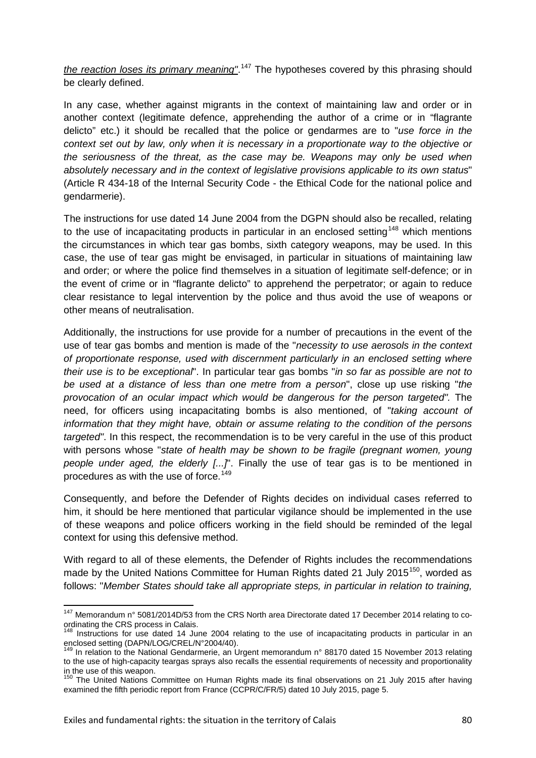*the reaction loses its primary meaning"*. [147](#page-79-0) The hypotheses covered by this phrasing should be clearly defined.

In any case, whether against migrants in the context of maintaining law and order or in another context (legitimate defence, apprehending the author of a crime or in "flagrante delicto" etc.) it should be recalled that the police or gendarmes are to "*use force in the context set out by law, only when it is necessary in a proportionate way to the objective or the seriousness of the threat, as the case may be. Weapons may only be used when absolutely necessary and in the context of legislative provisions applicable to its own status*" (Article R 434-18 of the Internal Security Code - the Ethical Code for the national police and gendarmerie).

The instructions for use dated 14 June 2004 from the DGPN should also be recalled, relating to the use of incapacitating products in particular in an enclosed setting<sup>[148](#page-79-1)</sup> which mentions the circumstances in which tear gas bombs, sixth category weapons, may be used. In this case, the use of tear gas might be envisaged, in particular in situations of maintaining law and order; or where the police find themselves in a situation of legitimate self-defence; or in the event of crime or in "flagrante delicto" to apprehend the perpetrator; or again to reduce clear resistance to legal intervention by the police and thus avoid the use of weapons or other means of neutralisation.

Additionally, the instructions for use provide for a number of precautions in the event of the use of tear gas bombs and mention is made of the "*necessity to use aerosols in the context of proportionate response, used with discernment particularly in an enclosed setting where their use is to be exceptional*". In particular tear gas bombs "*in so far as possible are not to be used at a distance of less than one metre from a person*", close up use risking "*the provocation of an ocular impact which would be dangerous for the person targeted".* The need, for officers using incapacitating bombs is also mentioned, of "*taking account of information that they might have, obtain or assume relating to the condition of the persons targeted"*. In this respect, the recommendation is to be very careful in the use of this product with persons whose "*state of health may be shown to be fragile (pregnant women, young people under aged, the elderly [...]*". Finally the use of tear gas is to be mentioned in procedures as with the use of force.<sup>[149](#page-79-2)</sup>

Consequently, and before the Defender of Rights decides on individual cases referred to him, it should be here mentioned that particular vigilance should be implemented in the use of these weapons and police officers working in the field should be reminded of the legal context for using this defensive method.

With regard to all of these elements, the Defender of Rights includes the recommendations made by the United Nations Committee for Human Rights dated 21 July 2015<sup>[150](#page-79-3)</sup>, worded as follows: "*Member States should take all appropriate steps, in particular in relation to training,* 

<span id="page-79-0"></span><sup>147</sup> Memorandum n° 5081/2014D/53 from the CRS North area Directorate dated 17 December 2014 relating to coordinating the CRS process in Calais.

<span id="page-79-1"></span><sup>&</sup>lt;sup>148</sup> Instructions for use dated 14 June 2004 relating to the use of incapacitating products in particular in an enclosed setting (DAPN/LOG/CREL/N°2004/40).

<span id="page-79-2"></span><sup>&</sup>lt;sup>149</sup> In relation to the National Gendarmerie, an Urgent memorandum n° 88170 dated 15 November 2013 relating to the use of high-capacity teargas sprays also recalls the essential requirements of necessity and proportionality in the use of this weapon.

<span id="page-79-3"></span><sup>&</sup>lt;sup>150</sup> The United Nations Committee on Human Rights made its final observations on 21 July 2015 after having examined the fifth periodic report from France (CCPR/C/FR/5) dated 10 July 2015, page 5.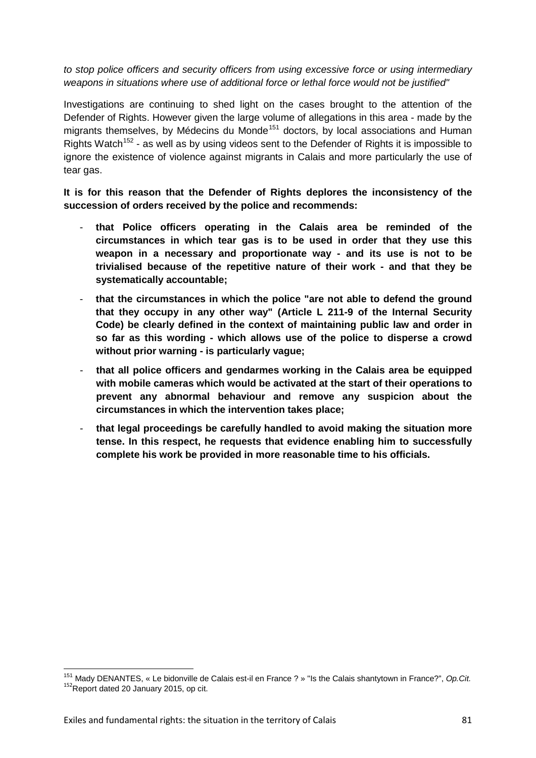*to stop police officers and security officers from using excessive force or using intermediary weapons in situations where use of additional force or lethal force would not be justified"*

Investigations are continuing to shed light on the cases brought to the attention of the Defender of Rights. However given the large volume of allegations in this area - made by the migrants themselves, by Médecins du Monde<sup>[151](#page-80-0)</sup> doctors, by local associations and Human Rights Watch<sup>[152](#page-80-1)</sup> - as well as by using videos sent to the Defender of Rights it is impossible to ignore the existence of violence against migrants in Calais and more particularly the use of tear gas.

**It is for this reason that the Defender of Rights deplores the inconsistency of the succession of orders received by the police and recommends:** 

- **that Police officers operating in the Calais area be reminded of the circumstances in which tear gas is to be used in order that they use this weapon in a necessary and proportionate way - and its use is not to be trivialised because of the repetitive nature of their work - and that they be systematically accountable;**
- **that the circumstances in which the police "are not able to defend the ground that they occupy in any other way" (Article L 211-9 of the Internal Security Code) be clearly defined in the context of maintaining public law and order in so far as this wording - which allows use of the police to disperse a crowd without prior warning - is particularly vague;**
- **that all police officers and gendarmes working in the Calais area be equipped with mobile cameras which would be activated at the start of their operations to prevent any abnormal behaviour and remove any suspicion about the circumstances in which the intervention takes place;**
- **that legal proceedings be carefully handled to avoid making the situation more tense. In this respect, he requests that evidence enabling him to successfully complete his work be provided in more reasonable time to his officials.**

<span id="page-80-1"></span><span id="page-80-0"></span><sup>&</sup>lt;sup>151</sup> Mady DENANTES, « Le bidonville de Calais est-il en France ? » "Is the Calais shantytown in France?", Op.Cit.<br><sup>152</sup>Report dated 20 January 2015, op cit.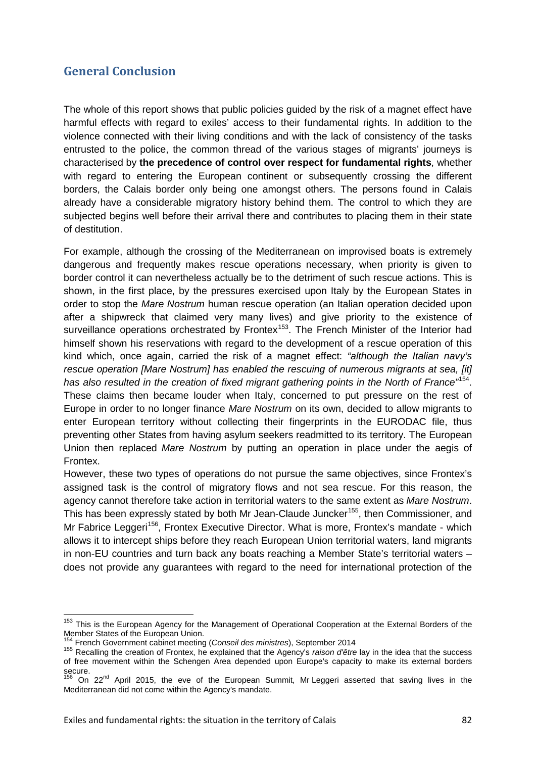# **General Conclusion**

The whole of this report shows that public policies guided by the risk of a magnet effect have harmful effects with regard to exiles' access to their fundamental rights. In addition to the violence connected with their living conditions and with the lack of consistency of the tasks entrusted to the police, the common thread of the various stages of migrants' journeys is characterised by **the precedence of control over respect for fundamental rights**, whether with regard to entering the European continent or subsequently crossing the different borders, the Calais border only being one amongst others. The persons found in Calais already have a considerable migratory history behind them. The control to which they are subjected begins well before their arrival there and contributes to placing them in their state of destitution.

For example, although the crossing of the Mediterranean on improvised boats is extremely dangerous and frequently makes rescue operations necessary, when priority is given to border control it can nevertheless actually be to the detriment of such rescue actions. This is shown, in the first place, by the pressures exercised upon Italy by the European States in order to stop the *Mare Nostrum* human rescue operation (an Italian operation decided upon after a shipwreck that claimed very many lives) and give priority to the existence of surveillance operations orchestrated by Frontex<sup>153</sup>. The French Minister of the Interior had himself shown his reservations with regard to the development of a rescue operation of this kind which, once again, carried the risk of a magnet effect: *"although the Italian navy's rescue operation [Mare Nostrum] has enabled the rescuing of numerous migrants at sea, [it] has also resulted in the creation of fixed migrant gathering points in the North of France"*[154](#page-81-1). These claims then became louder when Italy, concerned to put pressure on the rest of Europe in order to no longer finance *Mare Nostrum* on its own, decided to allow migrants to enter European territory without collecting their fingerprints in the EURODAC file, thus preventing other States from having asylum seekers readmitted to its territory. The European Union then replaced *Mare Nostrum* by putting an operation in place under the aegis of Frontex.

However, these two types of operations do not pursue the same objectives, since Frontex's assigned task is the control of migratory flows and not sea rescue. For this reason, the agency cannot therefore take action in territorial waters to the same extent as *Mare Nostrum*. This has been expressly stated by both Mr Jean-Claude Juncker<sup>[155](#page-81-2)</sup>, then Commissioner, and Mr Fabrice Leggeri<sup>156</sup>, Frontex Executive Director. What is more, Frontex's mandate - which allows it to intercept ships before they reach European Union territorial waters, land migrants in non-EU countries and turn back any boats reaching a Member State's territorial waters – does not provide any guarantees with regard to the need for international protection of the

<span id="page-81-0"></span><sup>&</sup>lt;sup>153</sup> This is the European Agency for the Management of Operational Cooperation at the External Borders of the Member States of the European Union.<br><sup>154</sup> French Government cabinet meeting (Conseil des ministres), September 2014

<span id="page-81-2"></span><span id="page-81-1"></span><sup>154</sup> French Government cabinet meeting (*Conseil des ministres*), September 2014 <sup>155</sup> Recalling the creation of Frontex, he explained that the Agency's *raison d'être* lay in the idea that the success of free movement within the Schengen Area depended upon Europe's capacity to make its external borders secure.

<span id="page-81-3"></span> $156$  On 22<sup>nd</sup> April 2015, the eve of the European Summit, Mr Leggeri asserted that saving lives in the Mediterranean did not come within the Agency's mandate.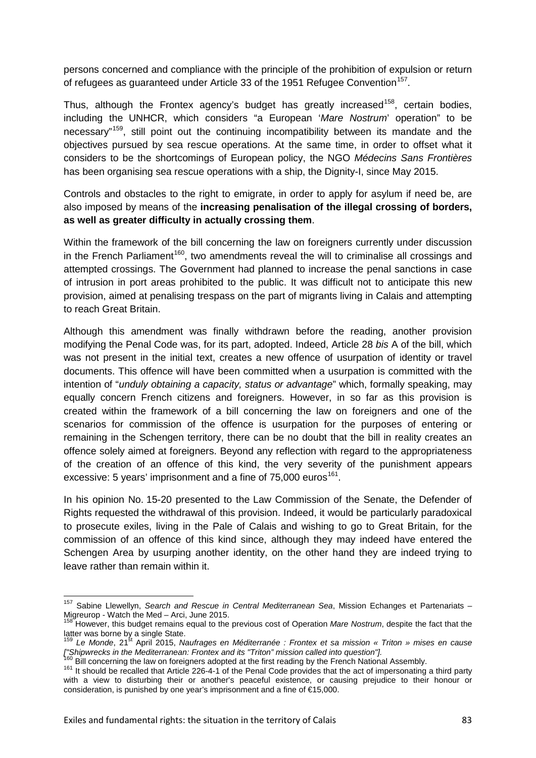persons concerned and compliance with the principle of the prohibition of expulsion or return of refugees as guaranteed under Article 33 of the 1951 Refugee Convention<sup>157</sup>.

Thus, although the Frontex agency's budget has greatly increased<sup>[158](#page-82-1)</sup>, certain bodies, including the UNHCR, which considers "a European '*Mare Nostrum*' operation" to be necessary"<sup>159</sup>, still point out the continuing incompatibility between its mandate and the objectives pursued by sea rescue operations. At the same time, in order to offset what it considers to be the shortcomings of European policy, the NGO *Médecins Sans Frontières* has been organising sea rescue operations with a ship, the Dignity-I, since May 2015.

Controls and obstacles to the right to emigrate, in order to apply for asylum if need be, are also imposed by means of the **increasing penalisation of the illegal crossing of borders, as well as greater difficulty in actually crossing them**.

Within the framework of the bill concerning the law on foreigners currently under discussion in the French Parliament<sup>160</sup>, two amendments reveal the will to criminalise all crossings and attempted crossings. The Government had planned to increase the penal sanctions in case of intrusion in port areas prohibited to the public. It was difficult not to anticipate this new provision, aimed at penalising trespass on the part of migrants living in Calais and attempting to reach Great Britain.

Although this amendment was finally withdrawn before the reading, another provision modifying the Penal Code was, for its part, adopted. Indeed, Article 28 *bis* A of the bill, which was not present in the initial text, creates a new offence of usurpation of identity or travel documents. This offence will have been committed when a usurpation is committed with the intention of "*unduly obtaining a capacity, status or advantage*" which, formally speaking, may equally concern French citizens and foreigners. However, in so far as this provision is created within the framework of a bill concerning the law on foreigners and one of the scenarios for commission of the offence is usurpation for the purposes of entering or remaining in the Schengen territory, there can be no doubt that the bill in reality creates an offence solely aimed at foreigners. Beyond any reflection with regard to the appropriateness of the creation of an offence of this kind, the very severity of the punishment appears excessive: 5 years' imprisonment and a fine of  $75,000$  euros<sup>161</sup>.

In his opinion No. 15-20 presented to the Law Commission of the Senate, the Defender of Rights requested the withdrawal of this provision. Indeed, it would be particularly paradoxical to prosecute exiles, living in the Pale of Calais and wishing to go to Great Britain, for the commission of an offence of this kind since, although they may indeed have entered the Schengen Area by usurping another identity, on the other hand they are indeed trying to leave rather than remain within it.

<span id="page-82-0"></span><sup>157</sup> Sabine Llewellyn, *Search and Rescue in Central Mediterranean Sea*, Mission Echanges et Partenariats – Migreurop - Watch the Med – Arci, June 2015.<br><sup>158</sup> However, this budget remains equal to the previous cost of Operation *Mare Nostrum*, despite the fact that the

<span id="page-82-1"></span>

<span id="page-82-2"></span>latter was borne by a single State.<br><sup>159</sup> Le *Monde*, 21<sup>st</sup> April 2015, *Naufrages en Méditerranée : Frontex et sa mission « Triton » mises en cause ["Shipwrecks in the Mediterranean: Frontex and its "Triton" mission called into question"].*<br><sup>160</sup> Bill concerning the law on foreigners adopted at the first reading by the French National Assembly.

<span id="page-82-3"></span>

<span id="page-82-4"></span><sup>161</sup> Bill concerning the law on foreigners adopted at the French Rational Assembly. 161 It should be recalled that Article 226-4-1 of the Penal Code provides that the act of impersonating a third party with a view to disturbing their or another's peaceful existence, or causing prejudice to their honour or consideration, is punished by one year's imprisonment and a fine of €15,000.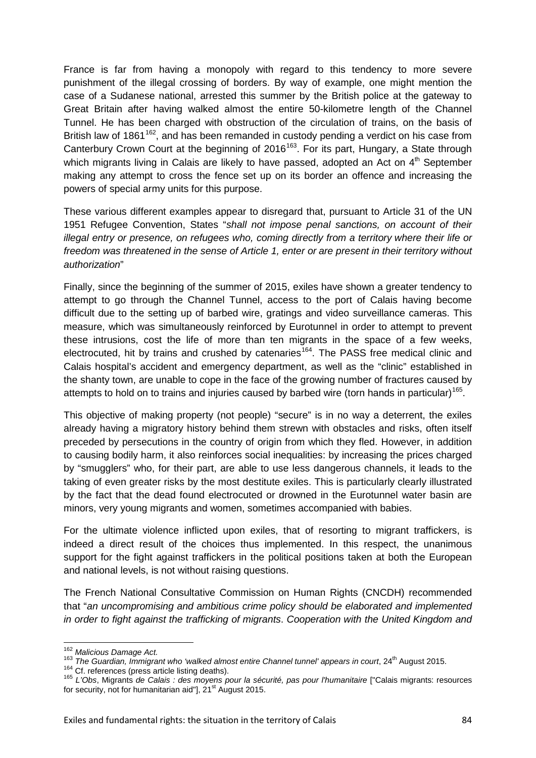France is far from having a monopoly with regard to this tendency to more severe punishment of the illegal crossing of borders. By way of example, one might mention the case of a Sudanese national, arrested this summer by the British police at the gateway to Great Britain after having walked almost the entire 50-kilometre length of the Channel Tunnel. He has been charged with obstruction of the circulation of trains, on the basis of British law of 1861<sup>[162](#page-83-0)</sup>, and has been remanded in custody pending a verdict on his case from Canterbury Crown Court at the beginning of 2016<sup>163</sup>. For its part, Hungary, a State through which migrants living in Calais are likely to have passed, adopted an Act on  $4<sup>th</sup>$  September making any attempt to cross the fence set up on its border an offence and increasing the powers of special army units for this purpose.

These various different examples appear to disregard that, pursuant to Article 31 of the UN 1951 Refugee Convention, States "*shall not impose penal sanctions, on account of their illegal entry or presence, on refugees who, coming directly from a territory where their life or freedom was threatened in the sense of Article 1, enter or are present in their territory without authorization*"

Finally, since the beginning of the summer of 2015, exiles have shown a greater tendency to attempt to go through the Channel Tunnel, access to the port of Calais having become difficult due to the setting up of barbed wire, gratings and video surveillance cameras. This measure, which was simultaneously reinforced by Eurotunnel in order to attempt to prevent these intrusions, cost the life of more than ten migrants in the space of a few weeks, electrocuted, hit by trains and crushed by catenaries<sup>164</sup>. The PASS free medical clinic and Calais hospital's accident and emergency department, as well as the "clinic" established in the shanty town, are unable to cope in the face of the growing number of fractures caused by attempts to hold on to trains and injuries caused by barbed wire (torn hands in particular)<sup>165</sup>.

This objective of making property (not people) "secure" is in no way a deterrent, the exiles already having a migratory history behind them strewn with obstacles and risks, often itself preceded by persecutions in the country of origin from which they fled. However, in addition to causing bodily harm, it also reinforces social inequalities: by increasing the prices charged by "smugglers" who, for their part, are able to use less dangerous channels, it leads to the taking of even greater risks by the most destitute exiles. This is particularly clearly illustrated by the fact that the dead found electrocuted or drowned in the Eurotunnel water basin are minors, very young migrants and women, sometimes accompanied with babies.

For the ultimate violence inflicted upon exiles, that of resorting to migrant traffickers, is indeed a direct result of the choices thus implemented. In this respect, the unanimous support for the fight against traffickers in the political positions taken at both the European and national levels, is not without raising questions.

The French National Consultative Commission on Human Rights (CNCDH) recommended that "*an uncompromising and ambitious crime policy should be elaborated and implemented in order to fight against the trafficking of migrants*. *Cooperation with the United Kingdom and* 

<span id="page-83-1"></span>

<span id="page-83-3"></span><span id="page-83-2"></span>

<span id="page-83-0"></span><sup>&</sup>lt;sup>162</sup> Malicious Damage Act.<br><sup>163</sup> The Guardian, Immigrant who 'walked almost entire Channel tunnel' appears in court, 24<sup>th</sup> August 2015.<br><sup>164</sup> Cf. references (press article listing deaths).<br><sup>165</sup> L'Obs, Migrants de Calais for security, not for humanitarian aid"],  $21<sup>st</sup>$  August 2015.